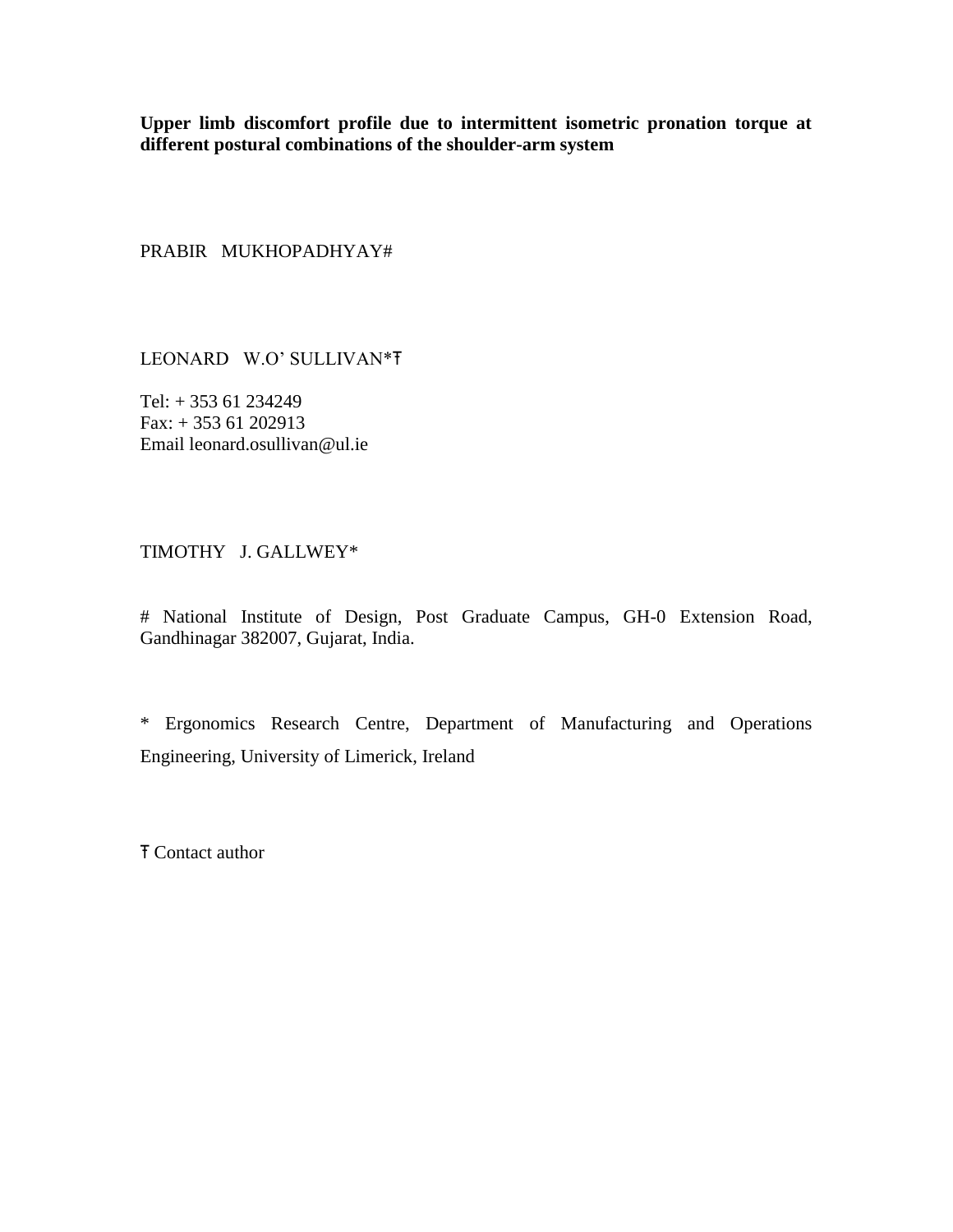**Upper limb discomfort profile due to intermittent isometric pronation torque at different postural combinations of the shoulder-arm system**

PRABIR MUKHOPADHYAY#

LEONARD W.O' SULLIVAN\*Ŧ

Tel: + 353 61 234249 Fax: + 353 61 202913 Email leonard.osullivan@ul.ie

## TIMOTHY J. GALLWEY\*

# National Institute of Design, Post Graduate Campus, GH-0 Extension Road, Gandhinagar 382007, Gujarat, India.

\* Ergonomics Research Centre, Department of Manufacturing and Operations Engineering, University of Limerick, Ireland

Ŧ Contact author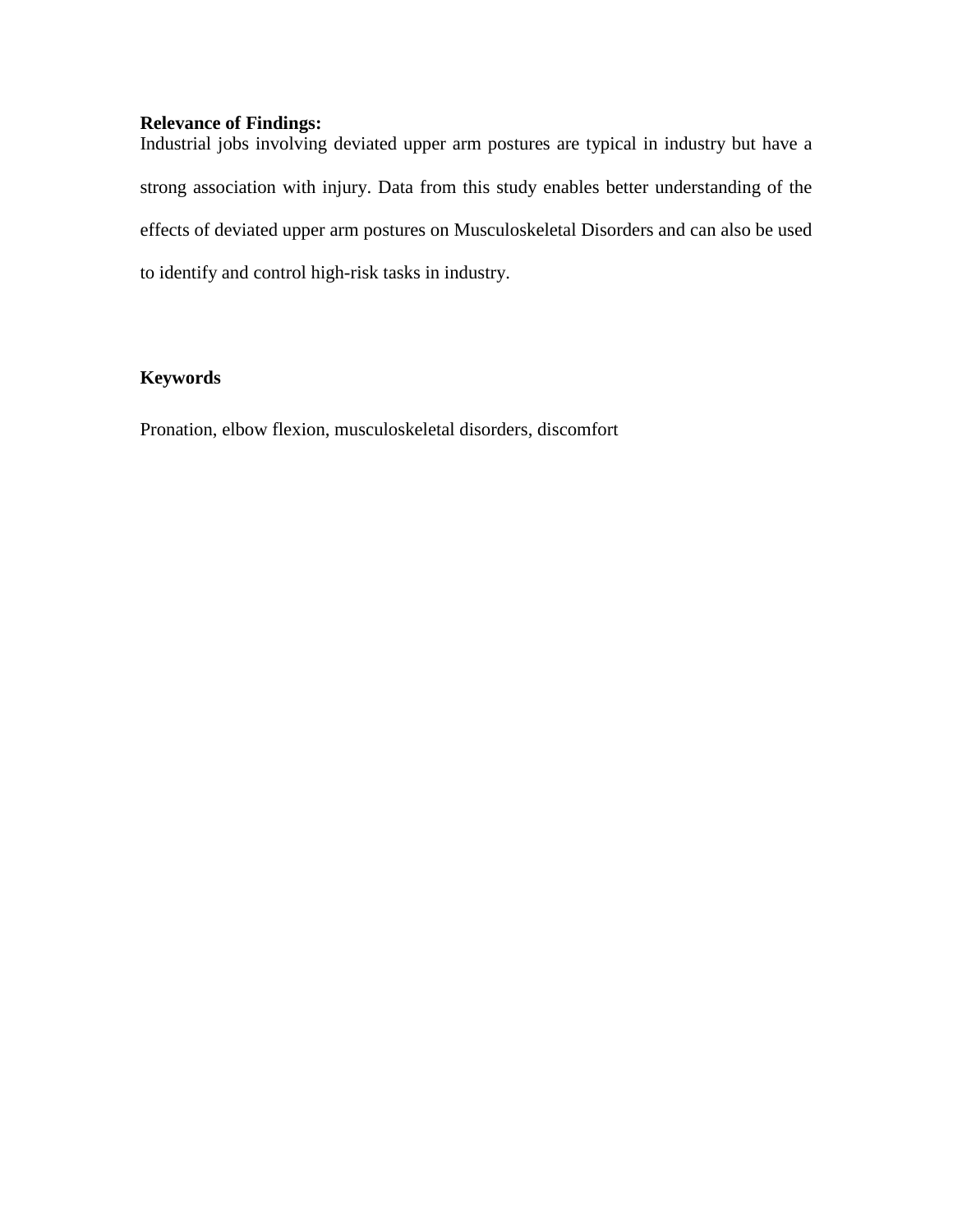# **Relevance of Findings:**

Industrial jobs involving deviated upper arm postures are typical in industry but have a strong association with injury. Data from this study enables better understanding of the effects of deviated upper arm postures on Musculoskeletal Disorders and can also be used to identify and control high-risk tasks in industry.

## **Keywords**

Pronation, elbow flexion, musculoskeletal disorders, discomfort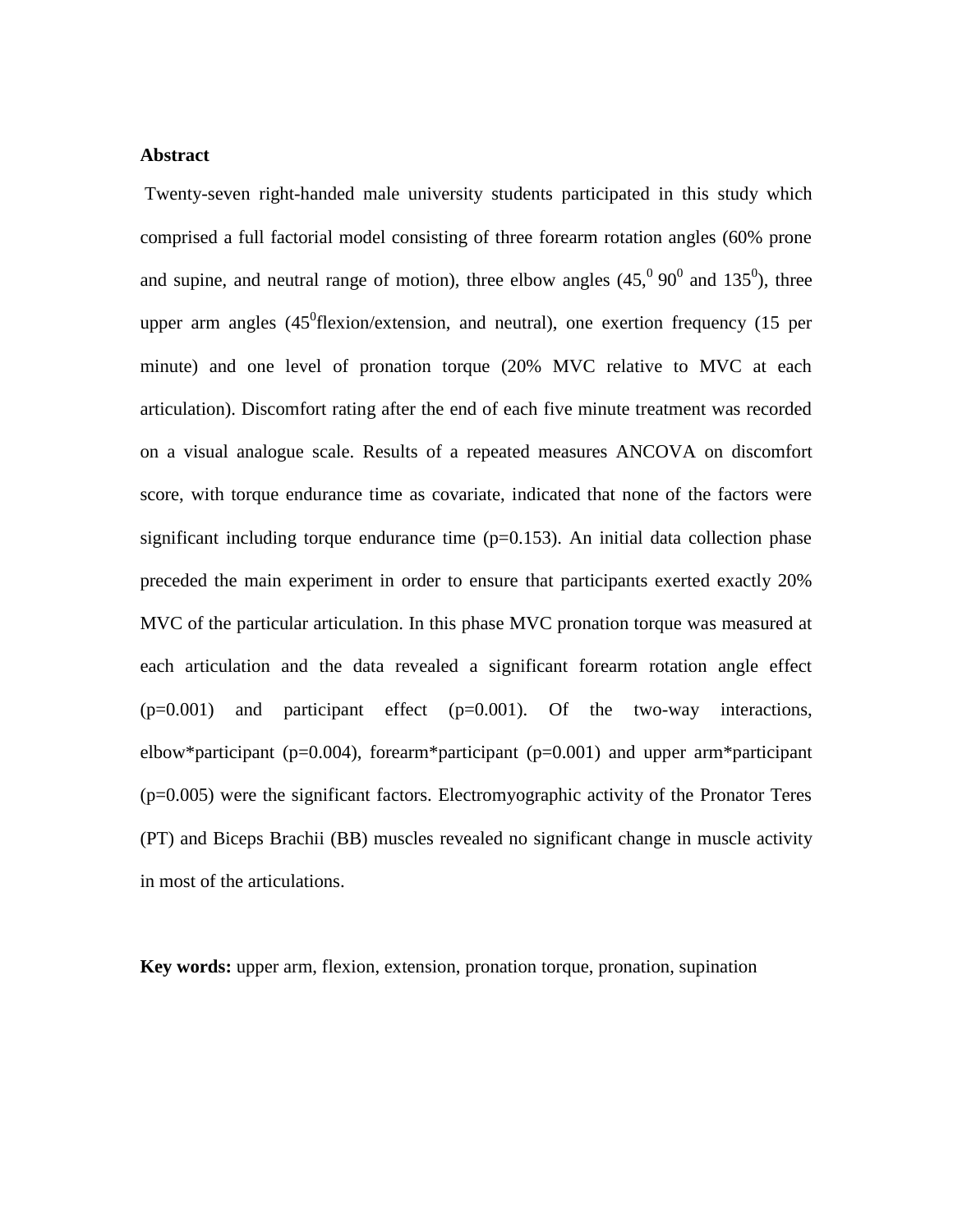#### **Abstract**

Twenty-seven right-handed male university students participated in this study which comprised a full factorial model consisting of three forearm rotation angles (60% prone and supine, and neutral range of motion), three elbow angles  $(45,^0 90^0$  and  $135^0)$ , three upper arm angles  $(45^0$ flexion/extension, and neutral), one exertion frequency  $(15$  per minute) and one level of pronation torque (20% MVC relative to MVC at each articulation). Discomfort rating after the end of each five minute treatment was recorded on a visual analogue scale. Results of a repeated measures ANCOVA on discomfort score, with torque endurance time as covariate, indicated that none of the factors were significant including torque endurance time  $(p=0.153)$ . An initial data collection phase preceded the main experiment in order to ensure that participants exerted exactly 20% MVC of the particular articulation. In this phase MVC pronation torque was measured at each articulation and the data revealed a significant forearm rotation angle effect  $(p=0.001)$  and participant effect  $(p=0.001)$ . Of the two-way interactions, elbow\*participant (p=0.004), forearm\*participant (p=0.001) and upper arm\*participant (p=0.005) were the significant factors. Electromyographic activity of the Pronator Teres (PT) and Biceps Brachii (BB) muscles revealed no significant change in muscle activity in most of the articulations.

**Key words:** upper arm, flexion, extension, pronation torque, pronation, supination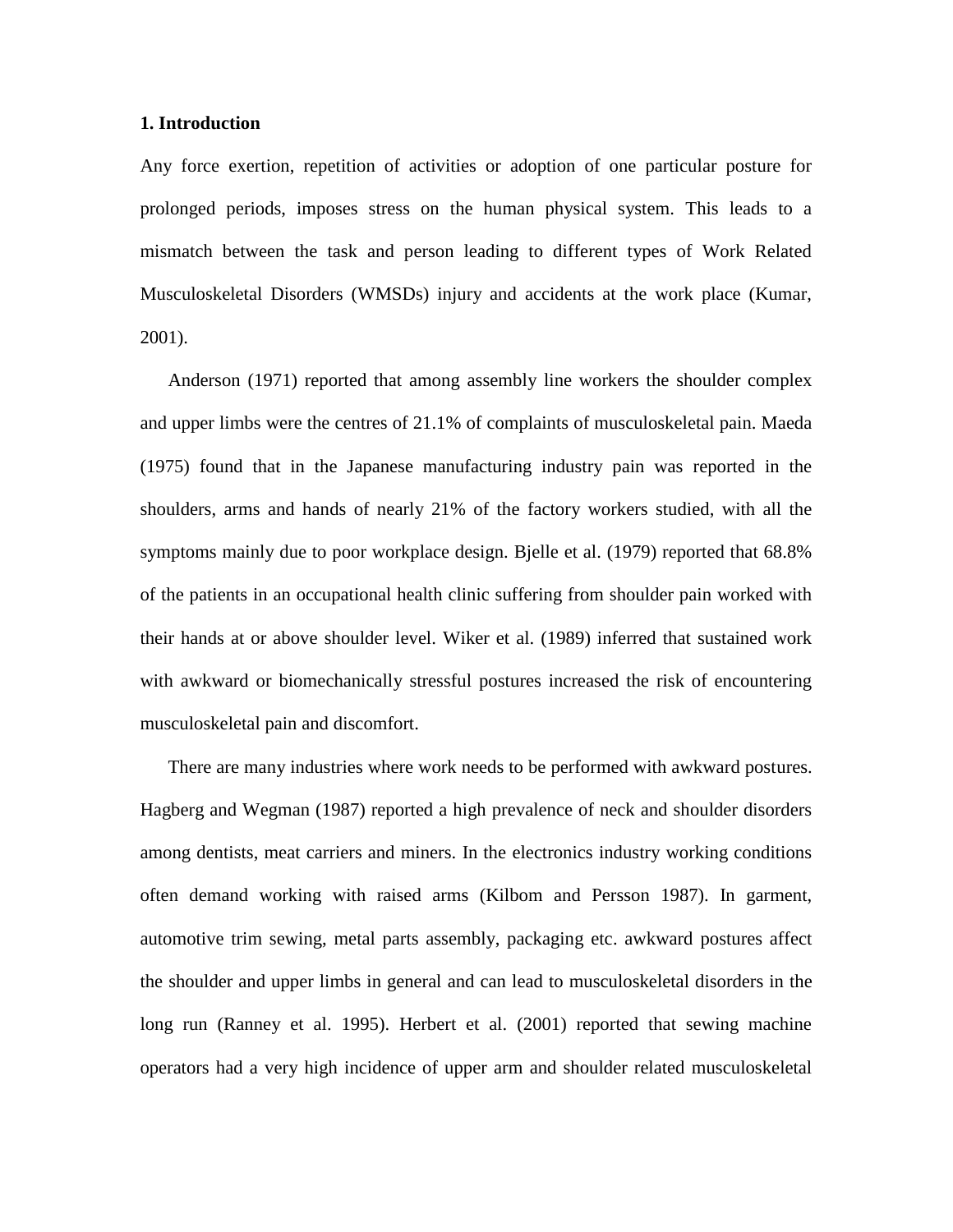#### **1. Introduction**

Any force exertion, repetition of activities or adoption of one particular posture for prolonged periods, imposes stress on the human physical system. This leads to a mismatch between the task and person leading to different types of Work Related Musculoskeletal Disorders (WMSDs) injury and accidents at the work place (Kumar, 2001).

Anderson (1971) reported that among assembly line workers the shoulder complex and upper limbs were the centres of 21.1% of complaints of musculoskeletal pain. Maeda (1975) found that in the Japanese manufacturing industry pain was reported in the shoulders, arms and hands of nearly 21% of the factory workers studied, with all the symptoms mainly due to poor workplace design. Bjelle et al. (1979) reported that 68.8% of the patients in an occupational health clinic suffering from shoulder pain worked with their hands at or above shoulder level. Wiker et al. (1989) inferred that sustained work with awkward or biomechanically stressful postures increased the risk of encountering musculoskeletal pain and discomfort.

There are many industries where work needs to be performed with awkward postures. Hagberg and Wegman (1987) reported a high prevalence of neck and shoulder disorders among dentists, meat carriers and miners. In the electronics industry working conditions often demand working with raised arms (Kilbom and Persson 1987). In garment, automotive trim sewing, metal parts assembly, packaging etc. awkward postures affect the shoulder and upper limbs in general and can lead to musculoskeletal disorders in the long run (Ranney et al. 1995). Herbert et al. (2001) reported that sewing machine operators had a very high incidence of upper arm and shoulder related musculoskeletal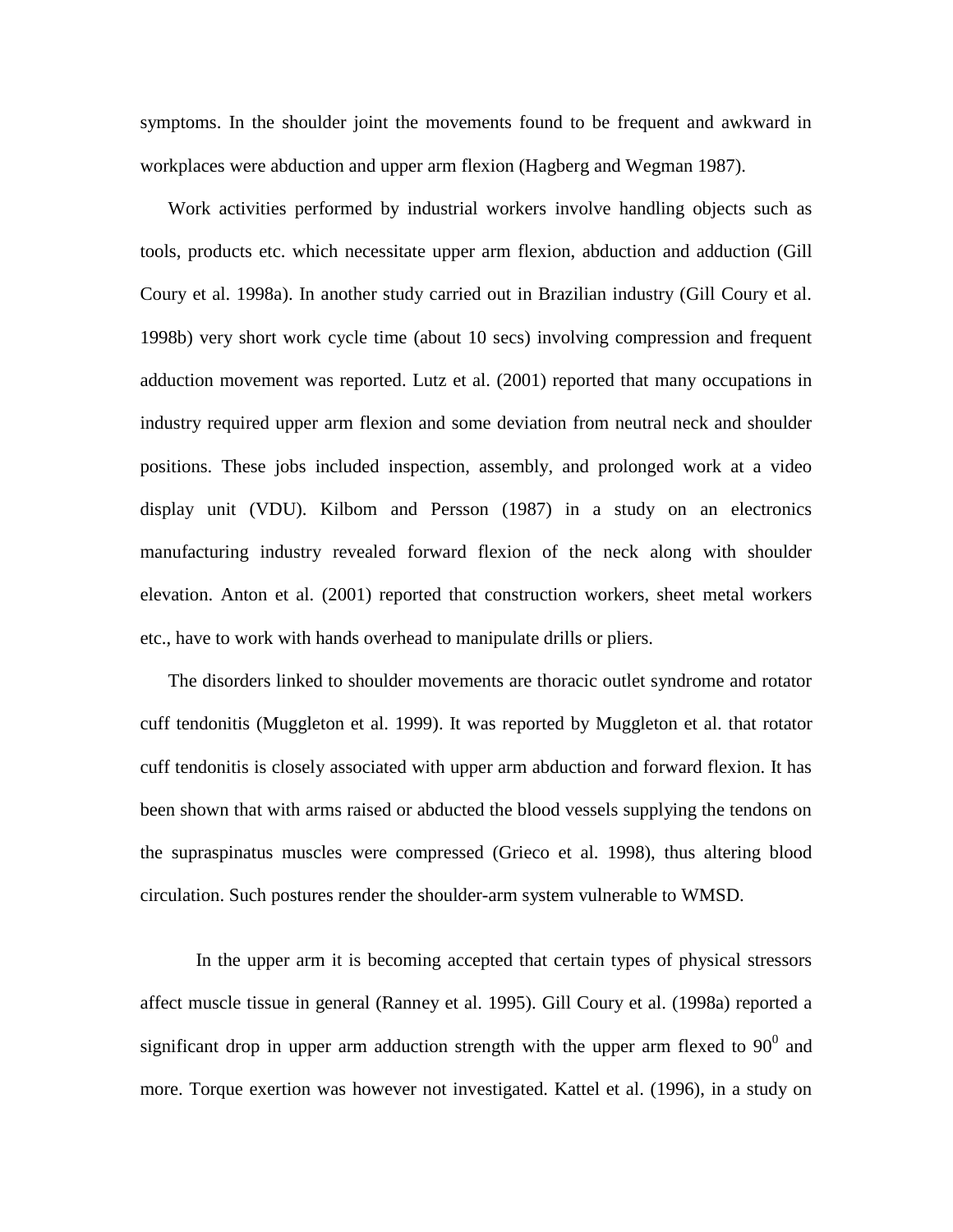symptoms. In the shoulder joint the movements found to be frequent and awkward in workplaces were abduction and upper arm flexion (Hagberg and Wegman 1987).

Work activities performed by industrial workers involve handling objects such as tools, products etc. which necessitate upper arm flexion, abduction and adduction (Gill Coury et al. 1998a). In another study carried out in Brazilian industry (Gill Coury et al. 1998b) very short work cycle time (about 10 secs) involving compression and frequent adduction movement was reported. Lutz et al. (2001) reported that many occupations in industry required upper arm flexion and some deviation from neutral neck and shoulder positions. These jobs included inspection, assembly, and prolonged work at a video display unit (VDU). Kilbom and Persson (1987) in a study on an electronics manufacturing industry revealed forward flexion of the neck along with shoulder elevation. Anton et al. (2001) reported that construction workers, sheet metal workers etc., have to work with hands overhead to manipulate drills or pliers.

The disorders linked to shoulder movements are thoracic outlet syndrome and rotator cuff tendonitis (Muggleton et al. 1999). It was reported by Muggleton et al. that rotator cuff tendonitis is closely associated with upper arm abduction and forward flexion. It has been shown that with arms raised or abducted the blood vessels supplying the tendons on the supraspinatus muscles were compressed (Grieco et al. 1998), thus altering blood circulation. Such postures render the shoulder-arm system vulnerable to WMSD.

In the upper arm it is becoming accepted that certain types of physical stressors affect muscle tissue in general (Ranney et al. 1995). Gill Coury et al. (1998a) reported a significant drop in upper arm adduction strength with the upper arm flexed to  $90^{\circ}$  and more. Torque exertion was however not investigated. Kattel et al. (1996), in a study on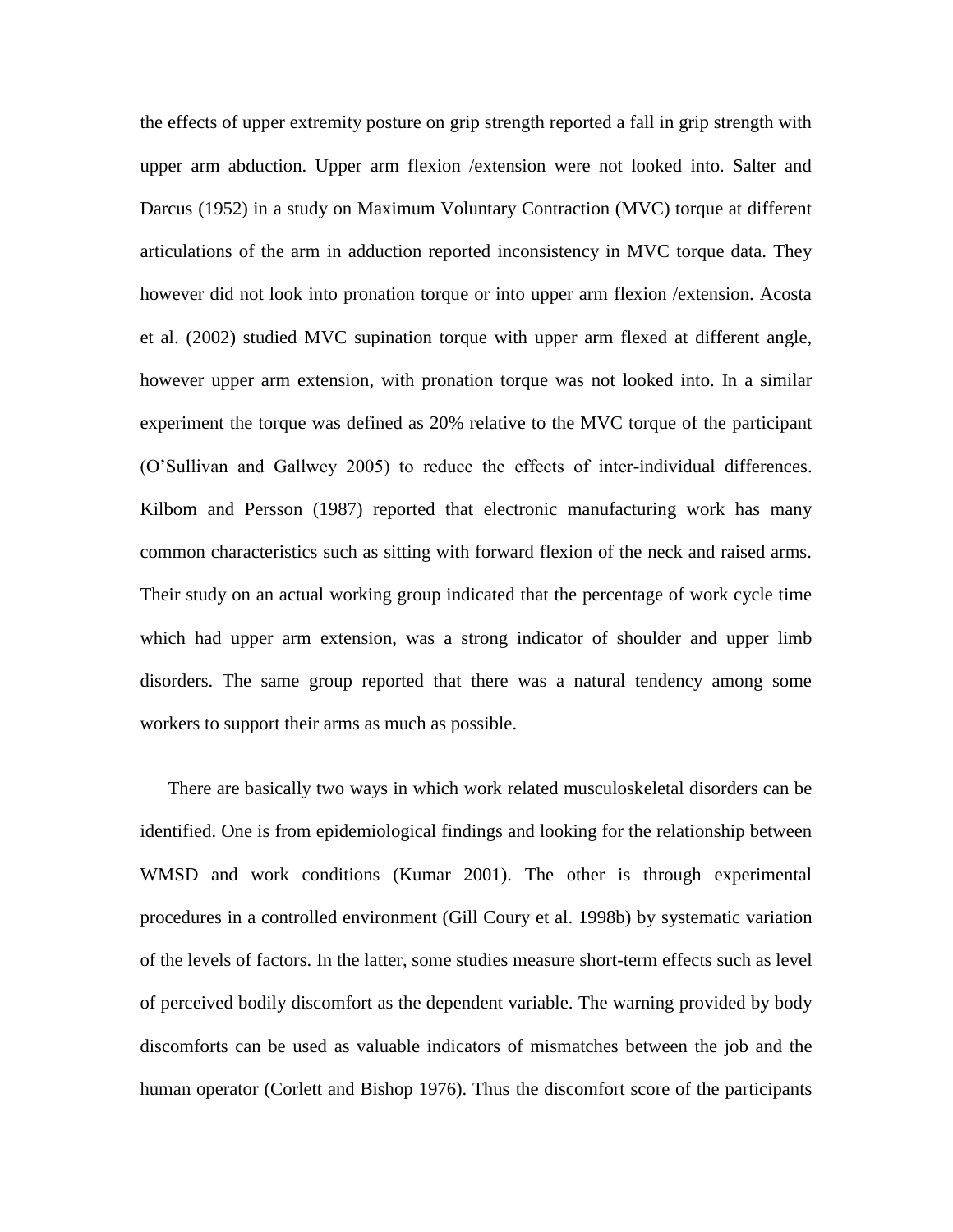the effects of upper extremity posture on grip strength reported a fall in grip strength with upper arm abduction. Upper arm flexion /extension were not looked into. Salter and Darcus (1952) in a study on Maximum Voluntary Contraction (MVC) torque at different articulations of the arm in adduction reported inconsistency in MVC torque data. They however did not look into pronation torque or into upper arm flexion /extension. Acosta et al. (2002) studied MVC supination torque with upper arm flexed at different angle, however upper arm extension, with pronation torque was not looked into. In a similar experiment the torque was defined as 20% relative to the MVC torque of the participant (O'Sullivan and Gallwey 2005) to reduce the effects of inter-individual differences. Kilbom and Persson (1987) reported that electronic manufacturing work has many common characteristics such as sitting with forward flexion of the neck and raised arms. Their study on an actual working group indicated that the percentage of work cycle time which had upper arm extension, was a strong indicator of shoulder and upper limb disorders. The same group reported that there was a natural tendency among some workers to support their arms as much as possible.

There are basically two ways in which work related musculoskeletal disorders can be identified. One is from epidemiological findings and looking for the relationship between WMSD and work conditions (Kumar 2001). The other is through experimental procedures in a controlled environment (Gill Coury et al. 1998b) by systematic variation of the levels of factors. In the latter, some studies measure short-term effects such as level of perceived bodily discomfort as the dependent variable. The warning provided by body discomforts can be used as valuable indicators of mismatches between the job and the human operator (Corlett and Bishop 1976). Thus the discomfort score of the participants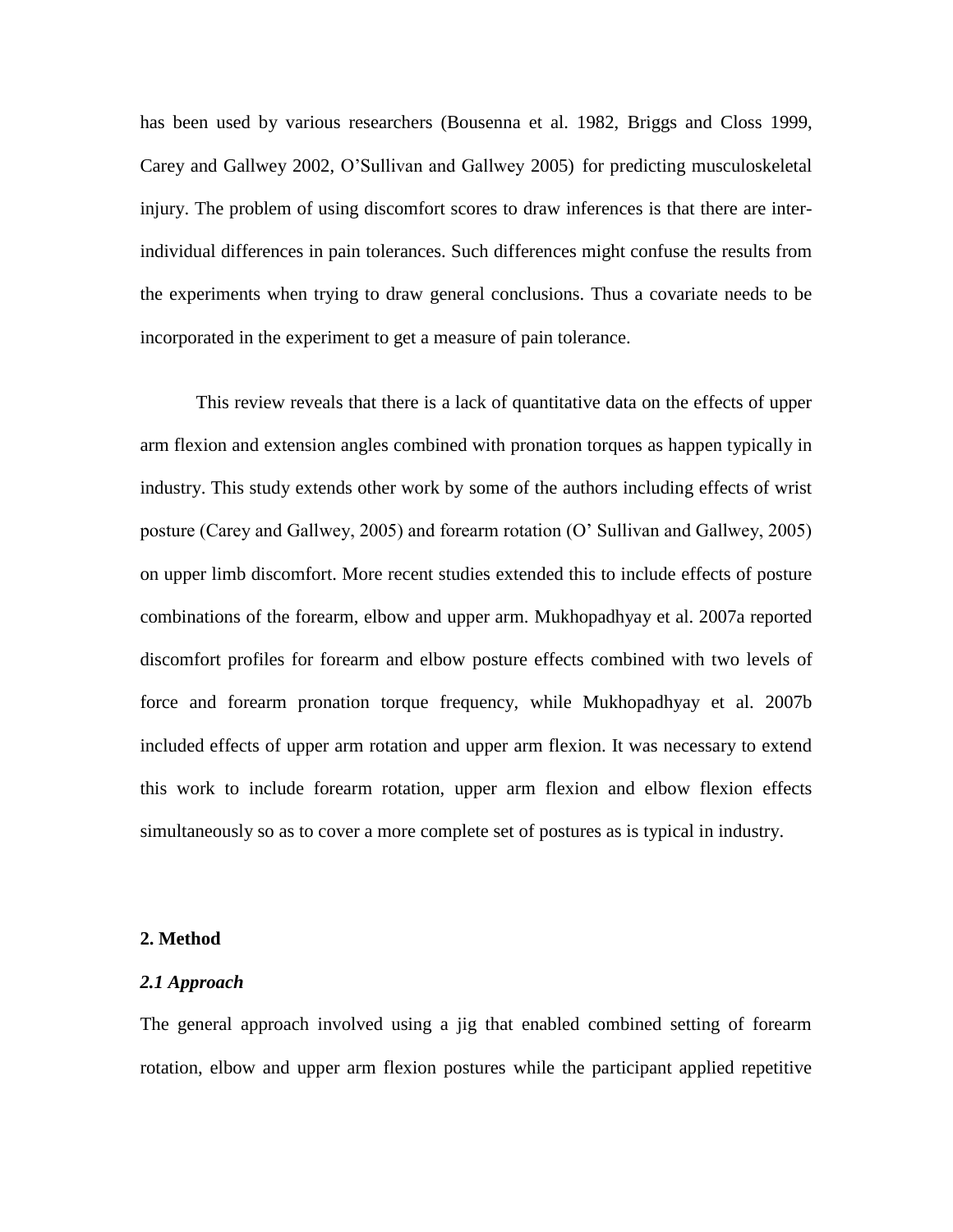has been used by various researchers (Bousenna et al. 1982, Briggs and Closs 1999, Carey and Gallwey 2002, O'Sullivan and Gallwey 2005) for predicting musculoskeletal injury. The problem of using discomfort scores to draw inferences is that there are interindividual differences in pain tolerances. Such differences might confuse the results from the experiments when trying to draw general conclusions. Thus a covariate needs to be incorporated in the experiment to get a measure of pain tolerance.

This review reveals that there is a lack of quantitative data on the effects of upper arm flexion and extension angles combined with pronation torques as happen typically in industry. This study extends other work by some of the authors including effects of wrist posture (Carey and Gallwey, 2005) and forearm rotation (O' Sullivan and Gallwey, 2005) on upper limb discomfort. More recent studies extended this to include effects of posture combinations of the forearm, elbow and upper arm. Mukhopadhyay et al. 2007a reported discomfort profiles for forearm and elbow posture effects combined with two levels of force and forearm pronation torque frequency, while Mukhopadhyay et al. 2007b included effects of upper arm rotation and upper arm flexion. It was necessary to extend this work to include forearm rotation, upper arm flexion and elbow flexion effects simultaneously so as to cover a more complete set of postures as is typical in industry.

#### **2. Method**

#### *2.1 Approach*

The general approach involved using a jig that enabled combined setting of forearm rotation, elbow and upper arm flexion postures while the participant applied repetitive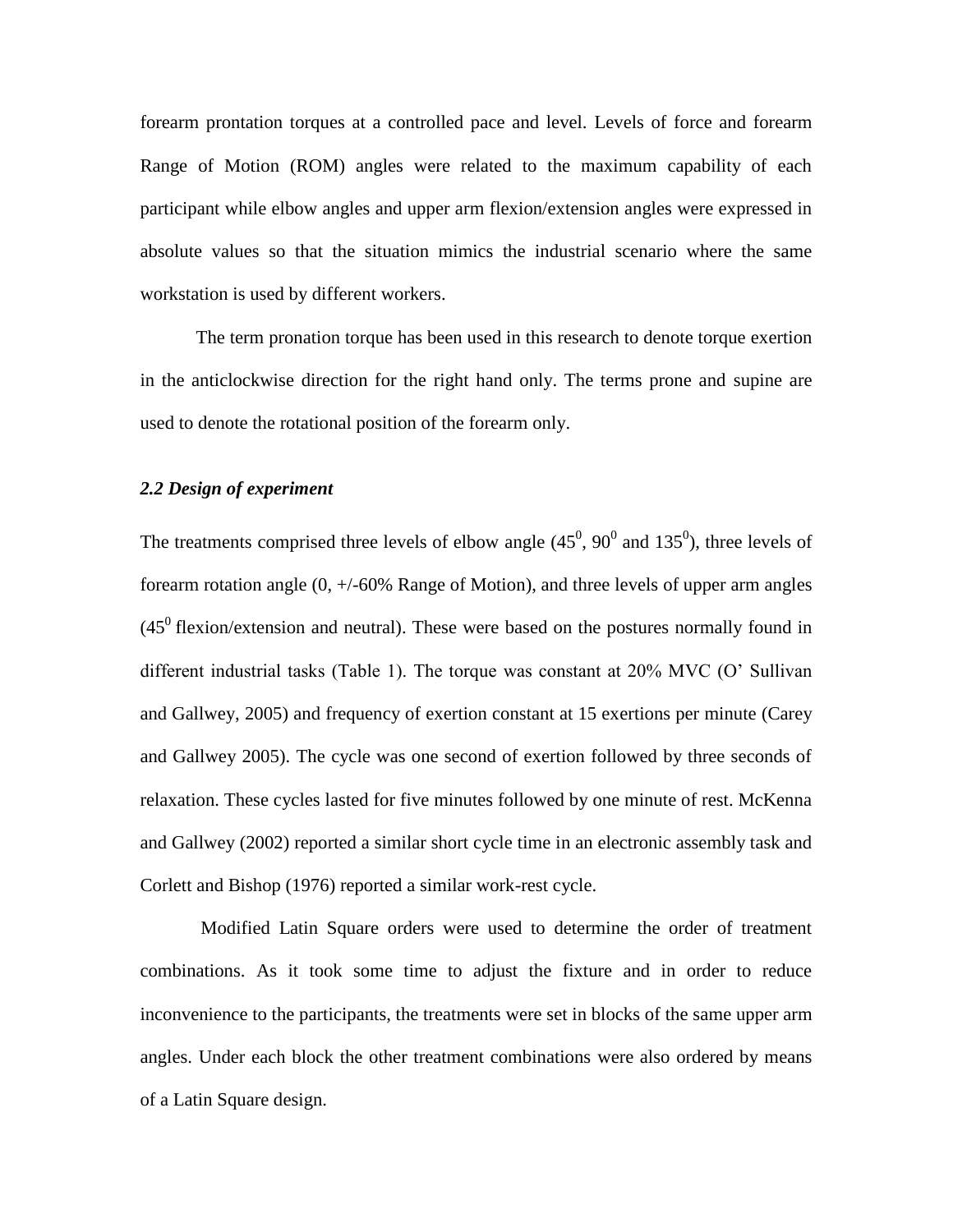forearm prontation torques at a controlled pace and level. Levels of force and forearm Range of Motion (ROM) angles were related to the maximum capability of each participant while elbow angles and upper arm flexion/extension angles were expressed in absolute values so that the situation mimics the industrial scenario where the same workstation is used by different workers.

The term pronation torque has been used in this research to denote torque exertion in the anticlockwise direction for the right hand only. The terms prone and supine are used to denote the rotational position of the forearm only.

#### *2.2 Design of experiment*

The treatments comprised three levels of elbow angle  $(45^0, 90^0$  and  $135^0)$ , three levels of forearm rotation angle (0, +/-60% Range of Motion), and three levels of upper arm angles  $(45<sup>0</sup>$  flexion/extension and neutral). These were based on the postures normally found in different industrial tasks (Table 1). The torque was constant at 20% MVC (O' Sullivan and Gallwey, 2005) and frequency of exertion constant at 15 exertions per minute (Carey and Gallwey 2005). The cycle was one second of exertion followed by three seconds of relaxation. These cycles lasted for five minutes followed by one minute of rest. McKenna and Gallwey (2002) reported a similar short cycle time in an electronic assembly task and Corlett and Bishop (1976) reported a similar work-rest cycle.

Modified Latin Square orders were used to determine the order of treatment combinations. As it took some time to adjust the fixture and in order to reduce inconvenience to the participants, the treatments were set in blocks of the same upper arm angles. Under each block the other treatment combinations were also ordered by means of a Latin Square design.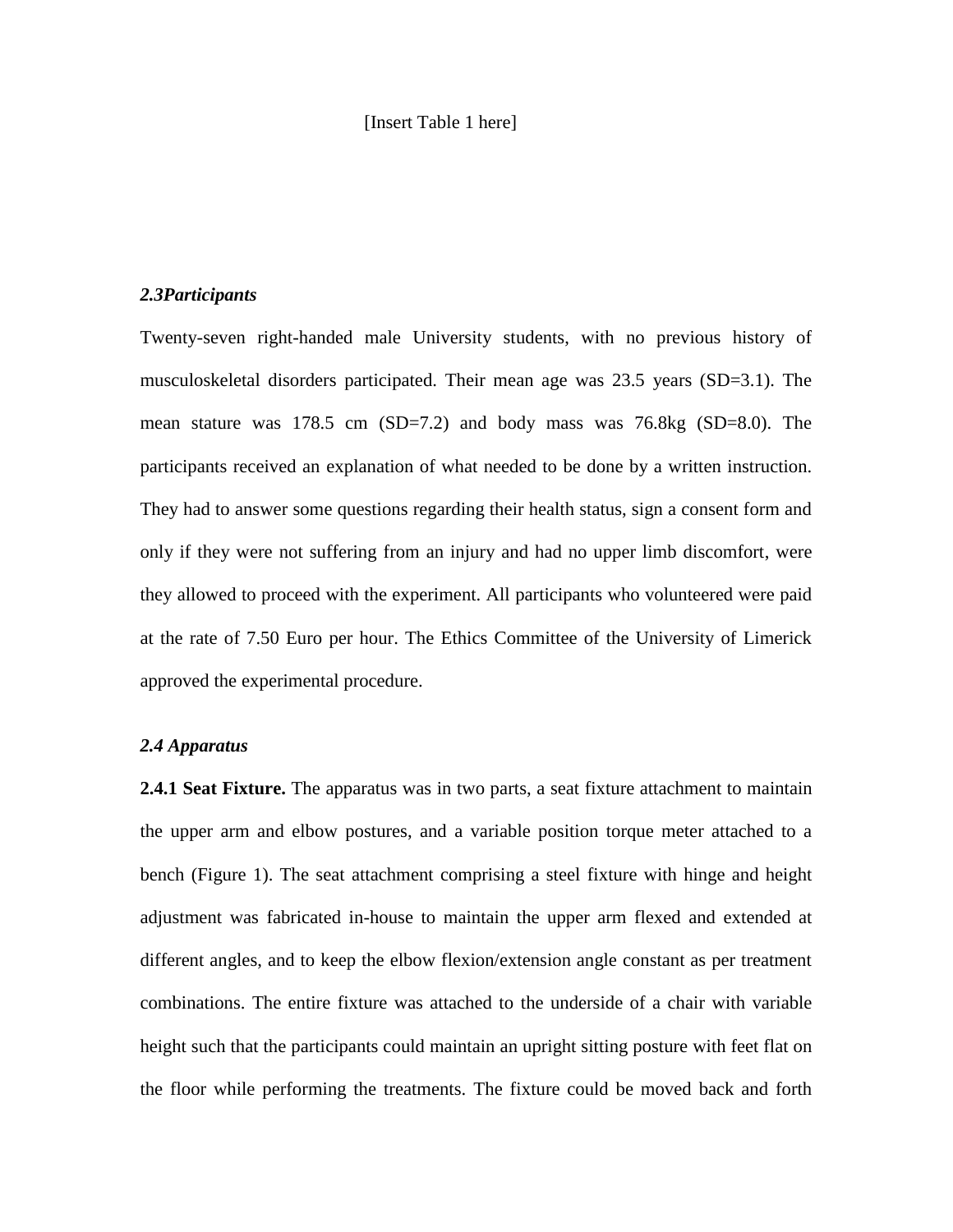#### [Insert Table 1 here]

#### *2.3Participants*

Twenty-seven right-handed male University students, with no previous history of musculoskeletal disorders participated. Their mean age was 23.5 years (SD=3.1). The mean stature was 178.5 cm (SD=7.2) and body mass was 76.8kg (SD=8.0). The participants received an explanation of what needed to be done by a written instruction. They had to answer some questions regarding their health status, sign a consent form and only if they were not suffering from an injury and had no upper limb discomfort, were they allowed to proceed with the experiment. All participants who volunteered were paid at the rate of 7.50 Euro per hour. The Ethics Committee of the University of Limerick approved the experimental procedure.

#### *2.4 Apparatus*

**2.4.1 Seat Fixture.** The apparatus was in two parts, a seat fixture attachment to maintain the upper arm and elbow postures, and a variable position torque meter attached to a bench (Figure 1). The seat attachment comprising a steel fixture with hinge and height adjustment was fabricated in-house to maintain the upper arm flexed and extended at different angles, and to keep the elbow flexion/extension angle constant as per treatment combinations. The entire fixture was attached to the underside of a chair with variable height such that the participants could maintain an upright sitting posture with feet flat on the floor while performing the treatments. The fixture could be moved back and forth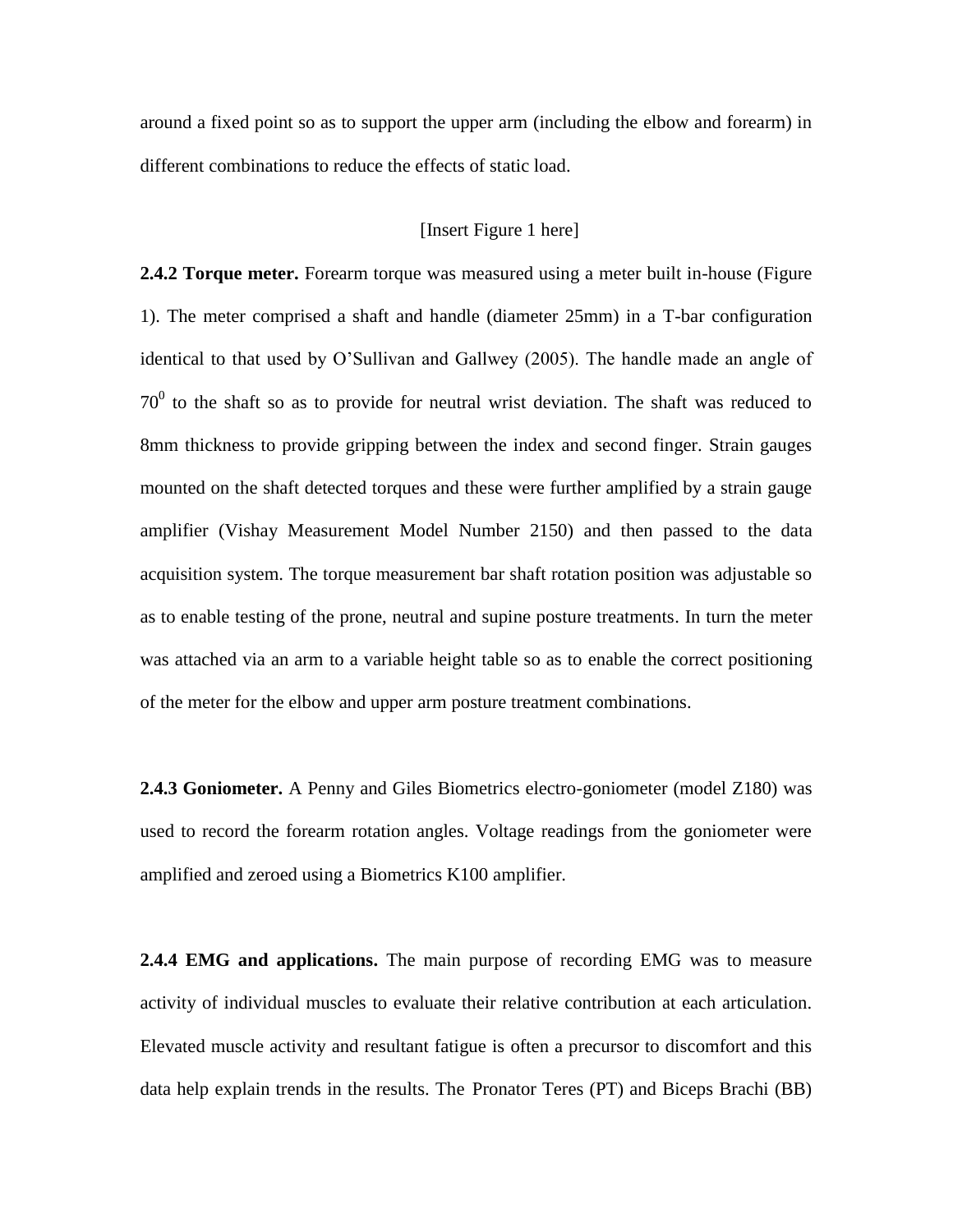around a fixed point so as to support the upper arm (including the elbow and forearm) in different combinations to reduce the effects of static load.

#### [Insert Figure 1 here]

**2.4.2 Torque meter.** Forearm torque was measured using a meter built in-house (Figure 1). The meter comprised a shaft and handle (diameter 25mm) in a T-bar configuration identical to that used by O'Sullivan and Gallwey (2005). The handle made an angle of  $70<sup>0</sup>$  to the shaft so as to provide for neutral wrist deviation. The shaft was reduced to 8mm thickness to provide gripping between the index and second finger. Strain gauges mounted on the shaft detected torques and these were further amplified by a strain gauge amplifier (Vishay Measurement Model Number 2150) and then passed to the data acquisition system. The torque measurement bar shaft rotation position was adjustable so as to enable testing of the prone, neutral and supine posture treatments. In turn the meter was attached via an arm to a variable height table so as to enable the correct positioning of the meter for the elbow and upper arm posture treatment combinations.

**2.4.3 Goniometer.** A Penny and Giles Biometrics electro-goniometer (model Z180) was used to record the forearm rotation angles. Voltage readings from the goniometer were amplified and zeroed using a Biometrics K100 amplifier.

**2.4.4 EMG and applications.** The main purpose of recording EMG was to measure activity of individual muscles to evaluate their relative contribution at each articulation. Elevated muscle activity and resultant fatigue is often a precursor to discomfort and this data help explain trends in the results. The Pronator Teres (PT) and Biceps Brachi (BB)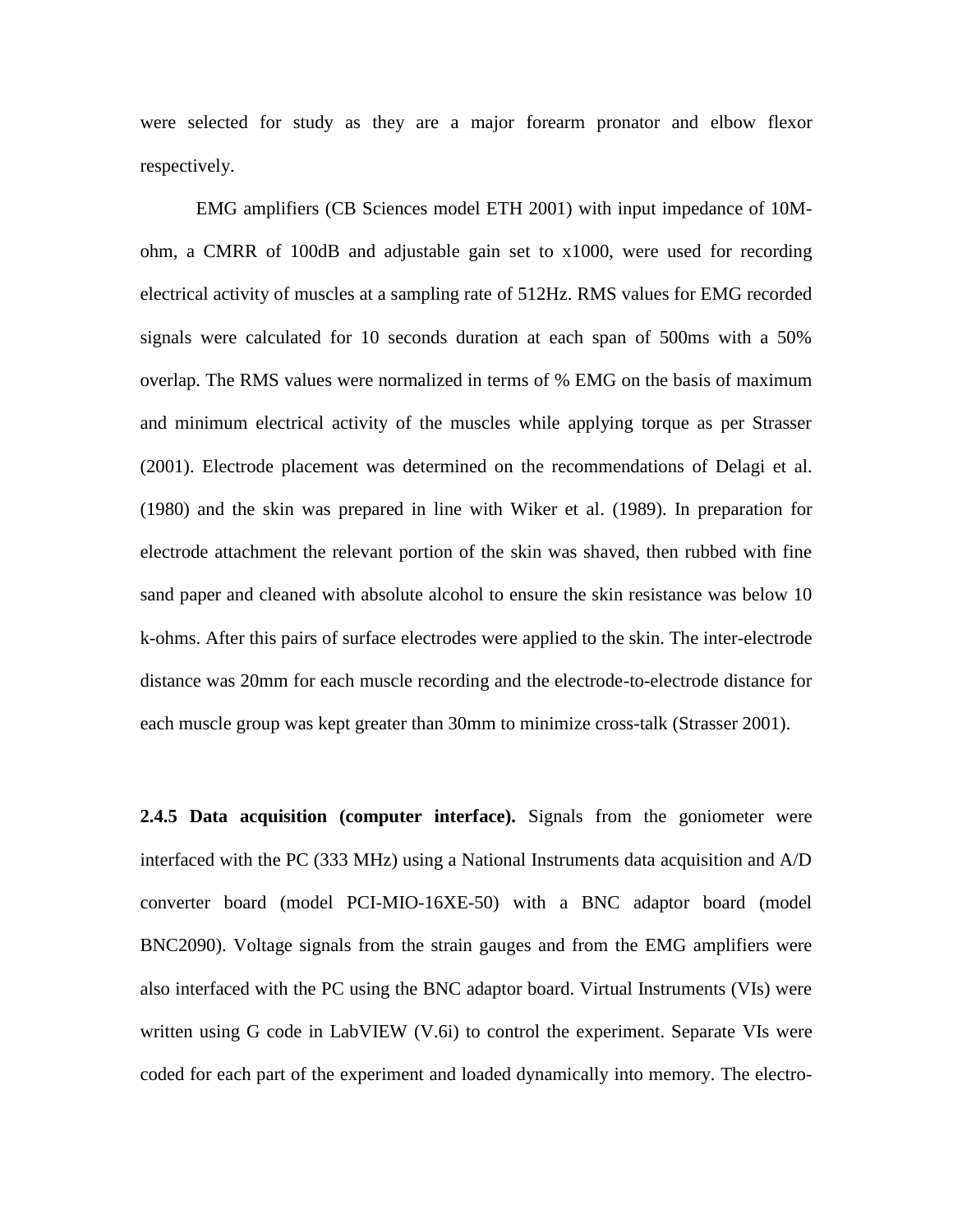were selected for study as they are a major forearm pronator and elbow flexor respectively.

EMG amplifiers (CB Sciences model ETH 2001) with input impedance of 10Mohm, a CMRR of 100dB and adjustable gain set to x1000, were used for recording electrical activity of muscles at a sampling rate of 512Hz. RMS values for EMG recorded signals were calculated for 10 seconds duration at each span of 500ms with a 50% overlap. The RMS values were normalized in terms of % EMG on the basis of maximum and minimum electrical activity of the muscles while applying torque as per Strasser (2001). Electrode placement was determined on the recommendations of Delagi et al. (1980) and the skin was prepared in line with Wiker et al. (1989). In preparation for electrode attachment the relevant portion of the skin was shaved, then rubbed with fine sand paper and cleaned with absolute alcohol to ensure the skin resistance was below 10 k-ohms. After this pairs of surface electrodes were applied to the skin. The inter-electrode distance was 20mm for each muscle recording and the electrode-to-electrode distance for each muscle group was kept greater than 30mm to minimize cross-talk (Strasser 2001).

**2.4.5 Data acquisition (computer interface).** Signals from the goniometer were interfaced with the PC (333 MHz) using a National Instruments data acquisition and A/D converter board (model PCI-MIO-16XE-50) with a BNC adaptor board (model BNC2090). Voltage signals from the strain gauges and from the EMG amplifiers were also interfaced with the PC using the BNC adaptor board. Virtual Instruments (VIs) were written using G code in LabVIEW (V.6i) to control the experiment. Separate VIs were coded for each part of the experiment and loaded dynamically into memory. The electro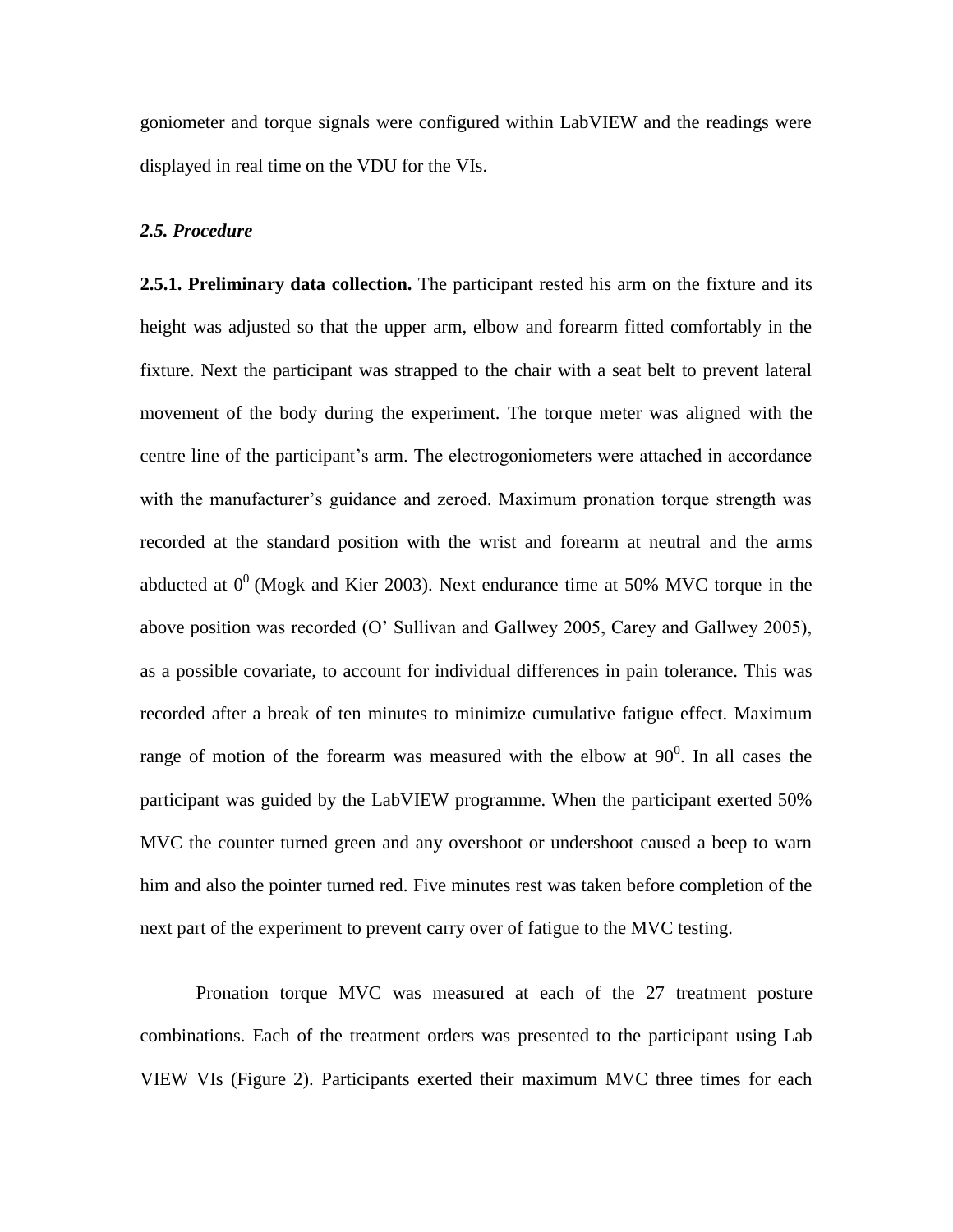goniometer and torque signals were configured within LabVIEW and the readings were displayed in real time on the VDU for the VIs.

#### *2.5. Procedure*

**2.5.1. Preliminary data collection.** The participant rested his arm on the fixture and its height was adjusted so that the upper arm, elbow and forearm fitted comfortably in the fixture. Next the participant was strapped to the chair with a seat belt to prevent lateral movement of the body during the experiment. The torque meter was aligned with the centre line of the participant's arm. The electrogoniometers were attached in accordance with the manufacturer's guidance and zeroed. Maximum pronation torque strength was recorded at the standard position with the wrist and forearm at neutral and the arms abducted at  $0^0$  (Mogk and Kier 2003). Next endurance time at 50% MVC torque in the above position was recorded (O' Sullivan and Gallwey 2005, Carey and Gallwey 2005), as a possible covariate, to account for individual differences in pain tolerance. This was recorded after a break of ten minutes to minimize cumulative fatigue effect. Maximum range of motion of the forearm was measured with the elbow at  $90^0$ . In all cases the participant was guided by the LabVIEW programme. When the participant exerted 50% MVC the counter turned green and any overshoot or undershoot caused a beep to warn him and also the pointer turned red. Five minutes rest was taken before completion of the next part of the experiment to prevent carry over of fatigue to the MVC testing.

Pronation torque MVC was measured at each of the 27 treatment posture combinations. Each of the treatment orders was presented to the participant using Lab VIEW VIs (Figure 2). Participants exerted their maximum MVC three times for each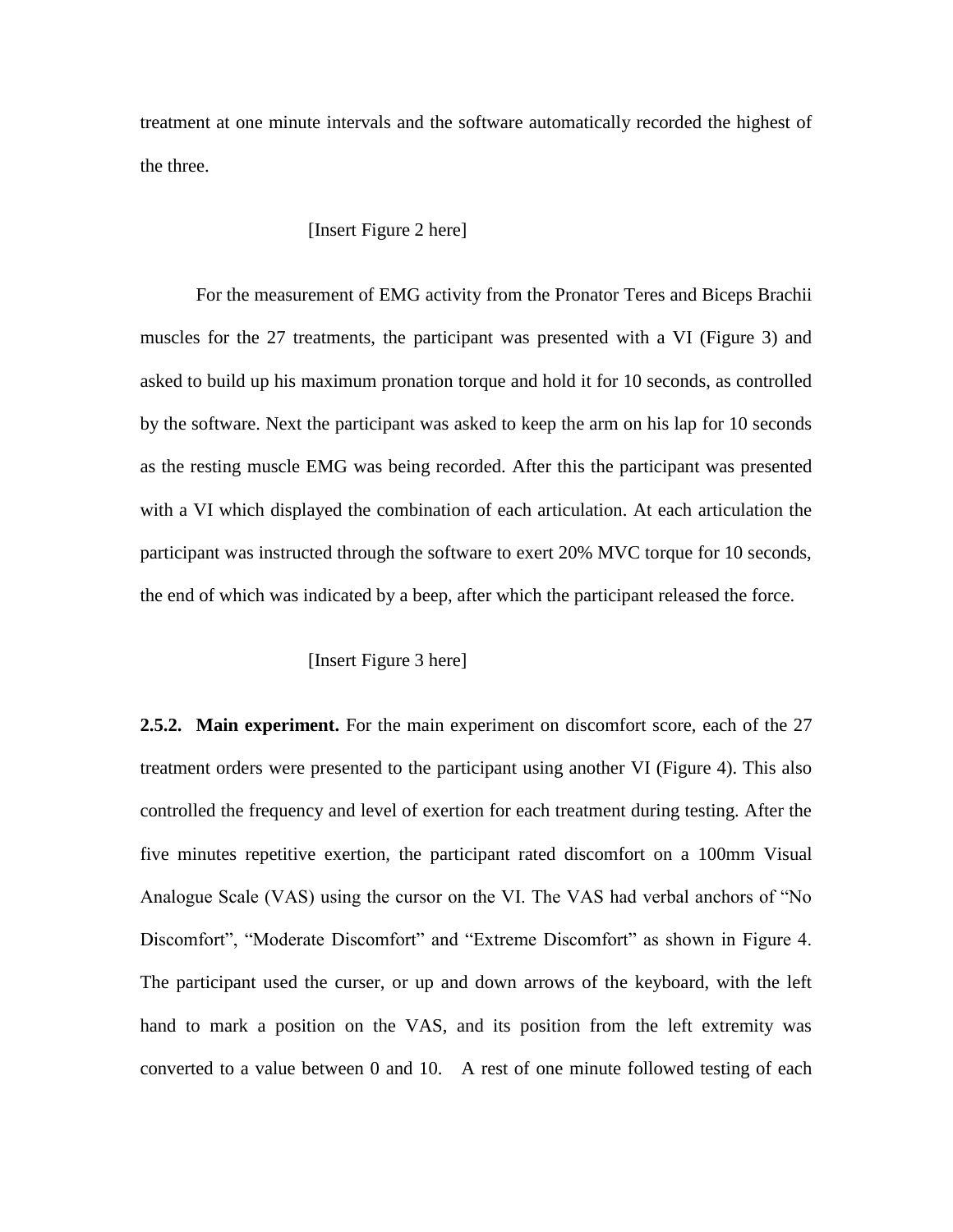treatment at one minute intervals and the software automatically recorded the highest of the three.

#### [Insert Figure 2 here]

For the measurement of EMG activity from the Pronator Teres and Biceps Brachii muscles for the 27 treatments, the participant was presented with a VI (Figure 3) and asked to build up his maximum pronation torque and hold it for 10 seconds, as controlled by the software. Next the participant was asked to keep the arm on his lap for 10 seconds as the resting muscle EMG was being recorded. After this the participant was presented with a VI which displayed the combination of each articulation. At each articulation the participant was instructed through the software to exert 20% MVC torque for 10 seconds, the end of which was indicated by a beep, after which the participant released the force.

#### [Insert Figure 3 here]

**2.5.2. Main experiment.** For the main experiment on discomfort score, each of the 27 treatment orders were presented to the participant using another VI (Figure 4). This also controlled the frequency and level of exertion for each treatment during testing. After the five minutes repetitive exertion, the participant rated discomfort on a 100mm Visual Analogue Scale (VAS) using the cursor on the VI. The VAS had verbal anchors of "No Discomfort", "Moderate Discomfort" and "Extreme Discomfort" as shown in Figure 4. The participant used the curser, or up and down arrows of the keyboard, with the left hand to mark a position on the VAS, and its position from the left extremity was converted to a value between 0 and 10. A rest of one minute followed testing of each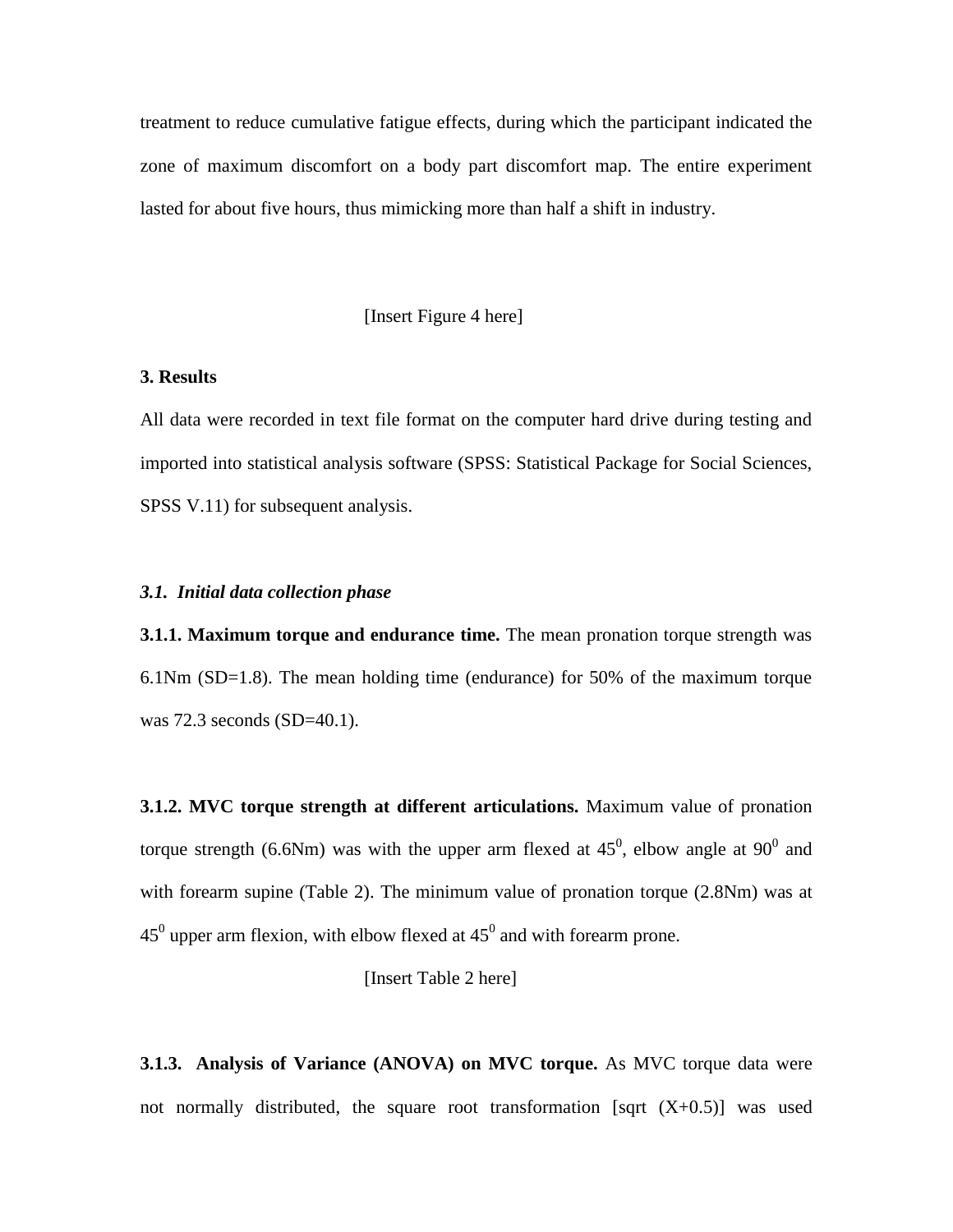treatment to reduce cumulative fatigue effects, during which the participant indicated the zone of maximum discomfort on a body part discomfort map. The entire experiment lasted for about five hours, thus mimicking more than half a shift in industry.

[Insert Figure 4 here]

#### **3. Results**

All data were recorded in text file format on the computer hard drive during testing and imported into statistical analysis software (SPSS: Statistical Package for Social Sciences, SPSS V.11) for subsequent analysis.

#### *3.1. Initial data collection phase*

**3.1.1. Maximum torque and endurance time.** The mean pronation torque strength was 6.1Nm (SD=1.8). The mean holding time (endurance) for 50% of the maximum torque was 72.3 seconds (SD=40.1).

**3.1.2. MVC torque strength at different articulations.** Maximum value of pronation torque strength (6.6Nm) was with the upper arm flexed at  $45^{\circ}$ , elbow angle at  $90^{\circ}$  and with forearm supine (Table 2). The minimum value of pronation torque (2.8Nm) was at 45<sup>0</sup> upper arm flexion, with elbow flexed at  $45^0$  and with forearm prone.

[Insert Table 2 here]

**3.1.3. Analysis of Variance (ANOVA) on MVC torque.** As MVC torque data were not normally distributed, the square root transformation [sqrt  $(X+0.5)$ ] was used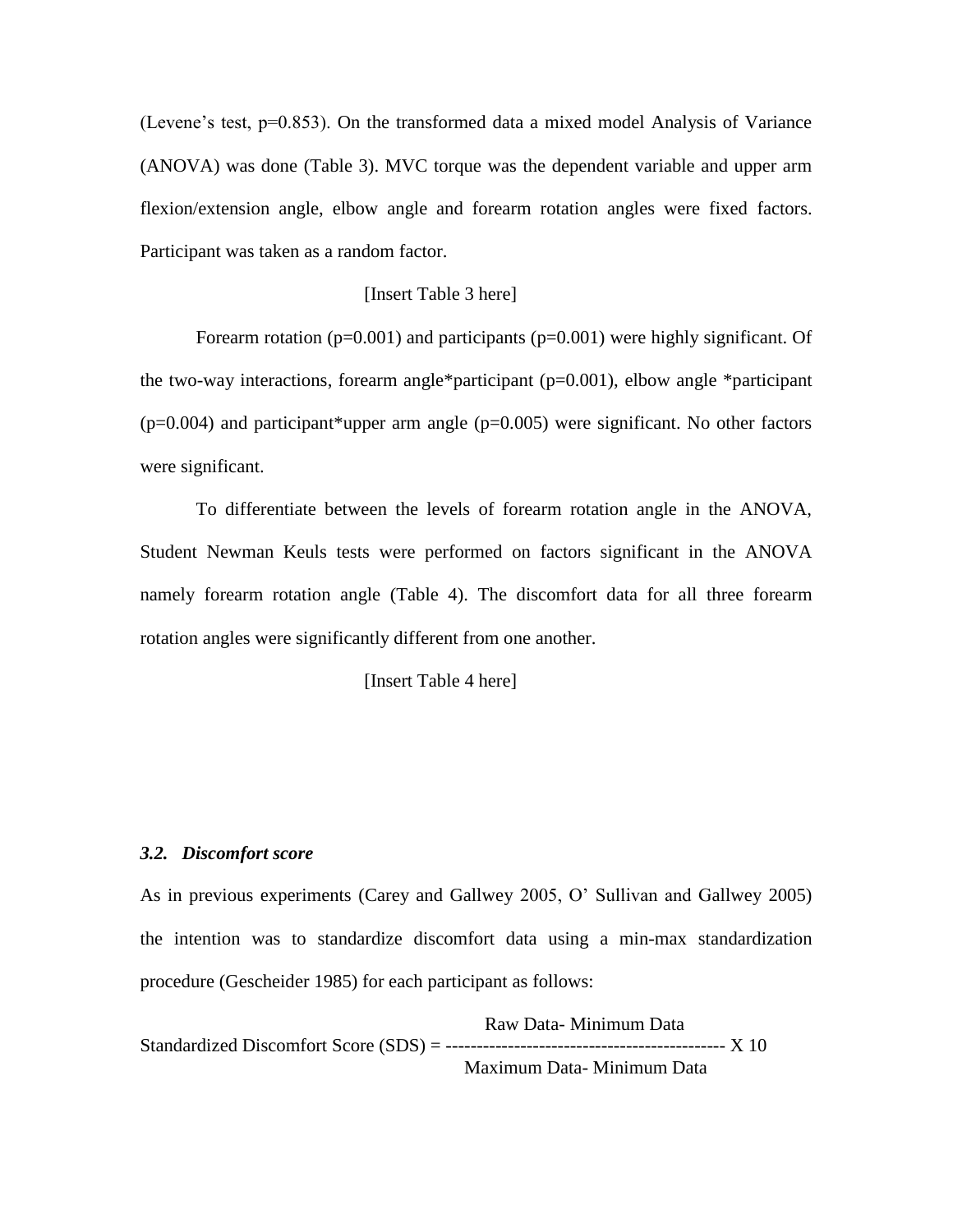(Levene's test, p=0.853). On the transformed data a mixed model Analysis of Variance (ANOVA) was done (Table 3). MVC torque was the dependent variable and upper arm flexion/extension angle, elbow angle and forearm rotation angles were fixed factors. Participant was taken as a random factor.

#### [Insert Table 3 here]

Forearm rotation ( $p=0.001$ ) and participants ( $p=0.001$ ) were highly significant. Of the two-way interactions, forearm angle\*participant (p=0.001), elbow angle \*participant  $(p=0.004)$  and participant\*upper arm angle  $(p=0.005)$  were significant. No other factors were significant.

To differentiate between the levels of forearm rotation angle in the ANOVA, Student Newman Keuls tests were performed on factors significant in the ANOVA namely forearm rotation angle (Table 4). The discomfort data for all three forearm rotation angles were significantly different from one another.

[Insert Table 4 here]

#### *3.2. Discomfort score*

As in previous experiments (Carey and Gallwey 2005, O' Sullivan and Gallwey 2005) the intention was to standardize discomfort data using a min-max standardization procedure (Gescheider 1985) for each participant as follows:

 Raw Data- Minimum Data Standardized Discomfort Score (SDS) = --------------------------------------------- X 10 Maximum Data- Minimum Data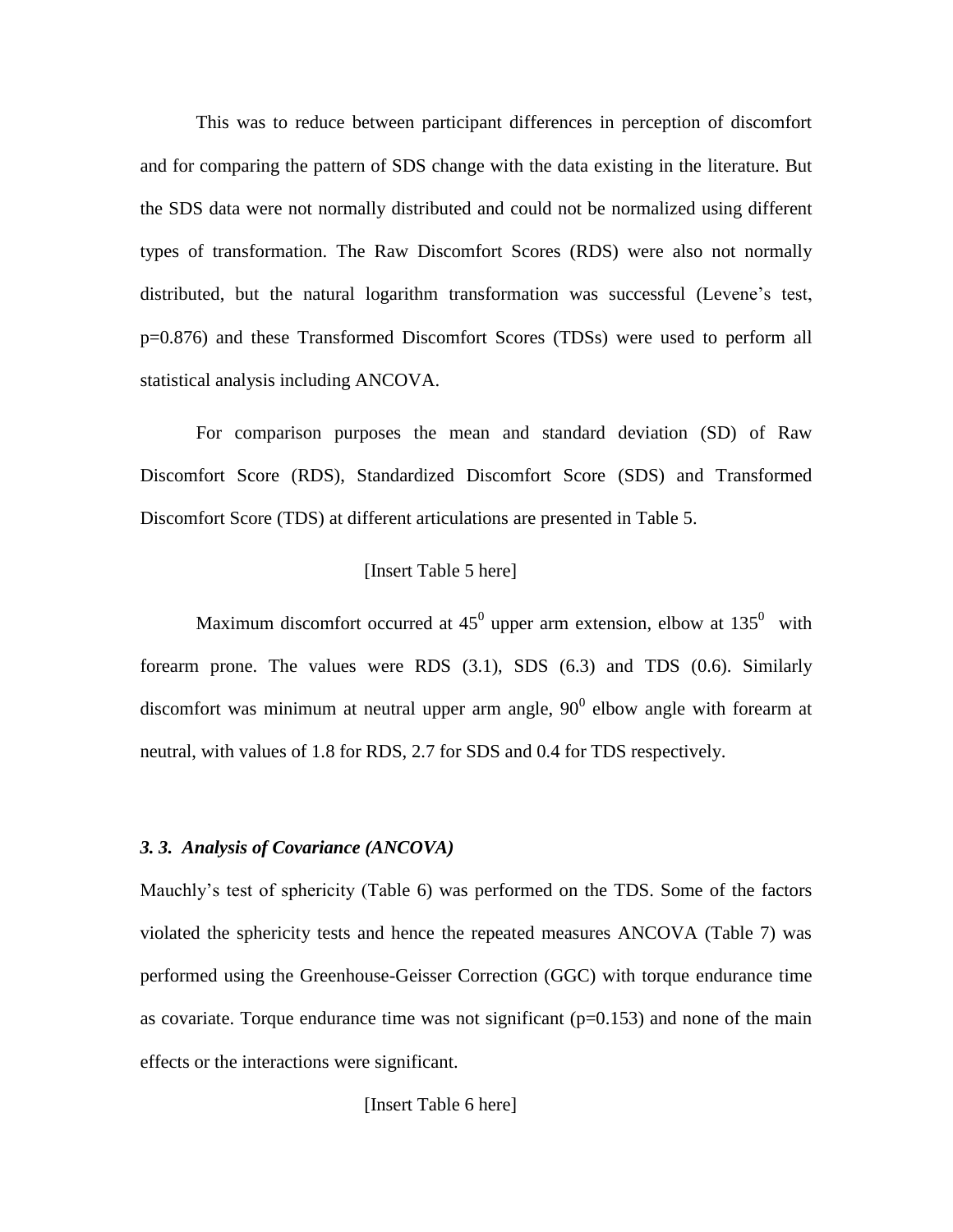This was to reduce between participant differences in perception of discomfort and for comparing the pattern of SDS change with the data existing in the literature. But the SDS data were not normally distributed and could not be normalized using different types of transformation. The Raw Discomfort Scores (RDS) were also not normally distributed, but the natural logarithm transformation was successful (Levene's test, p=0.876) and these Transformed Discomfort Scores (TDSs) were used to perform all statistical analysis including ANCOVA.

For comparison purposes the mean and standard deviation (SD) of Raw Discomfort Score (RDS), Standardized Discomfort Score (SDS) and Transformed Discomfort Score (TDS) at different articulations are presented in Table 5.

#### [Insert Table 5 here]

Maximum discomfort occurred at  $45^0$  upper arm extension, elbow at  $135^0$  with forearm prone. The values were RDS (3.1), SDS (6.3) and TDS (0.6). Similarly discomfort was minimum at neutral upper arm angle,  $90^0$  elbow angle with forearm at neutral, with values of 1.8 for RDS, 2.7 for SDS and 0.4 for TDS respectively.

#### *3. 3. Analysis of Covariance (ANCOVA)*

Mauchly's test of sphericity (Table 6) was performed on the TDS. Some of the factors violated the sphericity tests and hence the repeated measures ANCOVA (Table 7) was performed using the Greenhouse-Geisser Correction (GGC) with torque endurance time as covariate. Torque endurance time was not significant  $(p=0.153)$  and none of the main effects or the interactions were significant.

[Insert Table 6 here]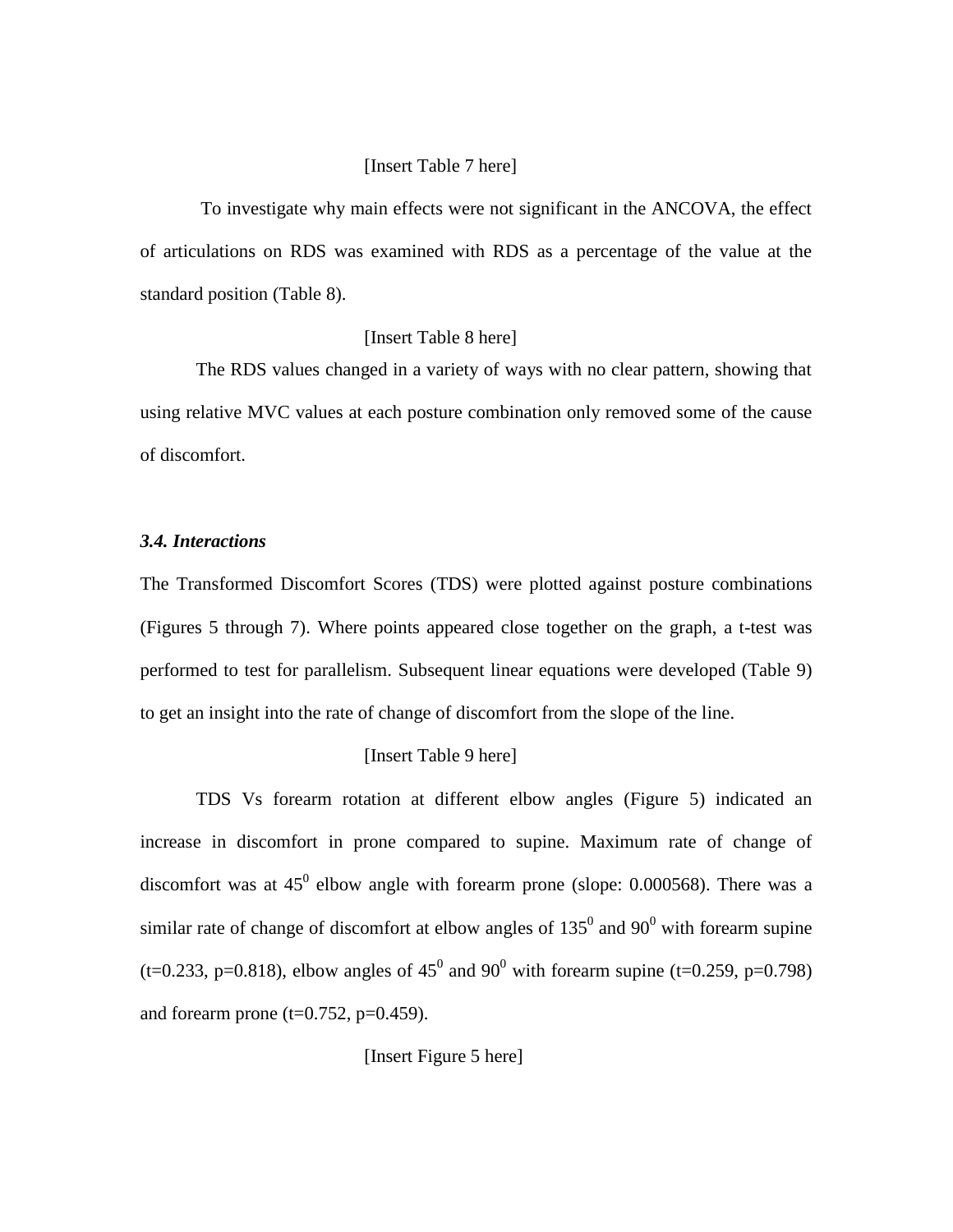#### [Insert Table 7 here]

To investigate why main effects were not significant in the ANCOVA, the effect of articulations on RDS was examined with RDS as a percentage of the value at the standard position (Table 8).

#### [Insert Table 8 here]

The RDS values changed in a variety of ways with no clear pattern, showing that using relative MVC values at each posture combination only removed some of the cause of discomfort.

#### *3.4. Interactions*

The Transformed Discomfort Scores (TDS) were plotted against posture combinations (Figures 5 through 7). Where points appeared close together on the graph, a t-test was performed to test for parallelism. Subsequent linear equations were developed (Table 9) to get an insight into the rate of change of discomfort from the slope of the line.

#### [Insert Table 9 here]

TDS Vs forearm rotation at different elbow angles (Figure 5) indicated an increase in discomfort in prone compared to supine. Maximum rate of change of discomfort was at  $45^0$  elbow angle with forearm prone (slope: 0.000568). There was a similar rate of change of discomfort at elbow angles of  $135^{\circ}$  and  $90^{\circ}$  with forearm supine (t=0.233, p=0.818), elbow angles of  $45^{\circ}$  and  $90^{\circ}$  with forearm supine (t=0.259, p=0.798) and forearm prone ( $t=0.752$ ,  $p=0.459$ ).

[Insert Figure 5 here]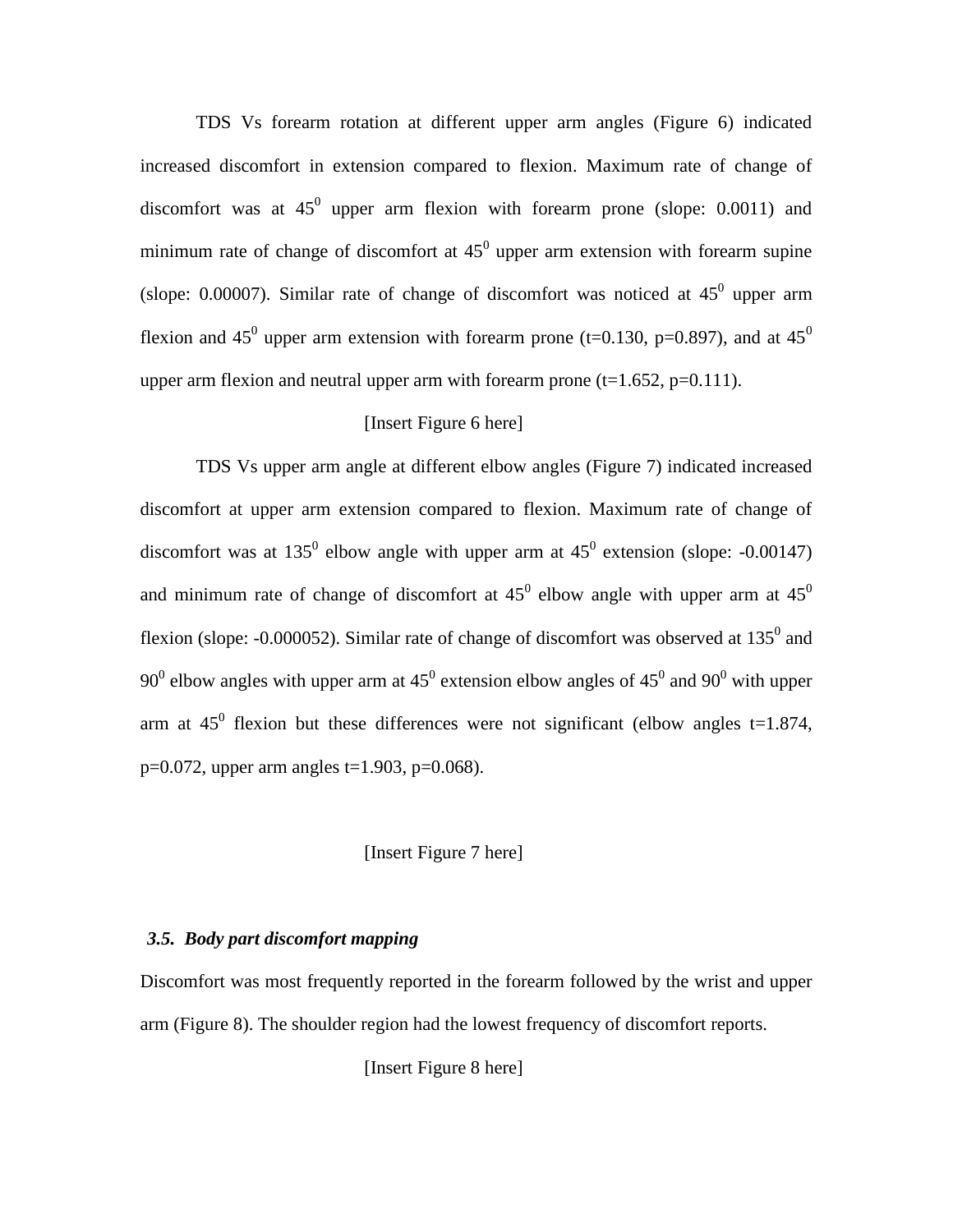TDS Vs forearm rotation at different upper arm angles (Figure 6) indicated increased discomfort in extension compared to flexion. Maximum rate of change of discomfort was at  $45^0$  upper arm flexion with forearm prone (slope: 0.0011) and minimum rate of change of discomfort at  $45^0$  upper arm extension with forearm supine (slope: 0.00007). Similar rate of change of discomfort was noticed at  $45^{\circ}$  upper arm flexion and 45<sup>0</sup> upper arm extension with forearm prone (t=0.130, p=0.897), and at 45<sup>0</sup> upper arm flexion and neutral upper arm with forearm prone  $(t=1.652, p=0.111)$ .

#### [Insert Figure 6 here]

TDS Vs upper arm angle at different elbow angles (Figure 7) indicated increased discomfort at upper arm extension compared to flexion. Maximum rate of change of discomfort was at 135<sup>0</sup> elbow angle with upper arm at  $45^0$  extension (slope: -0.00147) and minimum rate of change of discomfort at  $45^{\circ}$  elbow angle with upper arm at  $45^{\circ}$ flexion (slope: -0.000052). Similar rate of change of discomfort was observed at  $135^0$  and 90<sup>0</sup> elbow angles with upper arm at 45<sup>0</sup> extension elbow angles of 45<sup>0</sup> and 90<sup>0</sup> with upper arm at  $45^{\circ}$  flexion but these differences were not significant (elbow angles t=1.874,  $p=0.072$ , upper arm angles t=1.903, p=0.068).

#### [Insert Figure 7 here]

#### *3.5. Body part discomfort mapping*

Discomfort was most frequently reported in the forearm followed by the wrist and upper arm (Figure 8). The shoulder region had the lowest frequency of discomfort reports.

[Insert Figure 8 here]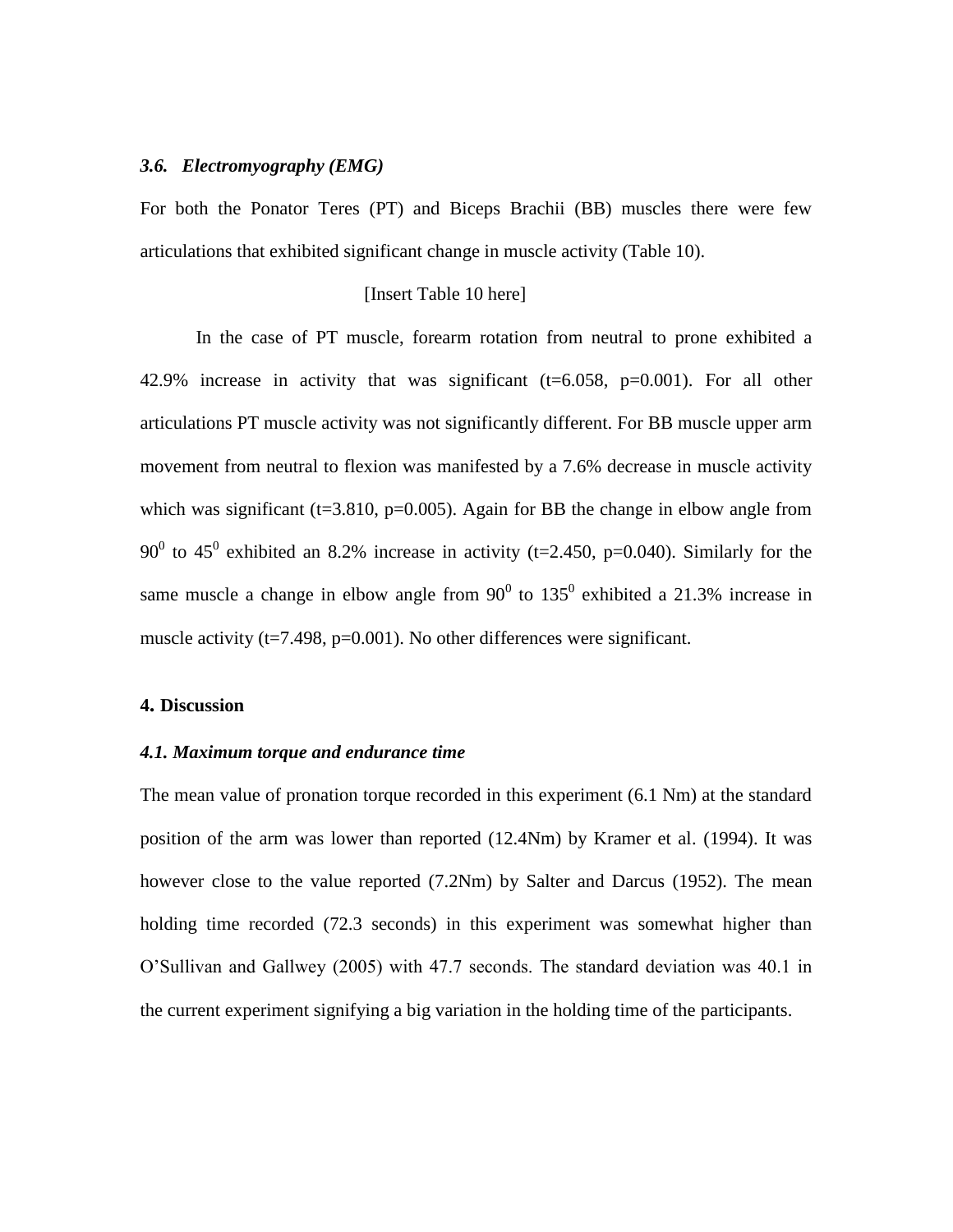#### *3.6. Electromyography (EMG)*

For both the Ponator Teres (PT) and Biceps Brachii (BB) muscles there were few articulations that exhibited significant change in muscle activity (Table 10).

#### [Insert Table 10 here]

In the case of PT muscle, forearm rotation from neutral to prone exhibited a 42.9% increase in activity that was significant  $(t=6.058, p=0.001)$ . For all other articulations PT muscle activity was not significantly different. For BB muscle upper arm movement from neutral to flexion was manifested by a 7.6% decrease in muscle activity which was significant ( $t=3.810$ ,  $p=0.005$ ). Again for BB the change in elbow angle from 90<sup>0</sup> to 45<sup>0</sup> exhibited an 8.2% increase in activity (t=2.450, p=0.040). Similarly for the same muscle a change in elbow angle from  $90^0$  to  $135^0$  exhibited a 21.3% increase in muscle activity ( $t=7.498$ ,  $p=0.001$ ). No other differences were significant.

#### **4. Discussion**

#### *4.1. Maximum torque and endurance time*

The mean value of pronation torque recorded in this experiment (6.1 Nm) at the standard position of the arm was lower than reported (12.4Nm) by Kramer et al. (1994). It was however close to the value reported (7.2Nm) by Salter and Darcus (1952). The mean holding time recorded (72.3 seconds) in this experiment was somewhat higher than O'Sullivan and Gallwey (2005) with 47.7 seconds. The standard deviation was 40.1 in the current experiment signifying a big variation in the holding time of the participants.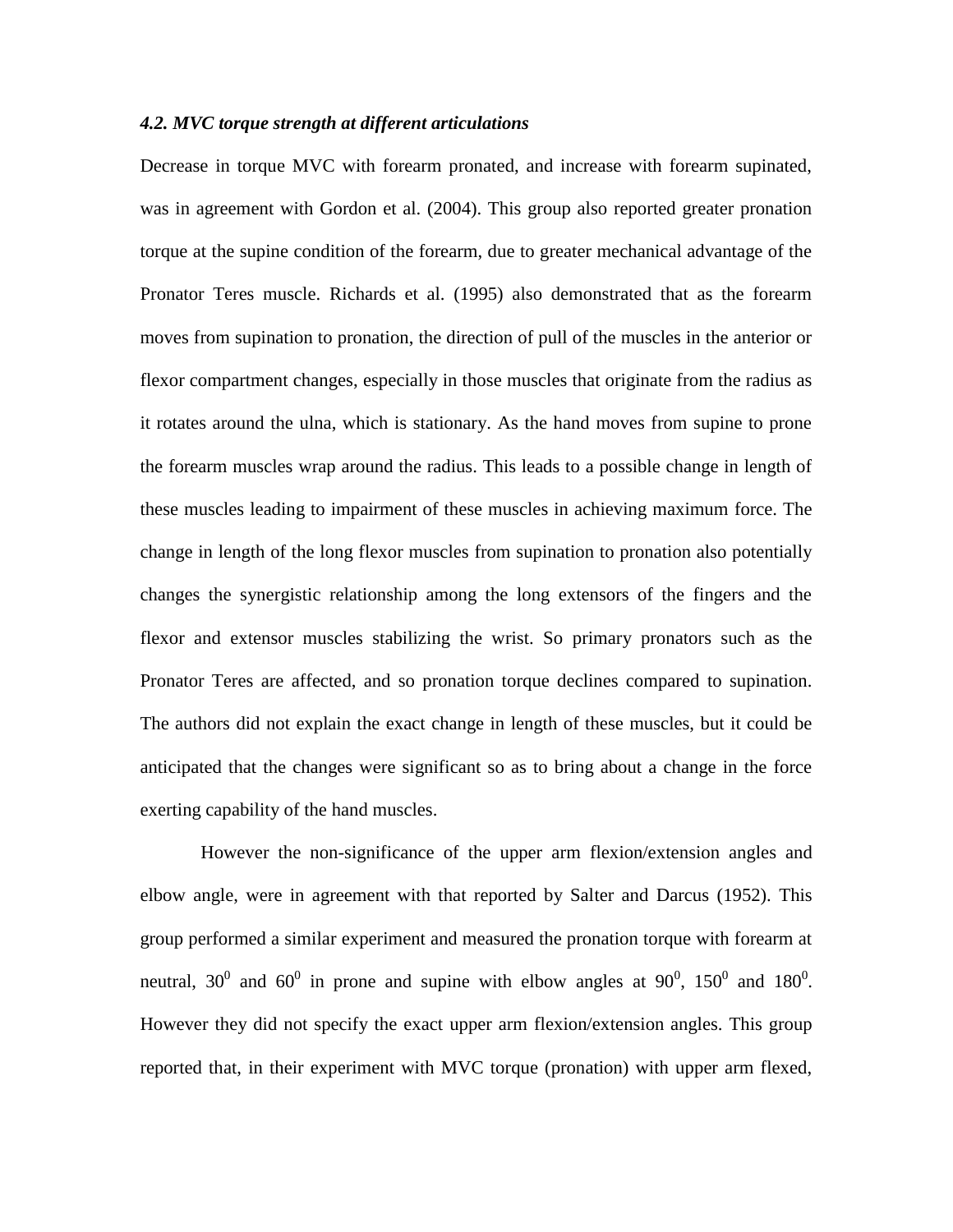#### *4.2. MVC torque strength at different articulations*

Decrease in torque MVC with forearm pronated, and increase with forearm supinated, was in agreement with Gordon et al. (2004). This group also reported greater pronation torque at the supine condition of the forearm, due to greater mechanical advantage of the Pronator Teres muscle. Richards et al. (1995) also demonstrated that as the forearm moves from supination to pronation, the direction of pull of the muscles in the anterior or flexor compartment changes, especially in those muscles that originate from the radius as it rotates around the ulna, which is stationary. As the hand moves from supine to prone the forearm muscles wrap around the radius. This leads to a possible change in length of these muscles leading to impairment of these muscles in achieving maximum force. The change in length of the long flexor muscles from supination to pronation also potentially changes the synergistic relationship among the long extensors of the fingers and the flexor and extensor muscles stabilizing the wrist. So primary pronators such as the Pronator Teres are affected, and so pronation torque declines compared to supination. The authors did not explain the exact change in length of these muscles, but it could be anticipated that the changes were significant so as to bring about a change in the force exerting capability of the hand muscles.

However the non-significance of the upper arm flexion/extension angles and elbow angle, were in agreement with that reported by Salter and Darcus (1952). This group performed a similar experiment and measured the pronation torque with forearm at neutral,  $30^0$  and  $60^0$  in prone and supine with elbow angles at  $90^0$ ,  $150^0$  and  $180^0$ . However they did not specify the exact upper arm flexion/extension angles. This group reported that, in their experiment with MVC torque (pronation) with upper arm flexed,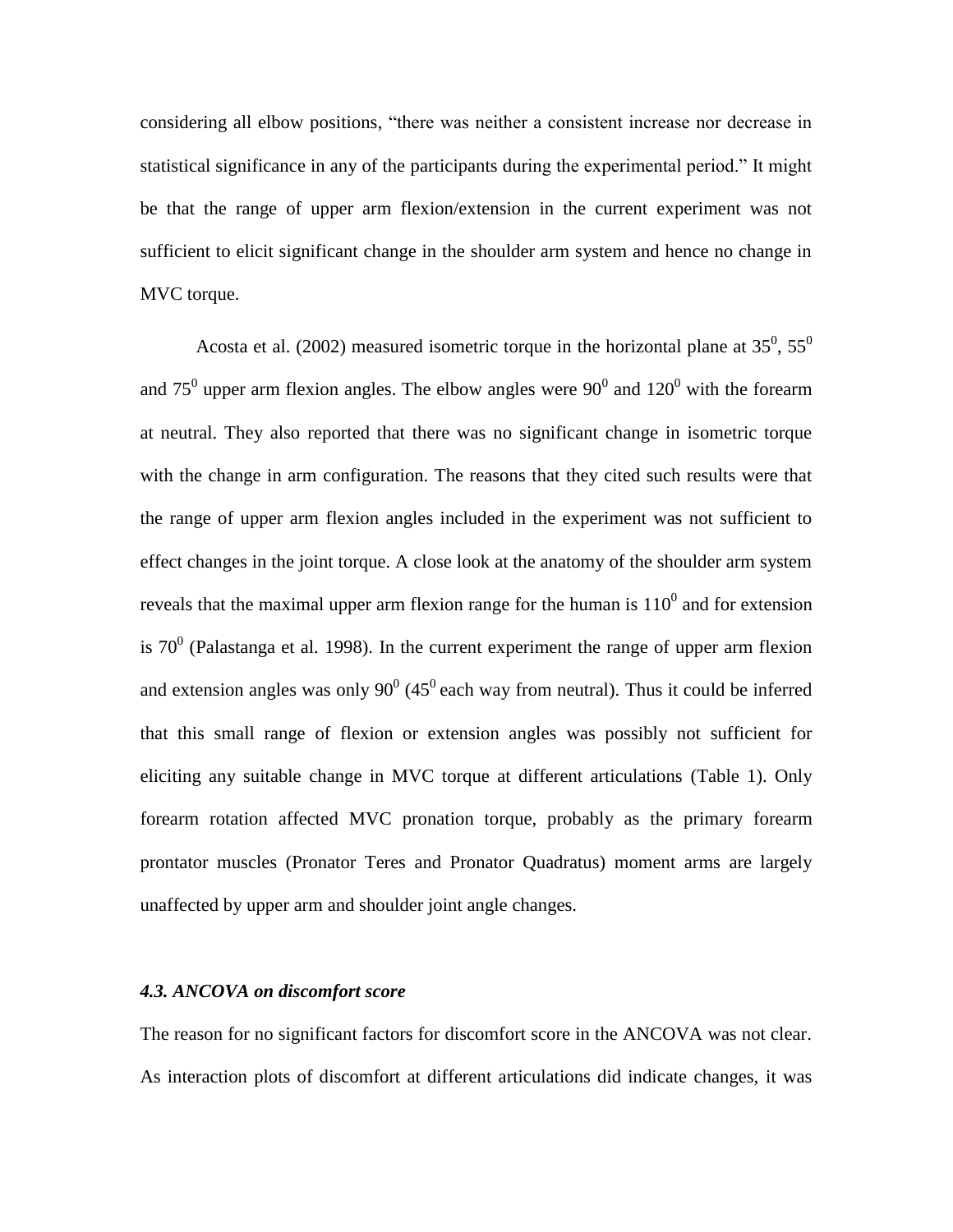considering all elbow positions, "there was neither a consistent increase nor decrease in statistical significance in any of the participants during the experimental period." It might be that the range of upper arm flexion/extension in the current experiment was not sufficient to elicit significant change in the shoulder arm system and hence no change in MVC torque.

Acosta et al. (2002) measured isometric torque in the horizontal plane at  $35^0$ ,  $55^0$ and 75<sup>0</sup> upper arm flexion angles. The elbow angles were  $90^0$  and  $120^0$  with the forearm at neutral. They also reported that there was no significant change in isometric torque with the change in arm configuration. The reasons that they cited such results were that the range of upper arm flexion angles included in the experiment was not sufficient to effect changes in the joint torque. A close look at the anatomy of the shoulder arm system reveals that the maximal upper arm flexion range for the human is  $110<sup>0</sup>$  and for extension is  $70^0$  (Palastanga et al. 1998). In the current experiment the range of upper arm flexion and extension angles was only  $90^{\circ}$  (45<sup>°</sup> each way from neutral). Thus it could be inferred that this small range of flexion or extension angles was possibly not sufficient for eliciting any suitable change in MVC torque at different articulations (Table 1). Only forearm rotation affected MVC pronation torque, probably as the primary forearm prontator muscles (Pronator Teres and Pronator Quadratus) moment arms are largely unaffected by upper arm and shoulder joint angle changes.

#### *4.3. ANCOVA on discomfort score*

The reason for no significant factors for discomfort score in the ANCOVA was not clear. As interaction plots of discomfort at different articulations did indicate changes, it was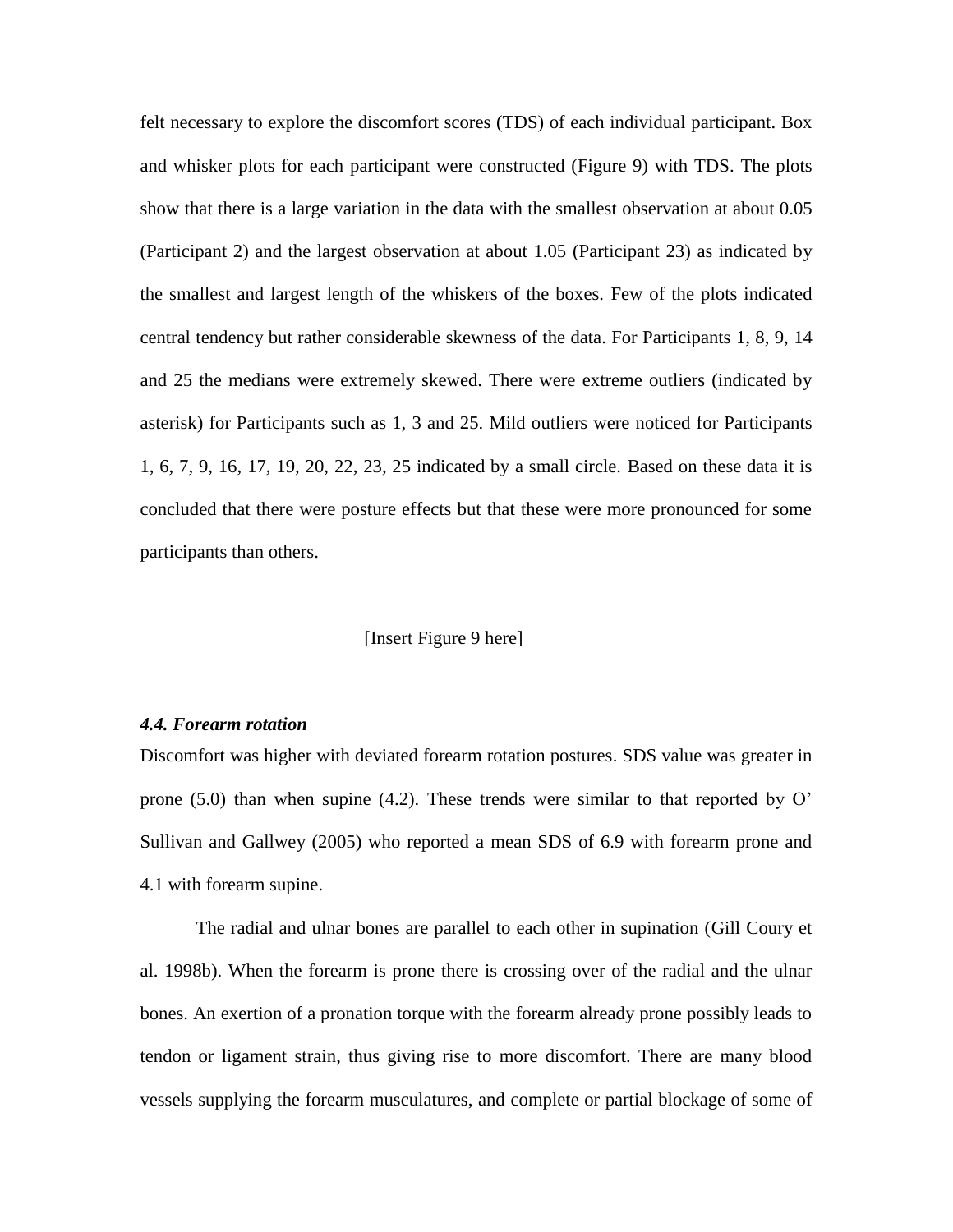felt necessary to explore the discomfort scores (TDS) of each individual participant. Box and whisker plots for each participant were constructed (Figure 9) with TDS. The plots show that there is a large variation in the data with the smallest observation at about 0.05 (Participant 2) and the largest observation at about 1.05 (Participant 23) as indicated by the smallest and largest length of the whiskers of the boxes. Few of the plots indicated central tendency but rather considerable skewness of the data. For Participants 1, 8, 9, 14 and 25 the medians were extremely skewed. There were extreme outliers (indicated by asterisk) for Participants such as 1, 3 and 25. Mild outliers were noticed for Participants 1, 6, 7, 9, 16, 17, 19, 20, 22, 23, 25 indicated by a small circle. Based on these data it is concluded that there were posture effects but that these were more pronounced for some participants than others.

#### [Insert Figure 9 here]

#### *4.4. Forearm rotation*

Discomfort was higher with deviated forearm rotation postures. SDS value was greater in prone (5.0) than when supine (4.2). These trends were similar to that reported by O' Sullivan and Gallwey (2005) who reported a mean SDS of 6.9 with forearm prone and 4.1 with forearm supine.

The radial and ulnar bones are parallel to each other in supination (Gill Coury et al. 1998b). When the forearm is prone there is crossing over of the radial and the ulnar bones. An exertion of a pronation torque with the forearm already prone possibly leads to tendon or ligament strain, thus giving rise to more discomfort. There are many blood vessels supplying the forearm musculatures, and complete or partial blockage of some of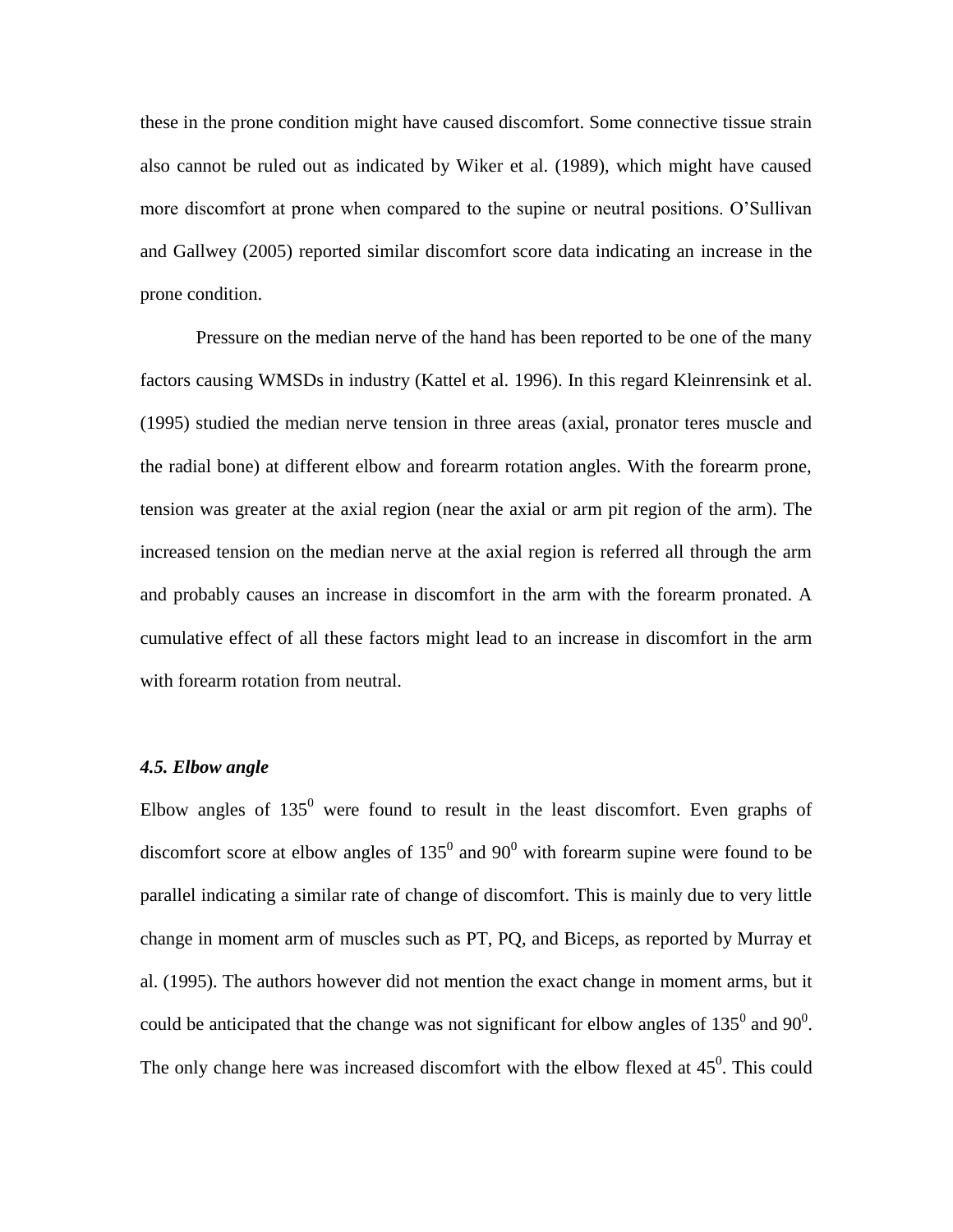these in the prone condition might have caused discomfort. Some connective tissue strain also cannot be ruled out as indicated by Wiker et al. (1989), which might have caused more discomfort at prone when compared to the supine or neutral positions. O'Sullivan and Gallwey (2005) reported similar discomfort score data indicating an increase in the prone condition.

Pressure on the median nerve of the hand has been reported to be one of the many factors causing WMSDs in industry (Kattel et al. 1996). In this regard Kleinrensink et al. (1995) studied the median nerve tension in three areas (axial, pronator teres muscle and the radial bone) at different elbow and forearm rotation angles. With the forearm prone, tension was greater at the axial region (near the axial or arm pit region of the arm). The increased tension on the median nerve at the axial region is referred all through the arm and probably causes an increase in discomfort in the arm with the forearm pronated. A cumulative effect of all these factors might lead to an increase in discomfort in the arm with forearm rotation from neutral.

#### *4.5. Elbow angle*

Elbow angles of  $135^{\circ}$  were found to result in the least discomfort. Even graphs of discomfort score at elbow angles of  $135^{\circ}$  and  $90^{\circ}$  with forearm supine were found to be parallel indicating a similar rate of change of discomfort. This is mainly due to very little change in moment arm of muscles such as PT, PQ, and Biceps, as reported by Murray et al. (1995). The authors however did not mention the exact change in moment arms, but it could be anticipated that the change was not significant for elbow angles of  $135^{\circ}$  and  $90^{\circ}$ . The only change here was increased discomfort with the elbow flexed at  $45^{\circ}$ . This could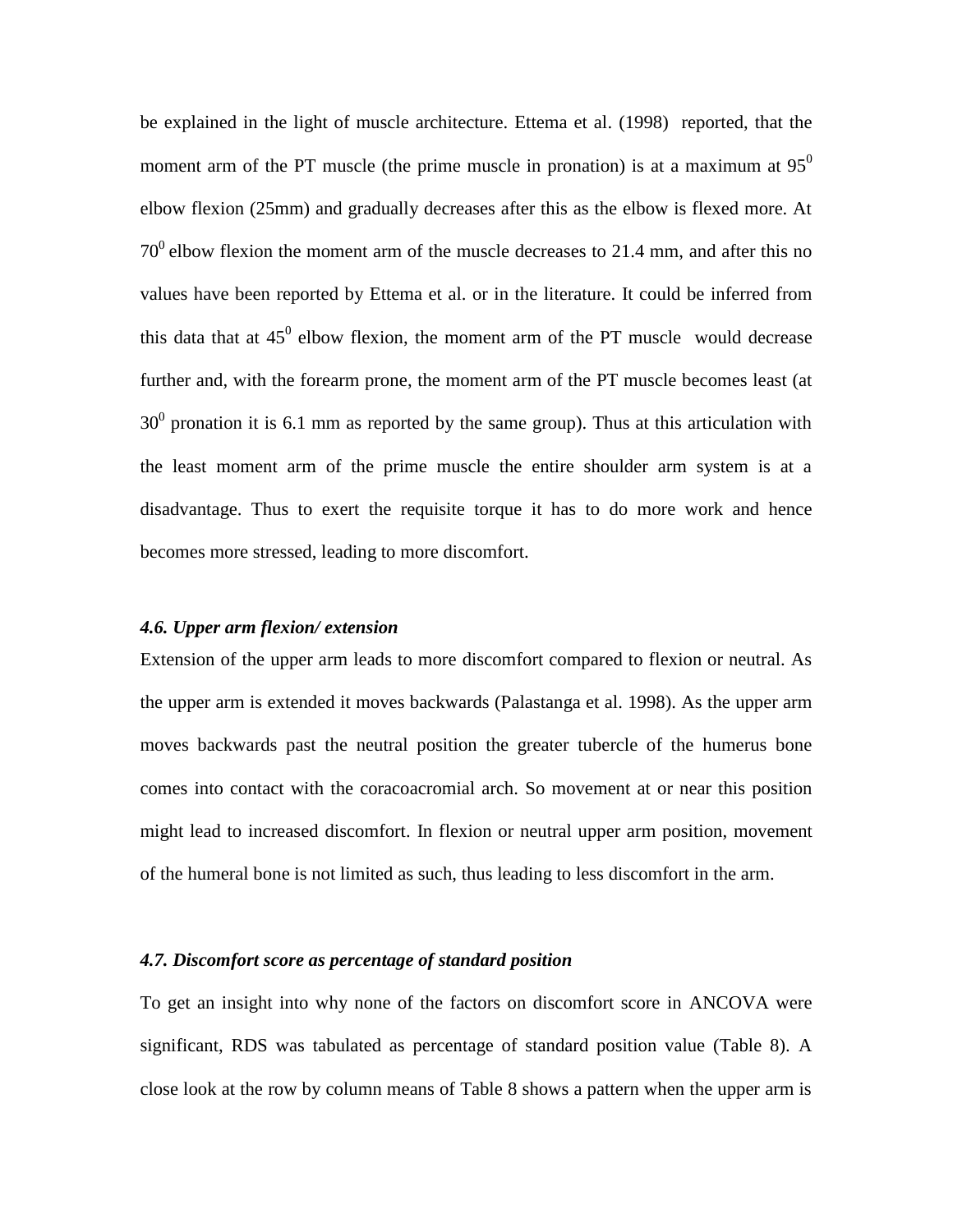be explained in the light of muscle architecture. Ettema et al. (1998) reported, that the moment arm of the PT muscle (the prime muscle in pronation) is at a maximum at  $95^\circ$ elbow flexion (25mm) and gradually decreases after this as the elbow is flexed more. At  $70<sup>0</sup>$  elbow flexion the moment arm of the muscle decreases to 21.4 mm, and after this no values have been reported by Ettema et al. or in the literature. It could be inferred from this data that at  $45^{\circ}$  elbow flexion, the moment arm of the PT muscle would decrease further and, with the forearm prone, the moment arm of the PT muscle becomes least (at  $30<sup>0</sup>$  pronation it is 6.1 mm as reported by the same group). Thus at this articulation with the least moment arm of the prime muscle the entire shoulder arm system is at a disadvantage. Thus to exert the requisite torque it has to do more work and hence becomes more stressed, leading to more discomfort.

#### *4.6. Upper arm flexion/ extension*

Extension of the upper arm leads to more discomfort compared to flexion or neutral. As the upper arm is extended it moves backwards (Palastanga et al. 1998). As the upper arm moves backwards past the neutral position the greater tubercle of the humerus bone comes into contact with the coracoacromial arch. So movement at or near this position might lead to increased discomfort. In flexion or neutral upper arm position, movement of the humeral bone is not limited as such, thus leading to less discomfort in the arm.

#### *4.7. Discomfort score as percentage of standard position*

To get an insight into why none of the factors on discomfort score in ANCOVA were significant, RDS was tabulated as percentage of standard position value (Table 8). A close look at the row by column means of Table 8 shows a pattern when the upper arm is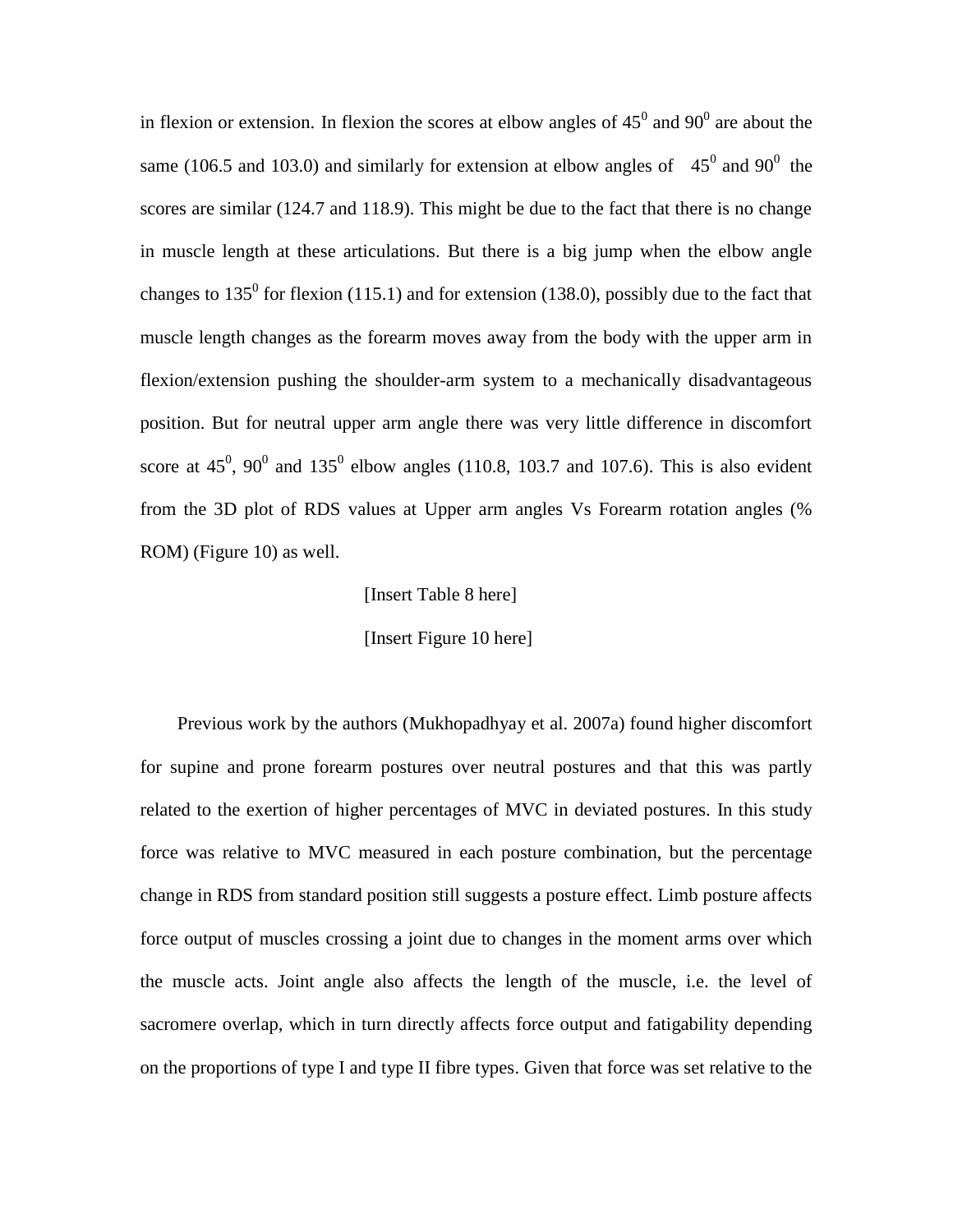in flexion or extension. In flexion the scores at elbow angles of  $45^{\circ}$  and  $90^{\circ}$  are about the same (106.5 and 103.0) and similarly for extension at elbow angles of  $45^{\circ}$  and 90<sup>°</sup> the scores are similar (124.7 and 118.9). This might be due to the fact that there is no change in muscle length at these articulations. But there is a big jump when the elbow angle changes to  $135^0$  for flexion (115.1) and for extension (138.0), possibly due to the fact that muscle length changes as the forearm moves away from the body with the upper arm in flexion/extension pushing the shoulder-arm system to a mechanically disadvantageous position. But for neutral upper arm angle there was very little difference in discomfort score at  $45^0$ ,  $90^0$  and  $135^0$  elbow angles (110.8, 103.7 and 107.6). This is also evident from the 3D plot of RDS values at Upper arm angles Vs Forearm rotation angles (% ROM) (Figure 10) as well.

[Insert Table 8 here]

[Insert Figure 10 here]

Previous work by the authors (Mukhopadhyay et al. 2007a) found higher discomfort for supine and prone forearm postures over neutral postures and that this was partly related to the exertion of higher percentages of MVC in deviated postures. In this study force was relative to MVC measured in each posture combination, but the percentage change in RDS from standard position still suggests a posture effect. Limb posture affects force output of muscles crossing a joint due to changes in the moment arms over which the muscle acts. Joint angle also affects the length of the muscle, i.e. the level of sacromere overlap, which in turn directly affects force output and fatigability depending on the proportions of type I and type II fibre types. Given that force was set relative to the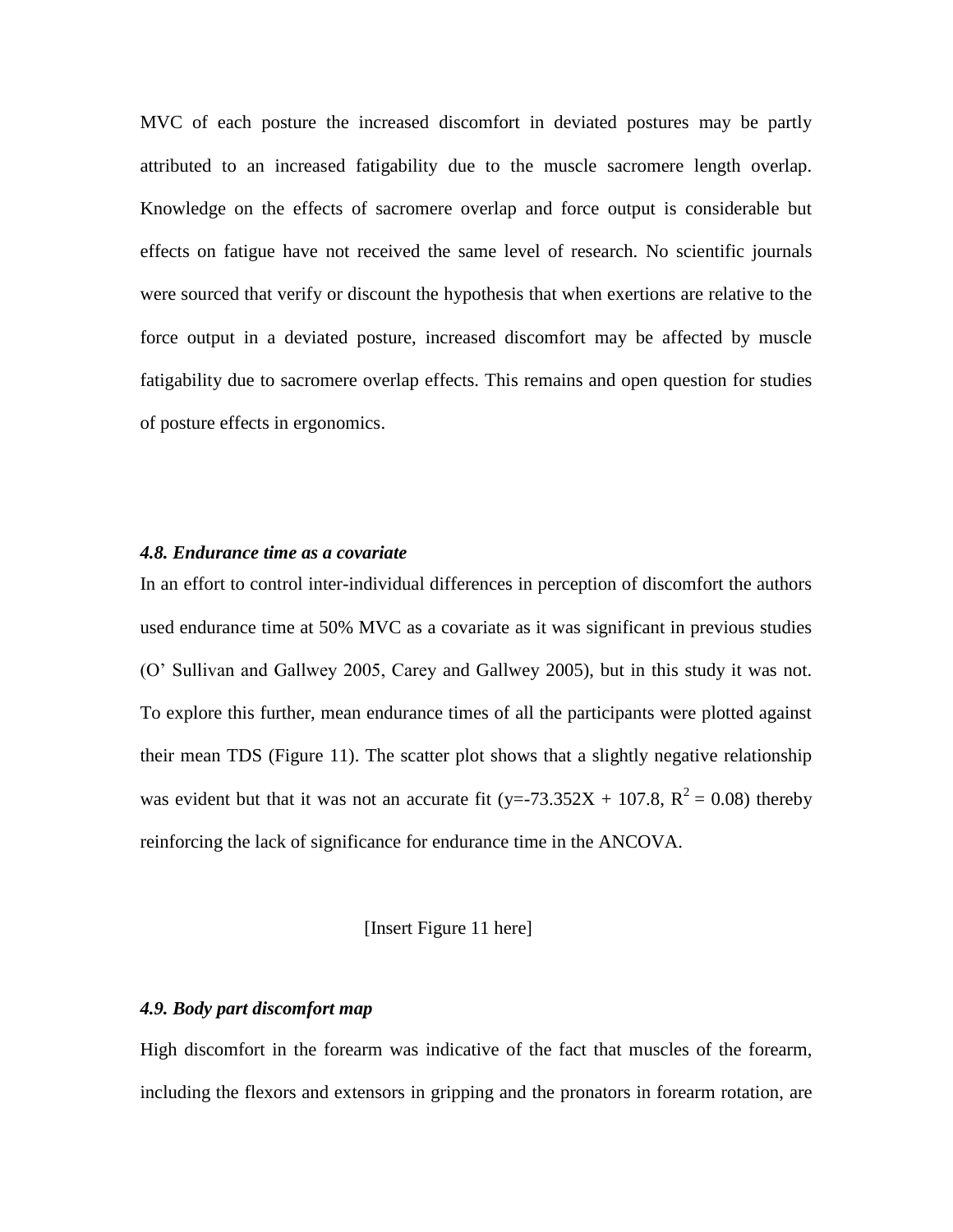MVC of each posture the increased discomfort in deviated postures may be partly attributed to an increased fatigability due to the muscle sacromere length overlap. Knowledge on the effects of sacromere overlap and force output is considerable but effects on fatigue have not received the same level of research. No scientific journals were sourced that verify or discount the hypothesis that when exertions are relative to the force output in a deviated posture, increased discomfort may be affected by muscle fatigability due to sacromere overlap effects. This remains and open question for studies of posture effects in ergonomics.

#### *4.8. Endurance time as a covariate*

In an effort to control inter-individual differences in perception of discomfort the authors used endurance time at 50% MVC as a covariate as it was significant in previous studies (O' Sullivan and Gallwey 2005, Carey and Gallwey 2005), but in this study it was not. To explore this further, mean endurance times of all the participants were plotted against their mean TDS (Figure 11). The scatter plot shows that a slightly negative relationship was evident but that it was not an accurate fit (y=-73.352X + 107.8,  $R^2 = 0.08$ ) thereby reinforcing the lack of significance for endurance time in the ANCOVA.

#### [Insert Figure 11 here]

#### *4.9. Body part discomfort map*

High discomfort in the forearm was indicative of the fact that muscles of the forearm, including the flexors and extensors in gripping and the pronators in forearm rotation, are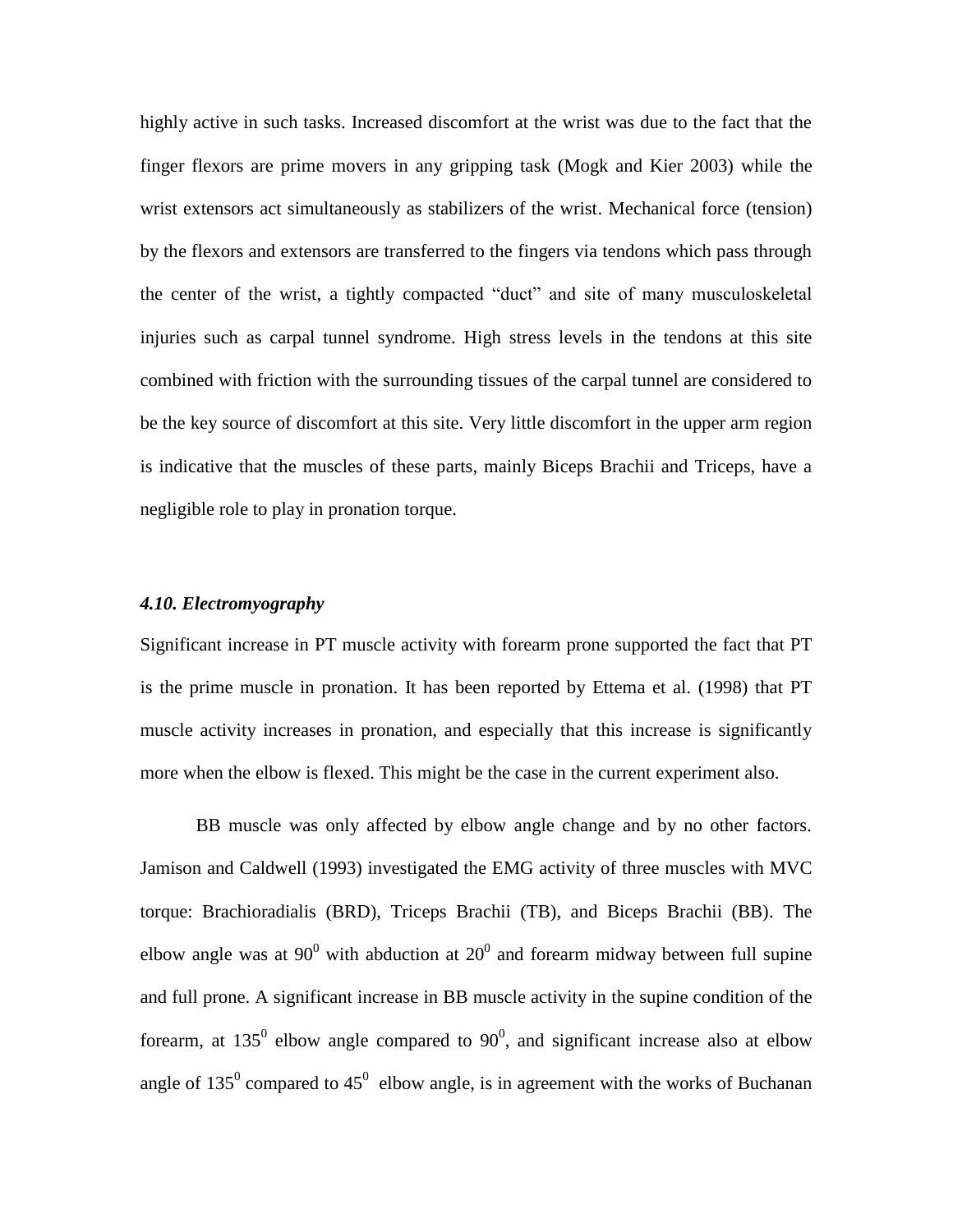highly active in such tasks. Increased discomfort at the wrist was due to the fact that the finger flexors are prime movers in any gripping task (Mogk and Kier 2003) while the wrist extensors act simultaneously as stabilizers of the wrist. Mechanical force (tension) by the flexors and extensors are transferred to the fingers via tendons which pass through the center of the wrist, a tightly compacted "duct" and site of many musculoskeletal injuries such as carpal tunnel syndrome. High stress levels in the tendons at this site combined with friction with the surrounding tissues of the carpal tunnel are considered to be the key source of discomfort at this site. Very little discomfort in the upper arm region is indicative that the muscles of these parts, mainly Biceps Brachii and Triceps, have a negligible role to play in pronation torque.

#### *4.10. Electromyography*

Significant increase in PT muscle activity with forearm prone supported the fact that PT is the prime muscle in pronation. It has been reported by Ettema et al. (1998) that PT muscle activity increases in pronation, and especially that this increase is significantly more when the elbow is flexed. This might be the case in the current experiment also.

BB muscle was only affected by elbow angle change and by no other factors. Jamison and Caldwell (1993) investigated the EMG activity of three muscles with MVC torque: Brachioradialis (BRD), Triceps Brachii (TB), and Biceps Brachii (BB). The elbow angle was at 90 $^{\circ}$  with abduction at 20 $^{\circ}$  and forearm midway between full supine and full prone. A significant increase in BB muscle activity in the supine condition of the forearm, at  $135^{\circ}$  elbow angle compared to  $90^{\circ}$ , and significant increase also at elbow angle of  $135^0$  compared to  $45^0$  elbow angle, is in agreement with the works of Buchanan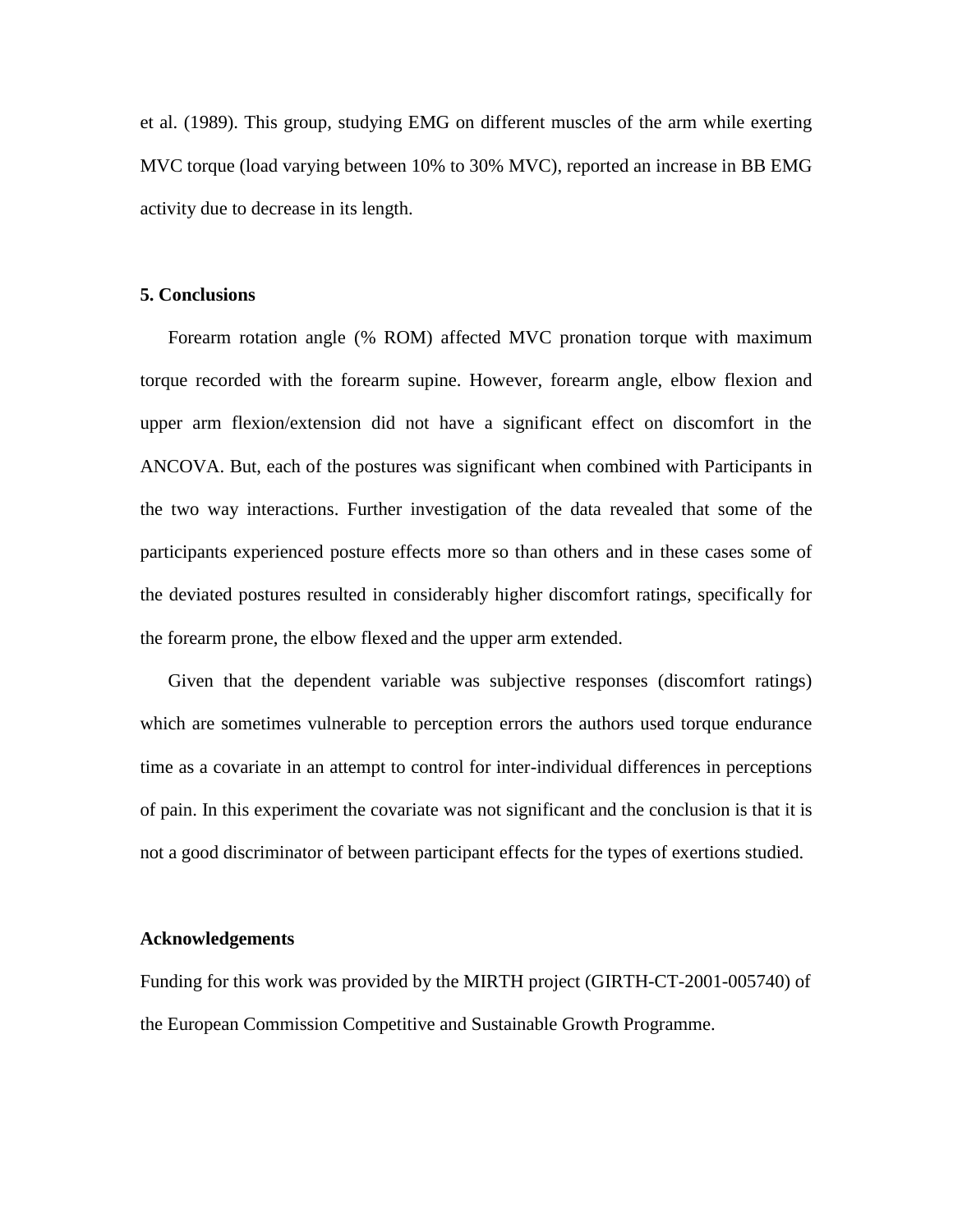et al. (1989). This group, studying EMG on different muscles of the arm while exerting MVC torque (load varying between 10% to 30% MVC), reported an increase in BB EMG activity due to decrease in its length.

#### **5. Conclusions**

Forearm rotation angle (% ROM) affected MVC pronation torque with maximum torque recorded with the forearm supine. However, forearm angle, elbow flexion and upper arm flexion/extension did not have a significant effect on discomfort in the ANCOVA. But, each of the postures was significant when combined with Participants in the two way interactions. Further investigation of the data revealed that some of the participants experienced posture effects more so than others and in these cases some of the deviated postures resulted in considerably higher discomfort ratings, specifically for the forearm prone, the elbow flexed and the upper arm extended.

Given that the dependent variable was subjective responses (discomfort ratings) which are sometimes vulnerable to perception errors the authors used torque endurance time as a covariate in an attempt to control for inter-individual differences in perceptions of pain. In this experiment the covariate was not significant and the conclusion is that it is not a good discriminator of between participant effects for the types of exertions studied.

#### **Acknowledgements**

Funding for this work was provided by the MIRTH project (GIRTH-CT-2001-005740) of the European Commission Competitive and Sustainable Growth Programme.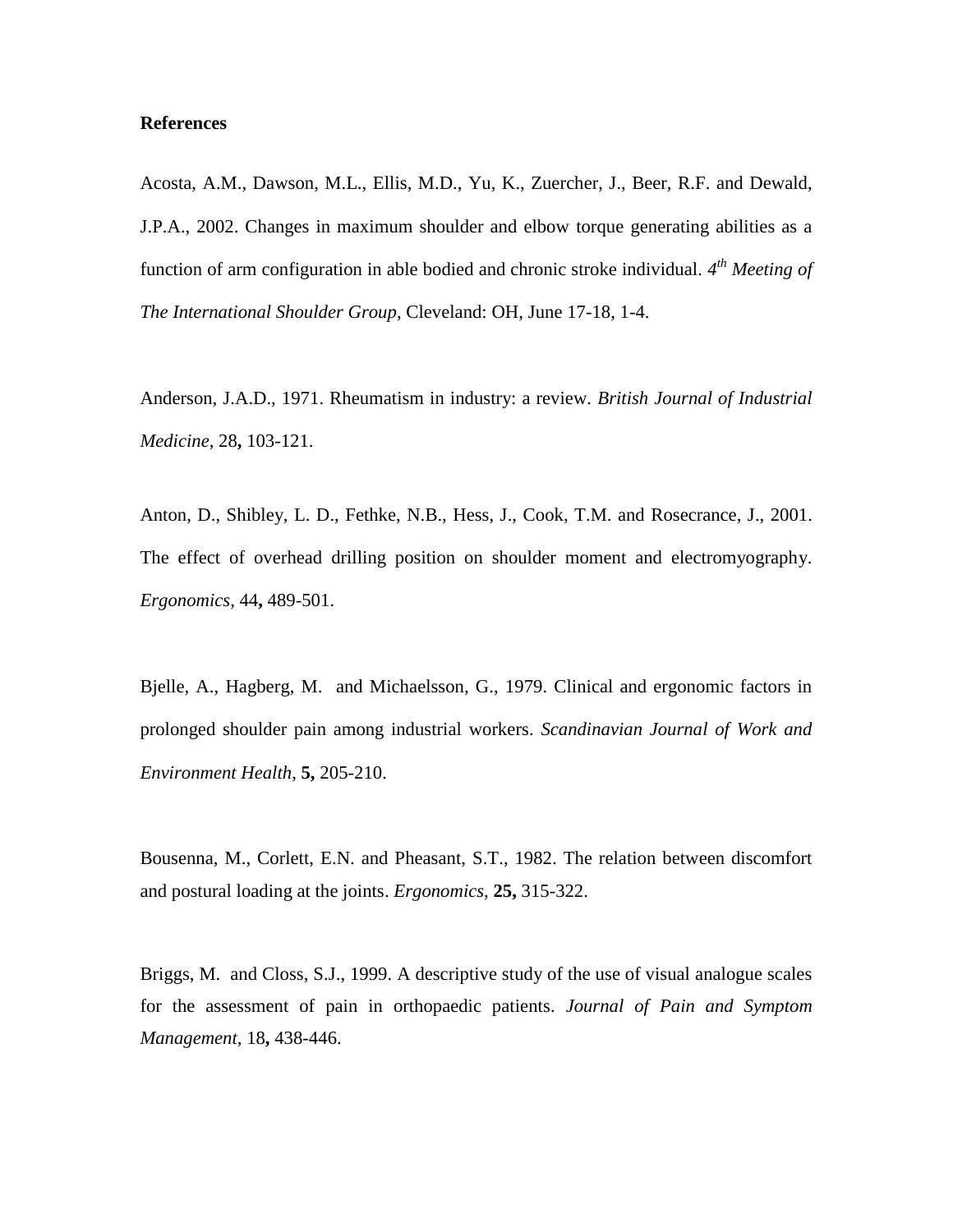#### **References**

Acosta, A.M., Dawson, M.L., Ellis, M.D., Yu, K., Zuercher, J., Beer, R.F. and Dewald, J.P.A., 2002. Changes in maximum shoulder and elbow torque generating abilities as a function of arm configuration in able bodied and chronic stroke individual. *4 th Meeting of The International Shoulder Group*, Cleveland: OH, June 17-18, 1-4.

Anderson, J.A.D., 1971. Rheumatism in industry: a review. *British Journal of Industrial Medicine*, 28**,** 103-121.

Anton, D., Shibley, L. D., Fethke, N.B., Hess, J., Cook, T.M. and Rosecrance, J., 2001. The effect of overhead drilling position on shoulder moment and electromyography. *Ergonomics*, 44**,** 489-501.

Bjelle, A., Hagberg, M. and Michaelsson, G., 1979. Clinical and ergonomic factors in prolonged shoulder pain among industrial workers. *Scandinavian Journal of Work and Environment Health*, **5,** 205-210.

Bousenna, M., Corlett, E.N. and Pheasant, S.T., 1982. The relation between discomfort and postural loading at the joints. *Ergonomics*, **25,** 315-322.

Briggs, M. and Closs, S.J., 1999. A descriptive study of the use of visual analogue scales for the assessment of pain in orthopaedic patients. *Journal of Pain and Symptom Management*, 18**,** 438-446.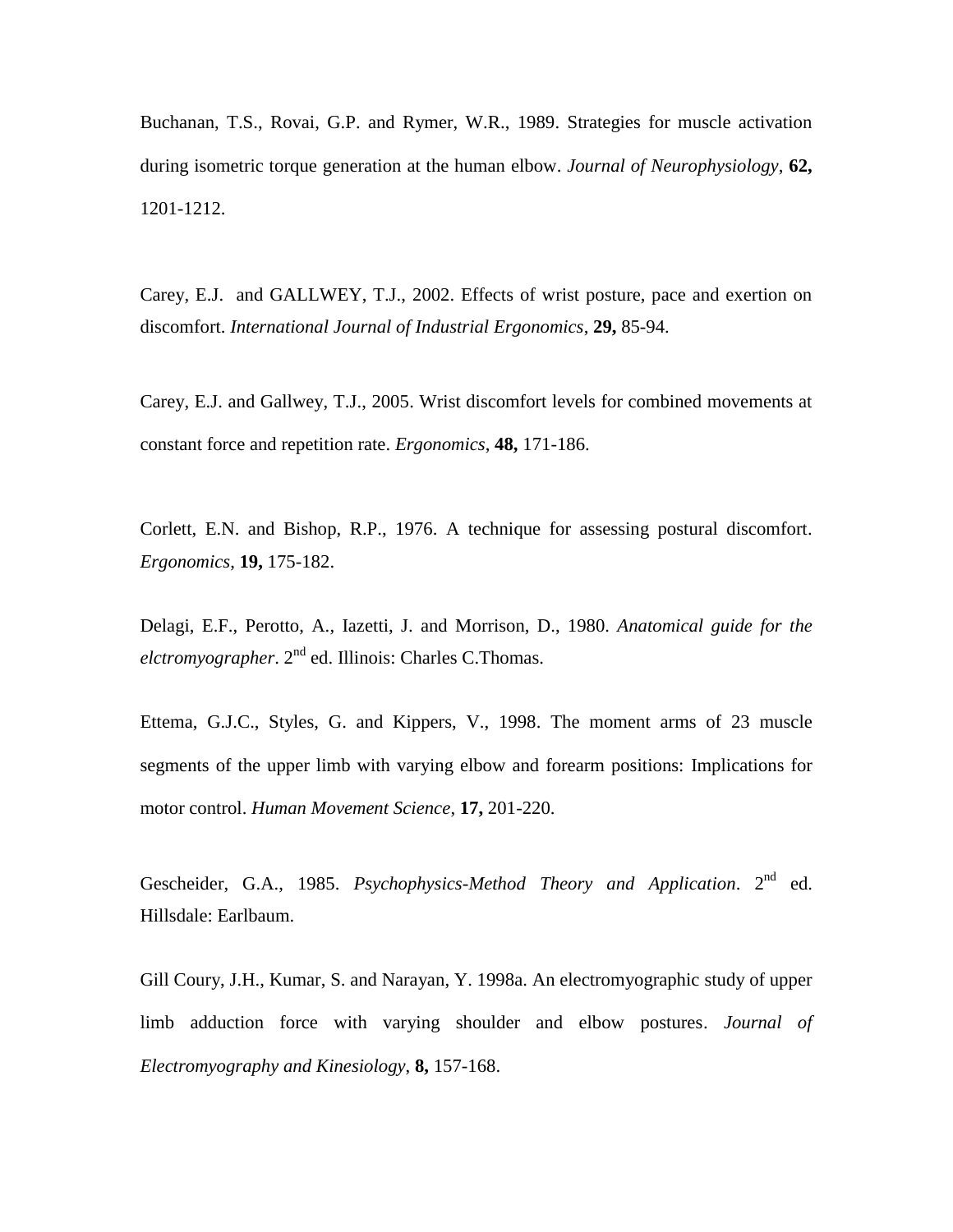Buchanan, T.S., Rovai, G.P. and Rymer, W.R., 1989. Strategies for muscle activation during isometric torque generation at the human elbow. *Journal of Neurophysiology*, **62,** 1201-1212.

Carey, E.J. and GALLWEY, T.J., 2002. Effects of wrist posture, pace and exertion on discomfort. *International Journal of Industrial Ergonomics*, **29,** 85-94.

Carey, E.J. and Gallwey, T.J., 2005. Wrist discomfort levels for combined movements at constant force and repetition rate. *Ergonomics*, **48,** 171-186.

Corlett, E.N. and Bishop, R.P., 1976. A technique for assessing postural discomfort. *Ergonomics*, **19,** 175-182.

Delagi, E.F., Perotto, A., Iazetti, J. and Morrison, D., 1980. *Anatomical guide for the elctromyographer*. 2nd ed. Illinois: Charles C.Thomas.

Ettema, G.J.C., Styles, G. and Kippers, V., 1998. The moment arms of 23 muscle segments of the upper limb with varying elbow and forearm positions: Implications for motor control. *Human Movement Science*, **17,** 201-220.

Gescheider, G.A., 1985. Psychophysics-Method Theory and Application. 2<sup>nd</sup> ed. Hillsdale: Earlbaum.

Gill Coury, J.H., Kumar, S. and Narayan, Y. 1998a. An electromyographic study of upper limb adduction force with varying shoulder and elbow postures. *Journal of Electromyography and Kinesiology*, **8,** 157-168.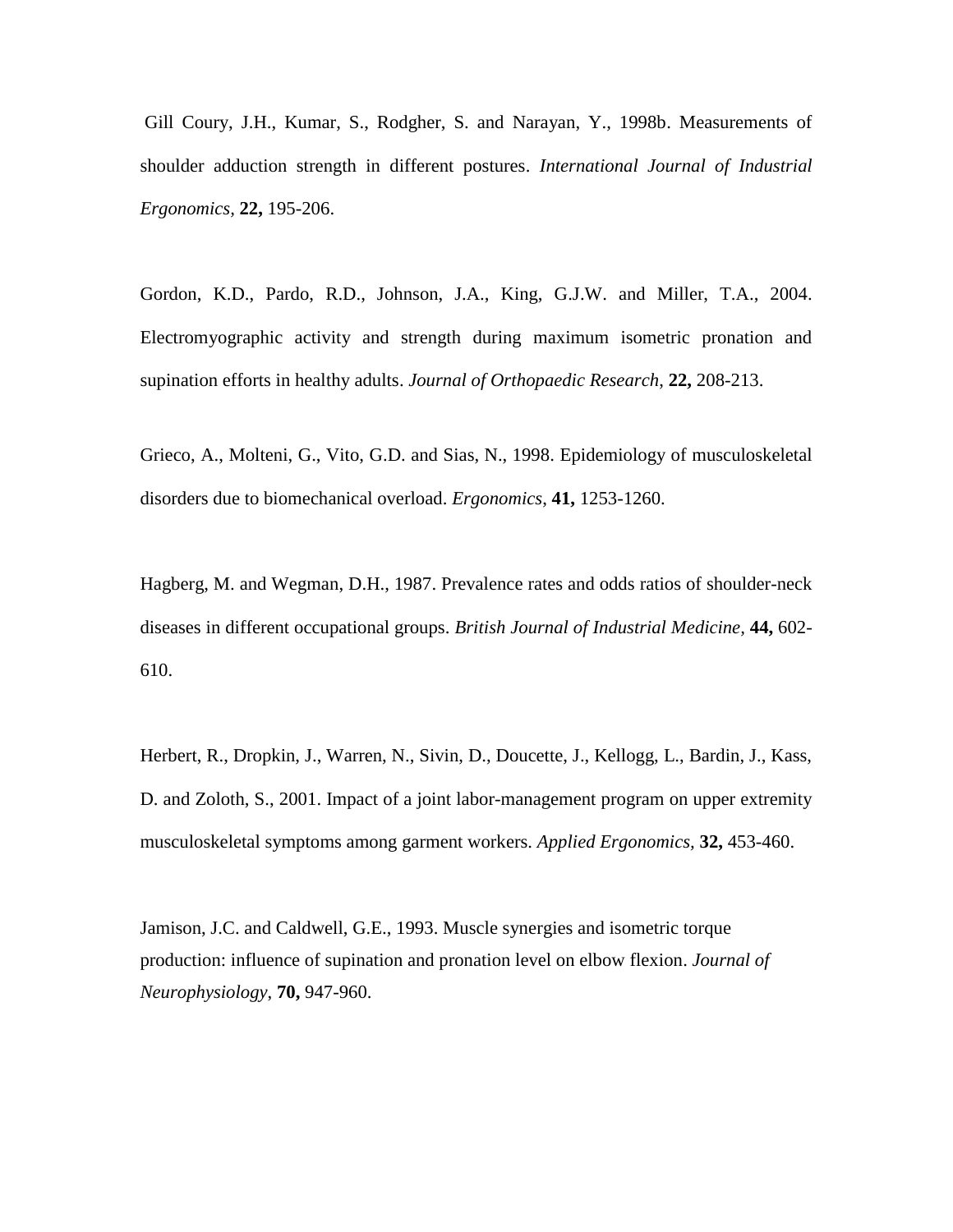Gill Coury, J.H., Kumar, S., Rodgher, S. and Narayan, Y., 1998b. Measurements of shoulder adduction strength in different postures. *International Journal of Industrial Ergonomics,* **22,** 195-206.

Gordon, K.D., Pardo, R.D., Johnson, J.A., King, G.J.W. and Miller, T.A., 2004. Electromyographic activity and strength during maximum isometric pronation and supination efforts in healthy adults. *Journal of Orthopaedic Research*, **22,** 208-213.

Grieco, A., Molteni, G., Vito, G.D. and Sias, N., 1998. Epidemiology of musculoskeletal disorders due to biomechanical overload. *Ergonomics*, **41,** 1253-1260.

Hagberg, M. and Wegman, D.H., 1987. Prevalence rates and odds ratios of shoulder-neck diseases in different occupational groups. *British Journal of Industrial Medicine,* **44,** 602- 610.

Herbert, R., Dropkin, J., Warren, N., Sivin, D., Doucette, J., Kellogg, L., Bardin, J., Kass, D. and Zoloth, S., 2001. Impact of a joint labor-management program on upper extremity musculoskeletal symptoms among garment workers. *Applied Ergonomics,* **32,** 453-460.

Jamison, J.C. and Caldwell, G.E., 1993. Muscle synergies and isometric torque production: influence of supination and pronation level on elbow flexion. *Journal of Neurophysiology*, **70,** 947-960.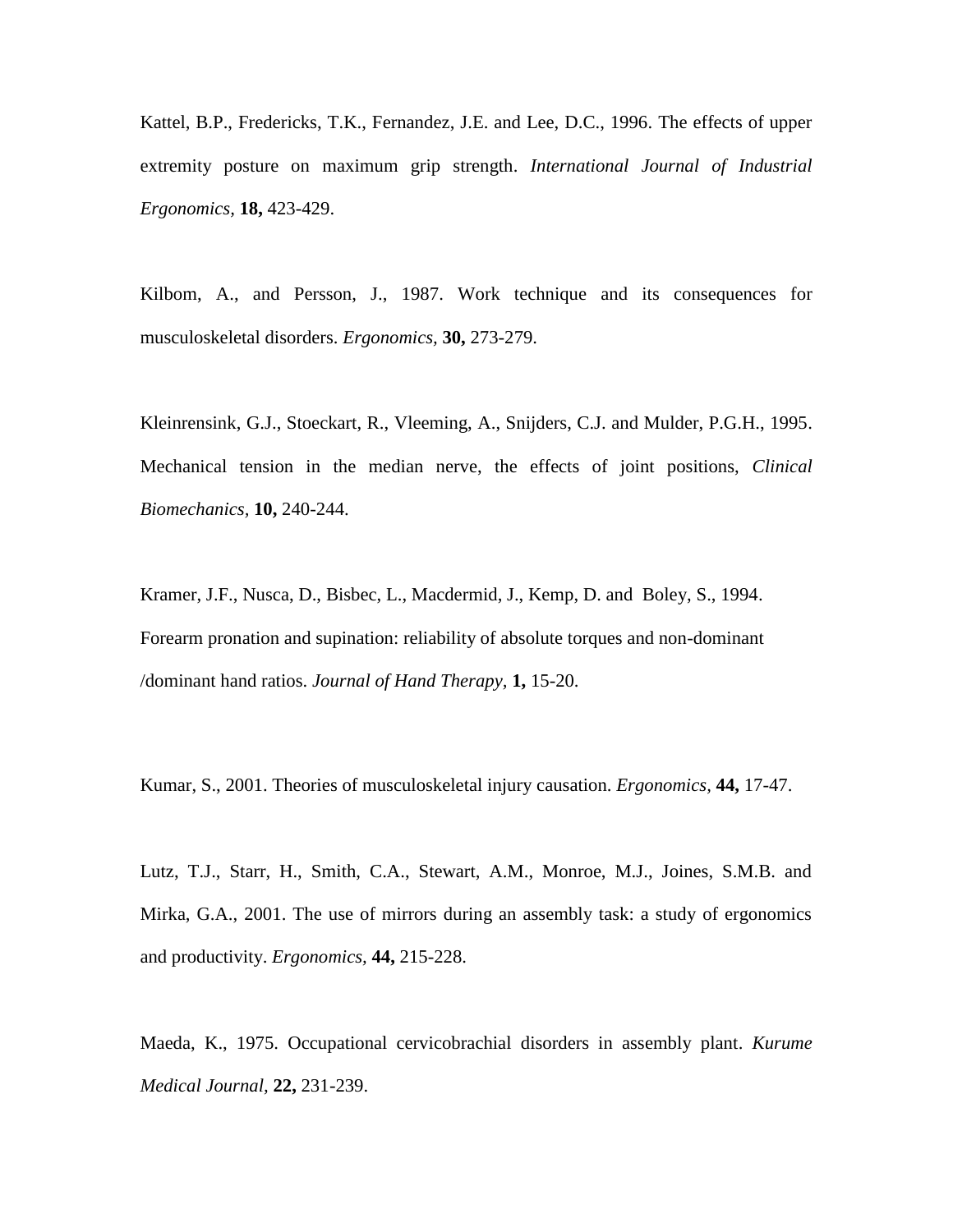Kattel, B.P., Fredericks, T.K., Fernandez, J.E. and Lee, D.C., 1996. The effects of upper extremity posture on maximum grip strength. *International Journal of Industrial Ergonomics,* **18,** 423-429.

Kilbom, A., and Persson, J., 1987. Work technique and its consequences for musculoskeletal disorders. *Ergonomics,* **30,** 273-279.

Kleinrensink, G.J., Stoeckart, R., Vleeming, A., Snijders, C.J. and Mulder, P.G.H., 1995. Mechanical tension in the median nerve, the effects of joint positions, *Clinical Biomechanics,* **10,** 240-244.

Kramer, J.F., Nusca, D., Bisbec, L., Macdermid, J., Kemp, D. and Boley, S., 1994. Forearm pronation and supination: reliability of absolute torques and non-dominant /dominant hand ratios. *Journal of Hand Therapy,* **1,** 15-20.

Kumar, S., 2001. Theories of musculoskeletal injury causation. *Ergonomics,* **44,** 17-47.

Lutz, T.J., Starr, H., Smith, C.A., Stewart, A.M., Monroe, M.J., Joines, S.M.B. and Mirka, G.A., 2001. The use of mirrors during an assembly task: a study of ergonomics and productivity. *Ergonomics,* **44,** 215-228.

Maeda, K., 1975. Occupational cervicobrachial disorders in assembly plant. *Kurume Medical Journal,* **22,** 231-239.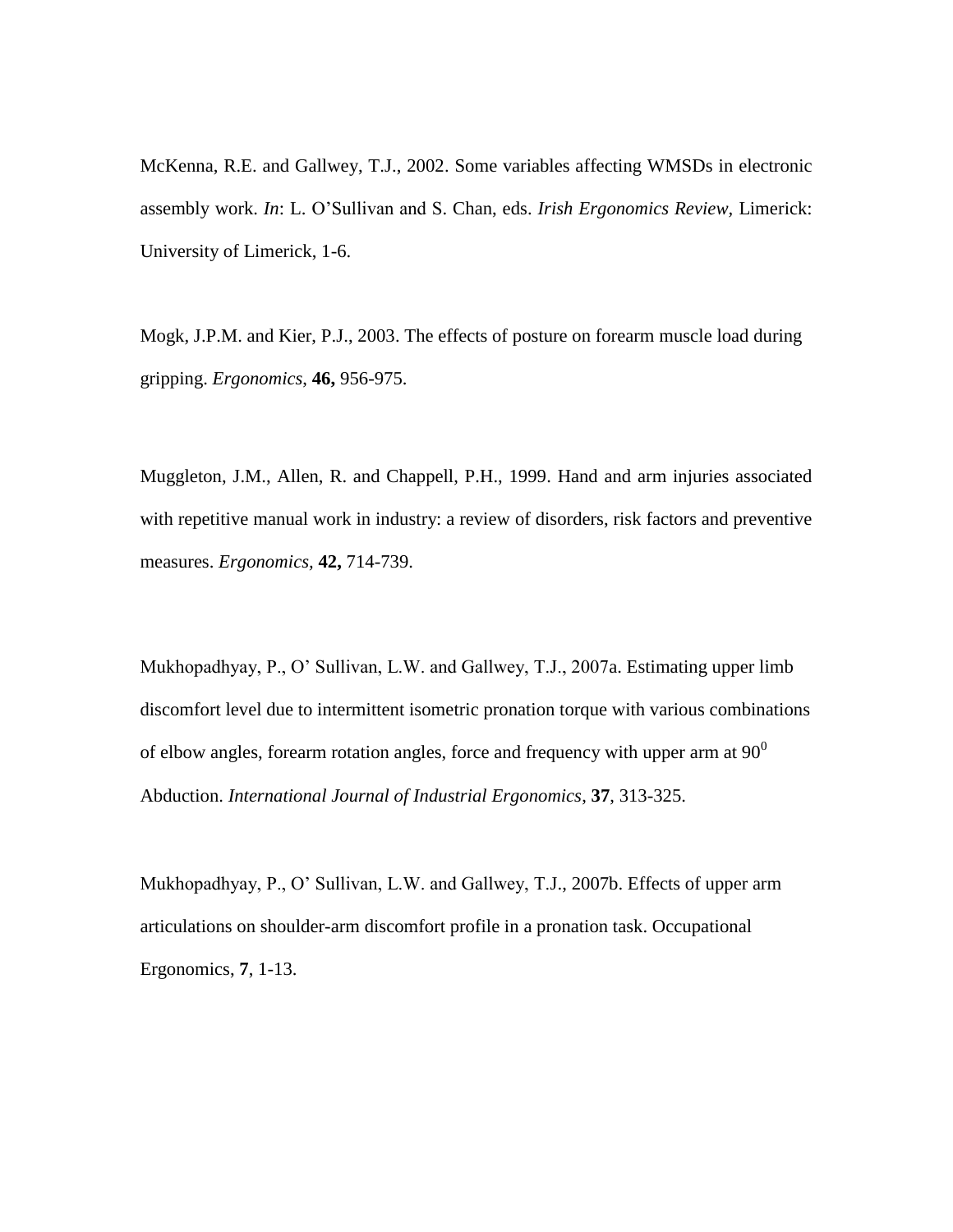McKenna, R.E. and Gallwey, T.J., 2002. Some variables affecting WMSDs in electronic assembly work. *In*: L. O'Sullivan and S. Chan, eds. *Irish Ergonomics Review,* Limerick: University of Limerick, 1-6.

Mogk, J.P.M. and Kier, P.J., 2003. The effects of posture on forearm muscle load during gripping. *Ergonomics*, **46,** 956-975.

Muggleton, J.M., Allen, R. and Chappell, P.H., 1999. Hand and arm injuries associated with repetitive manual work in industry: a review of disorders, risk factors and preventive measures. *Ergonomics,* **42,** 714-739.

Mukhopadhyay, P., O' Sullivan, L.W. and Gallwey, T.J., 2007a. Estimating upper limb discomfort level due to intermittent isometric pronation torque with various combinations of elbow angles, forearm rotation angles, force and frequency with upper arm at  $90^{\circ}$ Abduction. *International Journal of Industrial Ergonomics*, **37**, 313-325.

Mukhopadhyay, P., O' Sullivan, L.W. and Gallwey, T.J., 2007b. Effects of upper arm articulations on shoulder-arm discomfort profile in a pronation task. Occupational Ergonomics, **7**, 1-13.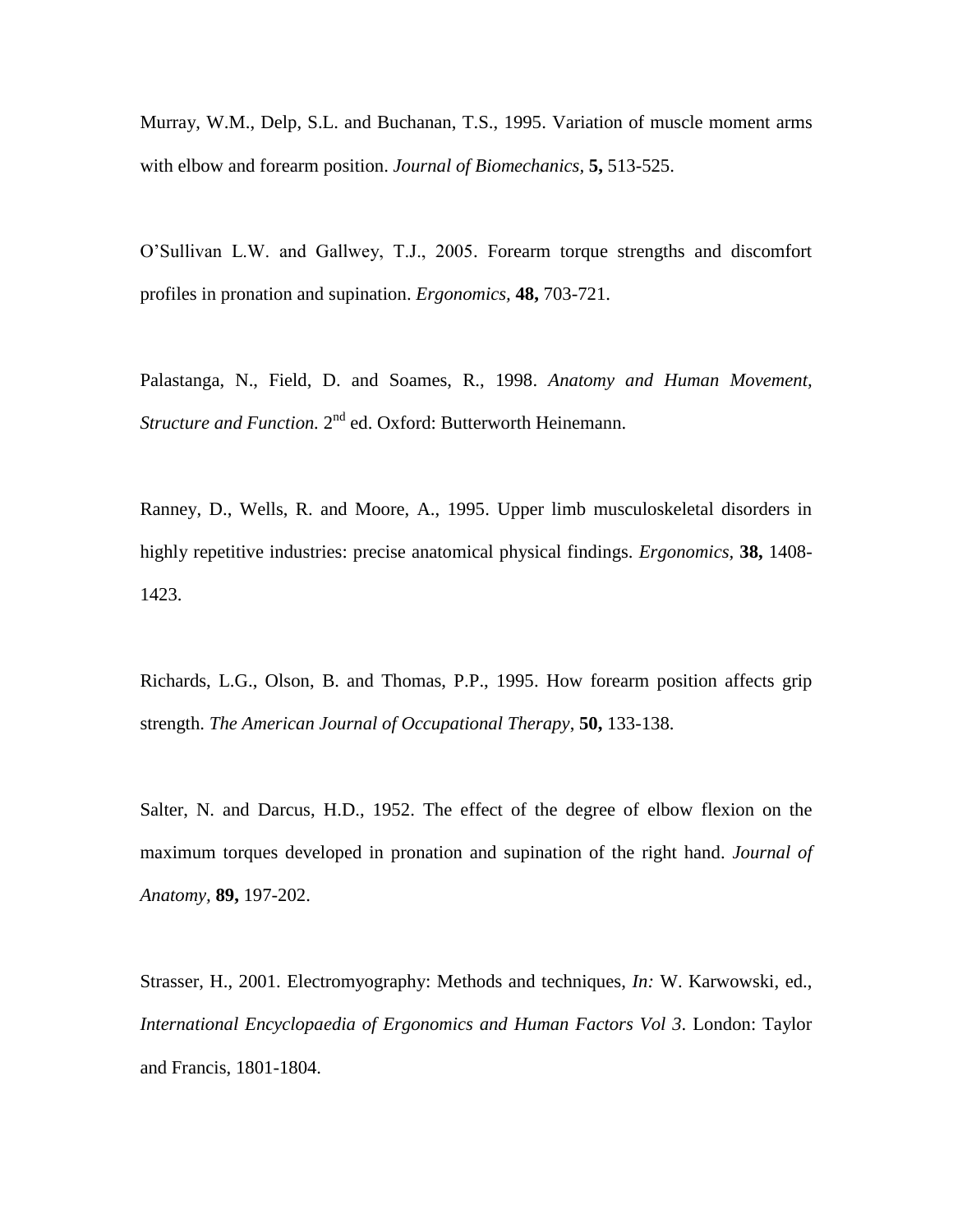Murray, W.M., Delp, S.L. and Buchanan, T.S., 1995. Variation of muscle moment arms with elbow and forearm position. *Journal of Biomechanics,* **5,** 513-525.

O'Sullivan L.W. and Gallwey, T.J., 2005. Forearm torque strengths and discomfort profiles in pronation and supination. *Ergonomics,* **48,** 703-721.

Palastanga, N., Field, D. and Soames, R., 1998. *Anatomy and Human Movement,* Structure and Function. 2<sup>nd</sup> ed. Oxford: Butterworth Heinemann.

Ranney, D., Wells, R. and Moore, A., 1995. Upper limb musculoskeletal disorders in highly repetitive industries: precise anatomical physical findings. *Ergonomics,* **38,** 1408- 1423.

Richards, L.G., Olson, B. and Thomas, P.P., 1995. How forearm position affects grip strength. *The American Journal of Occupational Therapy*, **50,** 133-138.

Salter, N. and Darcus, H.D., 1952. The effect of the degree of elbow flexion on the maximum torques developed in pronation and supination of the right hand. *Journal of Anatomy,* **89,** 197-202.

Strasser, H., 2001. Electromyography: Methods and techniques, *In:* W. Karwowski, ed., *International Encyclopaedia of Ergonomics and Human Factors Vol 3*. London: Taylor and Francis, 1801-1804.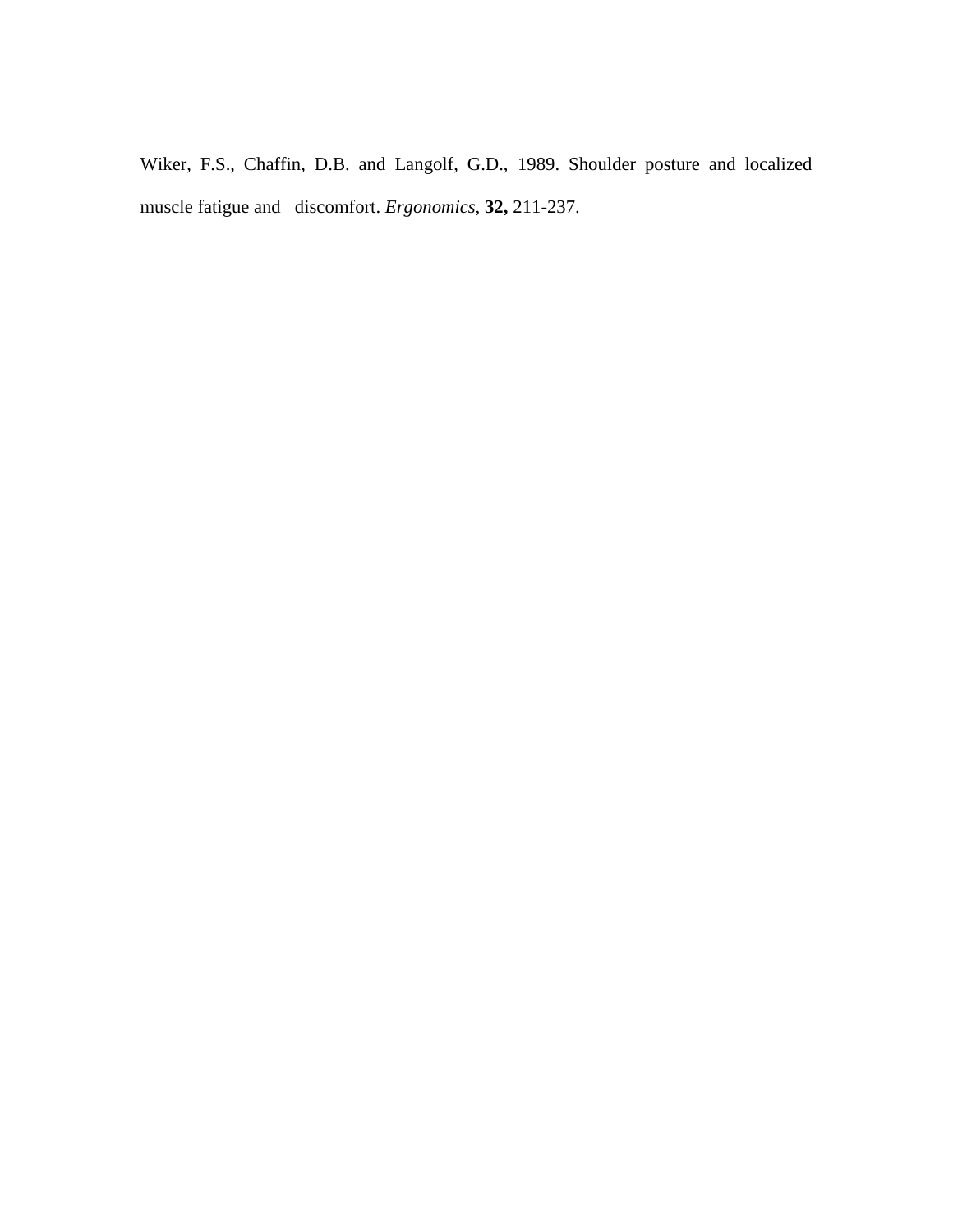Wiker, F.S., Chaffin, D.B. and Langolf, G.D., 1989. Shoulder posture and localized muscle fatigue and discomfort. *Ergonomics,* **32,** 211-237.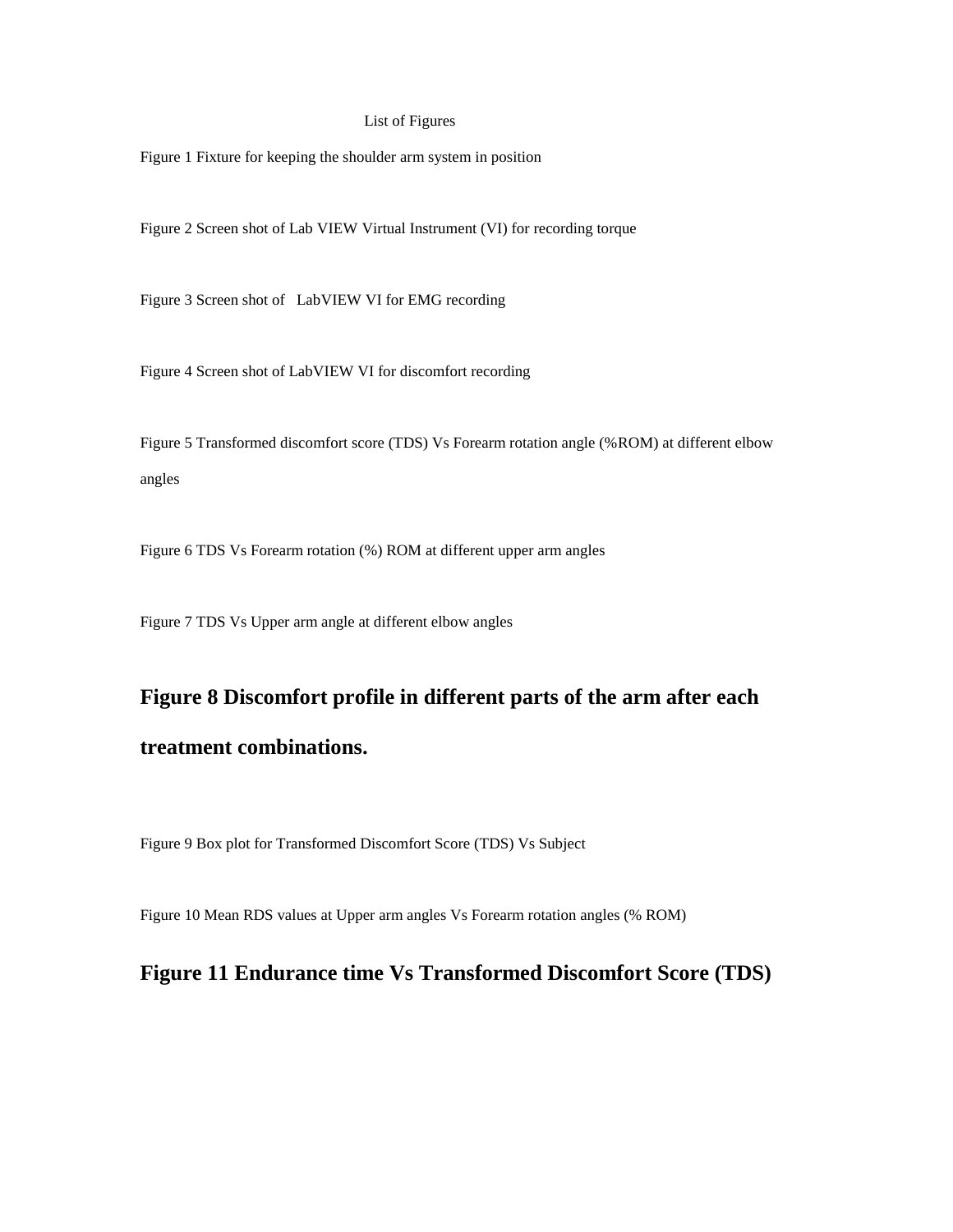#### List of Figures

Figure 1 Fixture for keeping the shoulder arm system in position

Figure 2 Screen shot of Lab VIEW Virtual Instrument (VI) for recording torque

Figure 3 Screen shot of LabVIEW VI for EMG recording

Figure 4 Screen shot of LabVIEW VI for discomfort recording

Figure 5 Transformed discomfort score (TDS) Vs Forearm rotation angle (%ROM) at different elbow angles

Figure 6 TDS Vs Forearm rotation (%) ROM at different upper arm angles

Figure 7 TDS Vs Upper arm angle at different elbow angles

# **Figure 8 Discomfort profile in different parts of the arm after each treatment combinations.**

Figure 9 Box plot for Transformed Discomfort Score (TDS) Vs Subject

Figure 10 Mean RDS values at Upper arm angles Vs Forearm rotation angles (% ROM)

# **Figure 11 Endurance time Vs Transformed Discomfort Score (TDS)**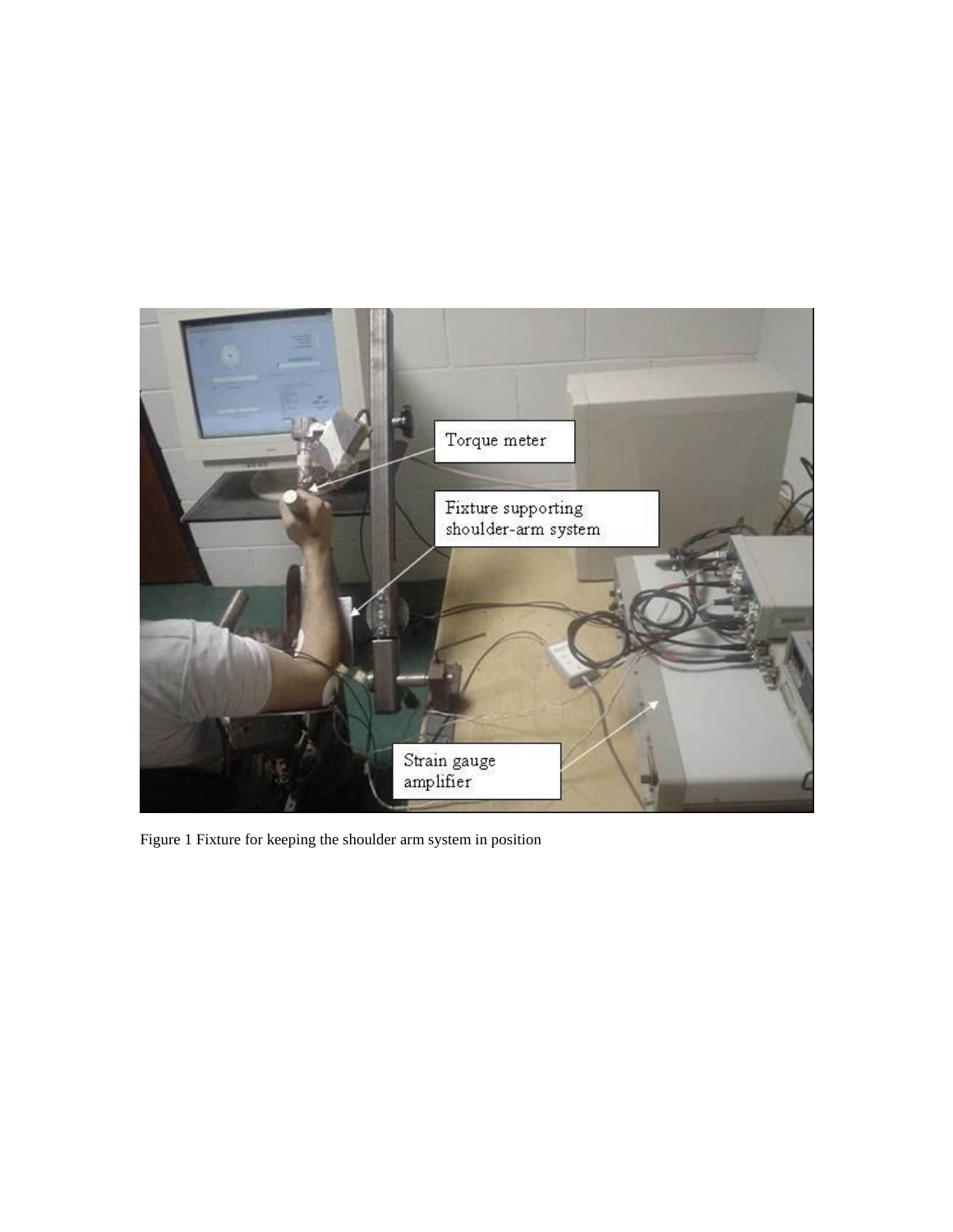

Figure 1 Fixture for keeping the shoulder arm system in position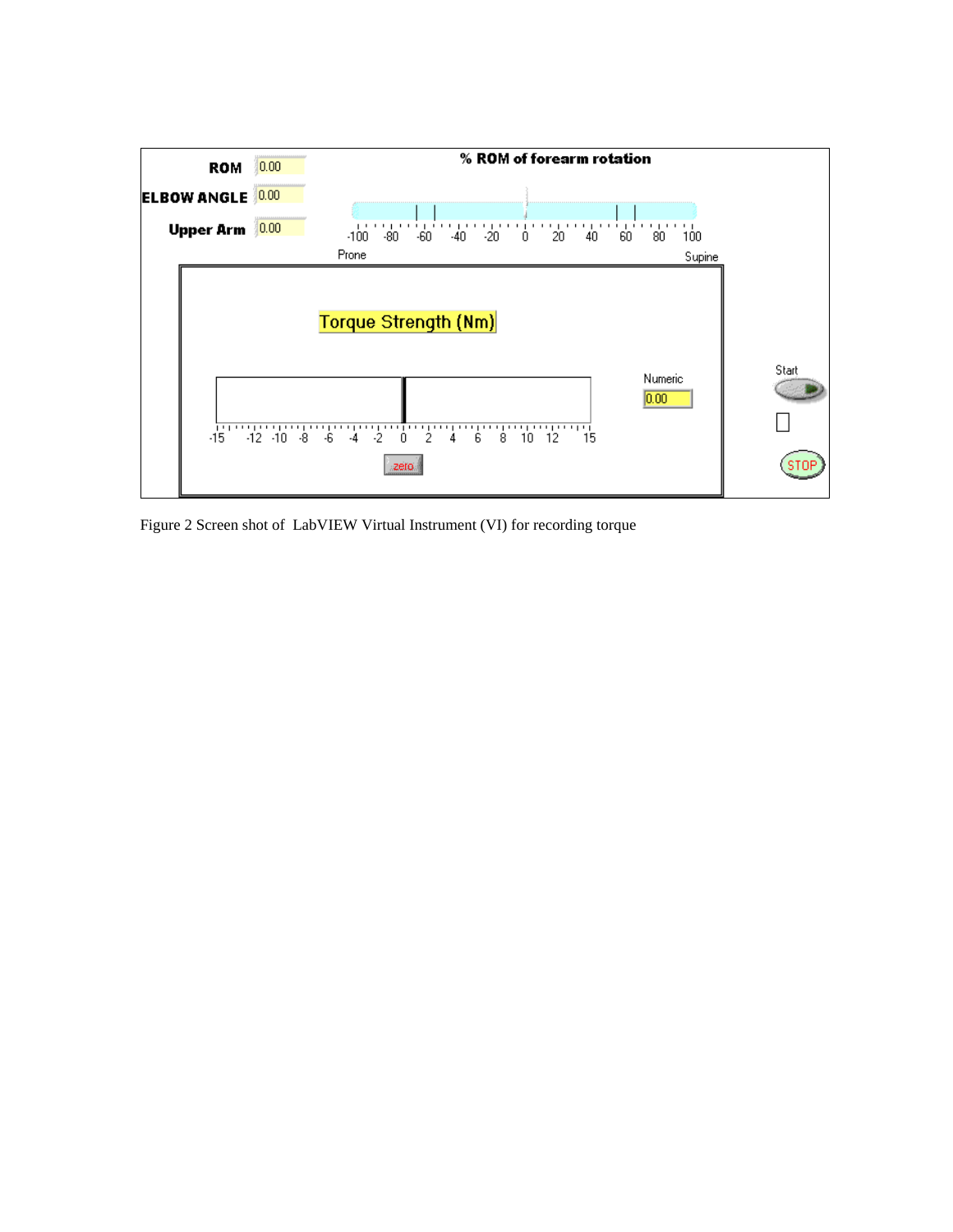

Figure 2 Screen shot of LabVIEW Virtual Instrument (VI) for recording torque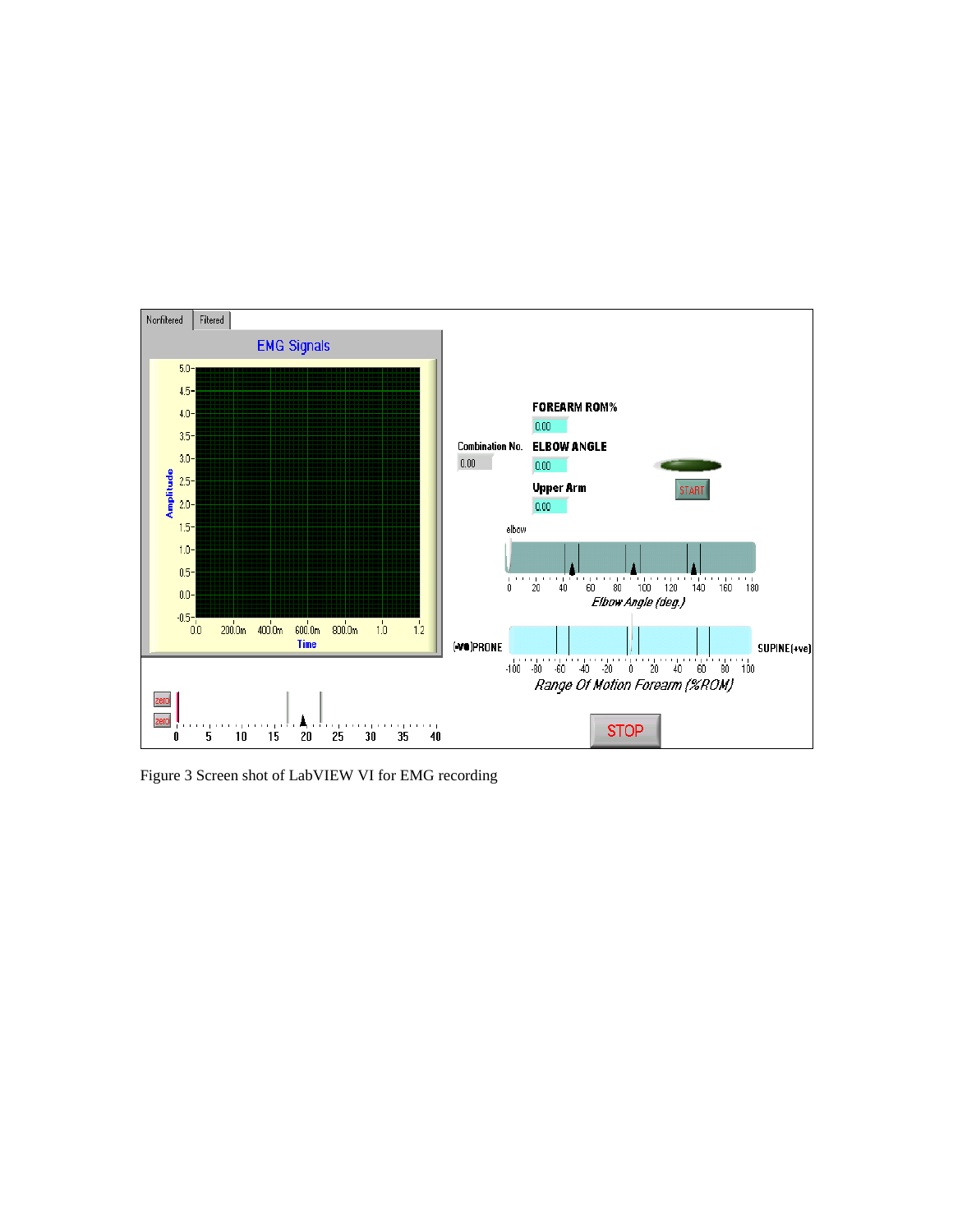

Figure 3 Screen shot of LabVIEW VI for EMG recording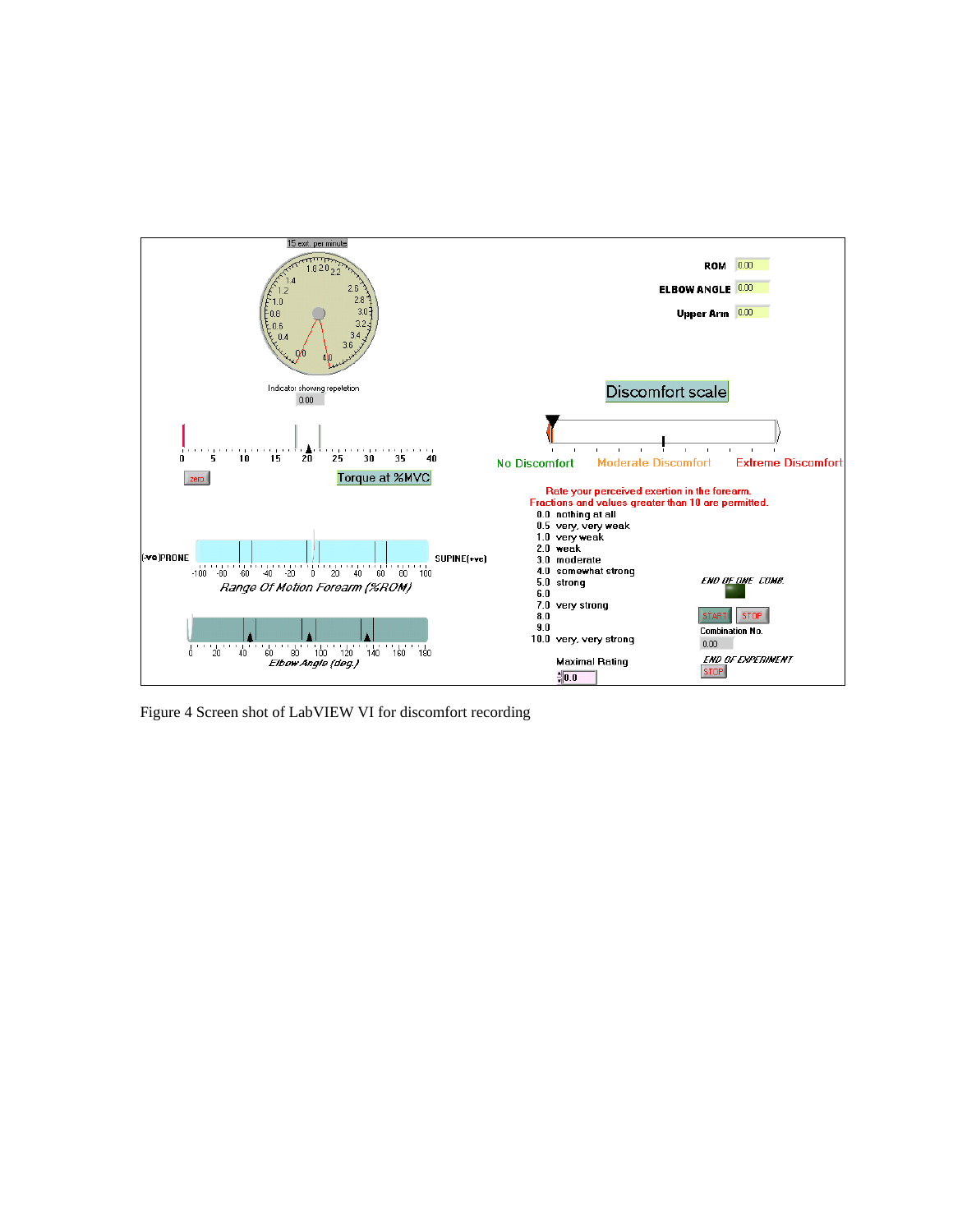

Figure 4 Screen shot of LabVIEW VI for discomfort recording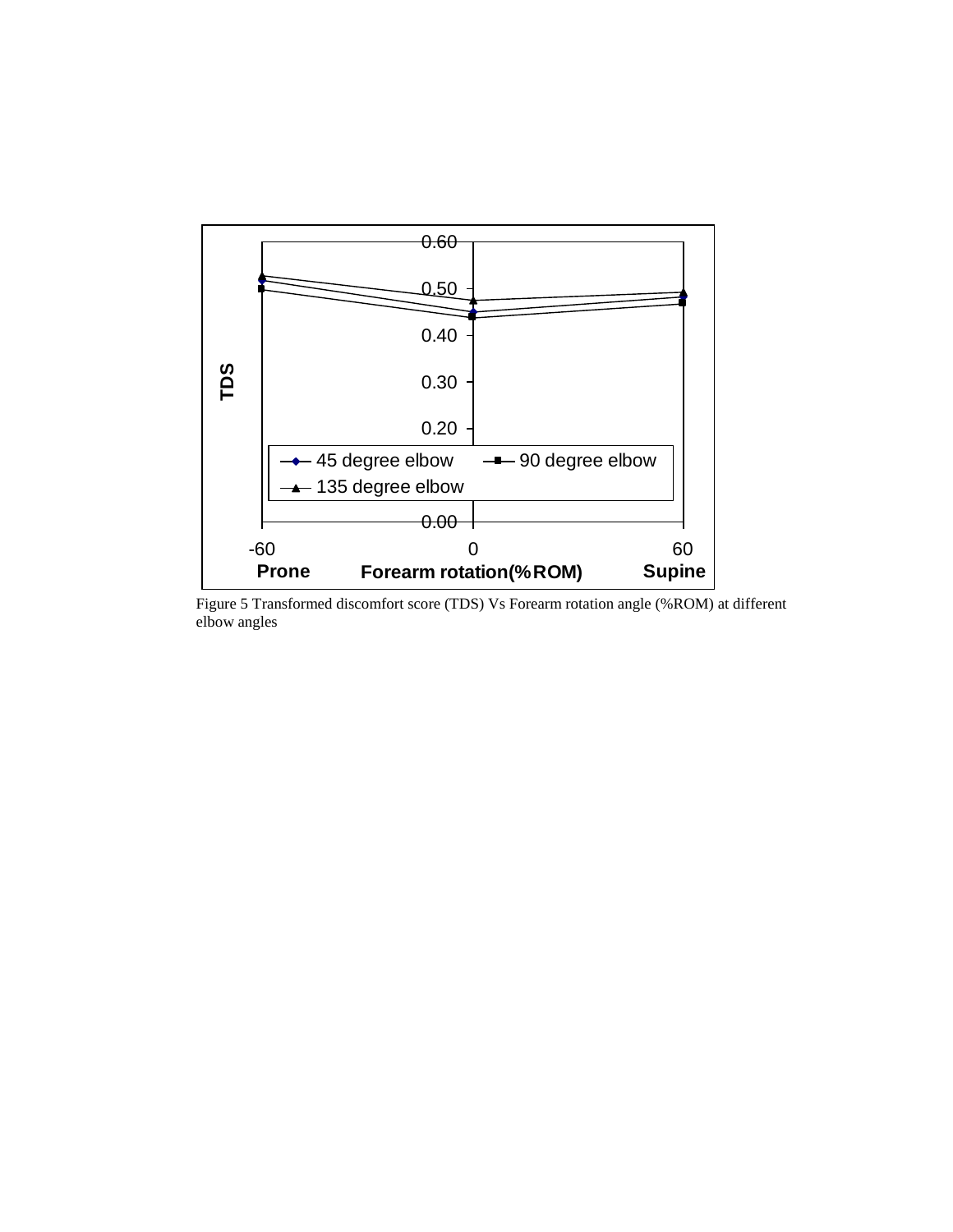

Figure 5 Transformed discomfort score (TDS) Vs Forearm rotation angle (%ROM) at different elbow angles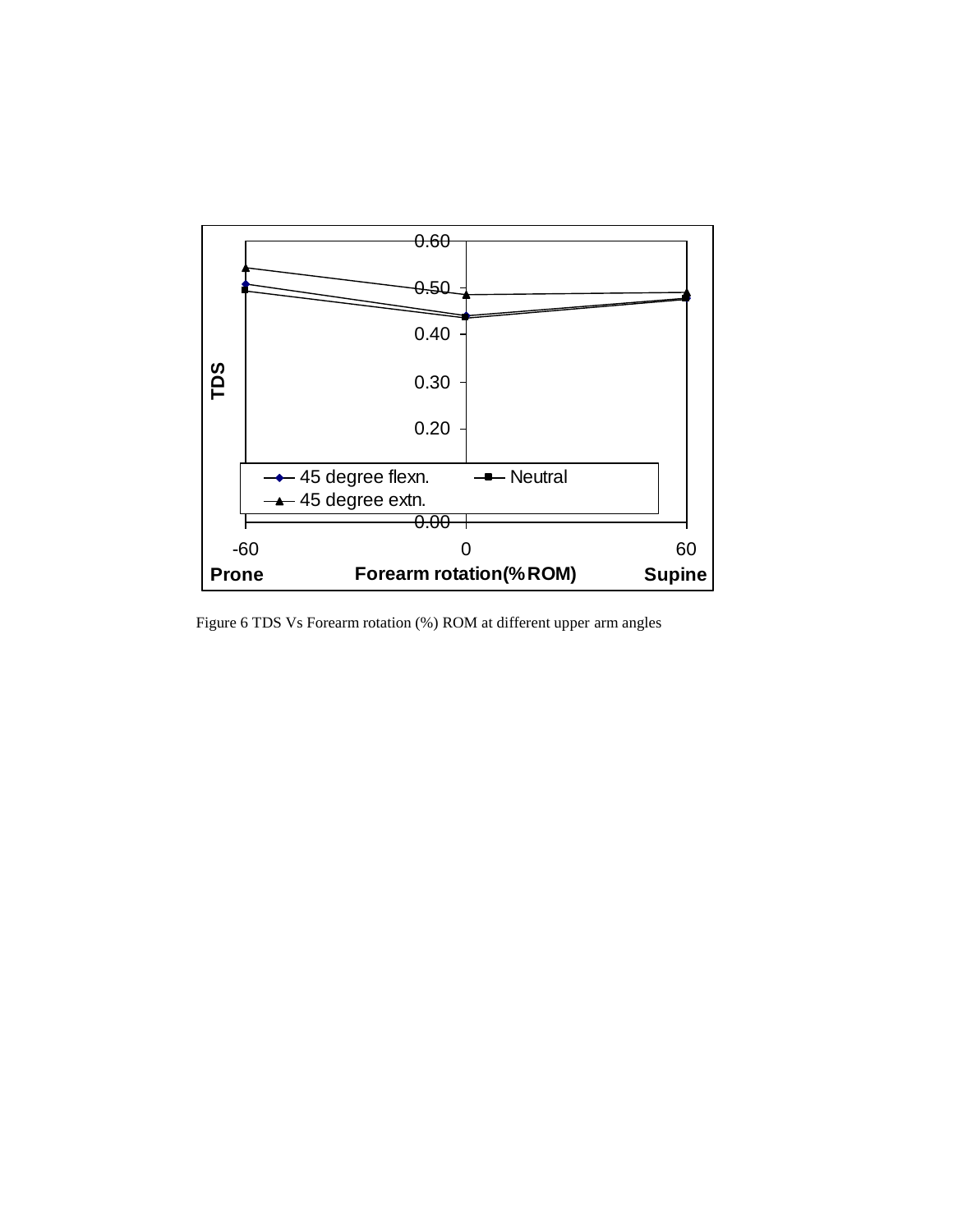

Figure 6 TDS Vs Forearm rotation (%) ROM at different upper arm angles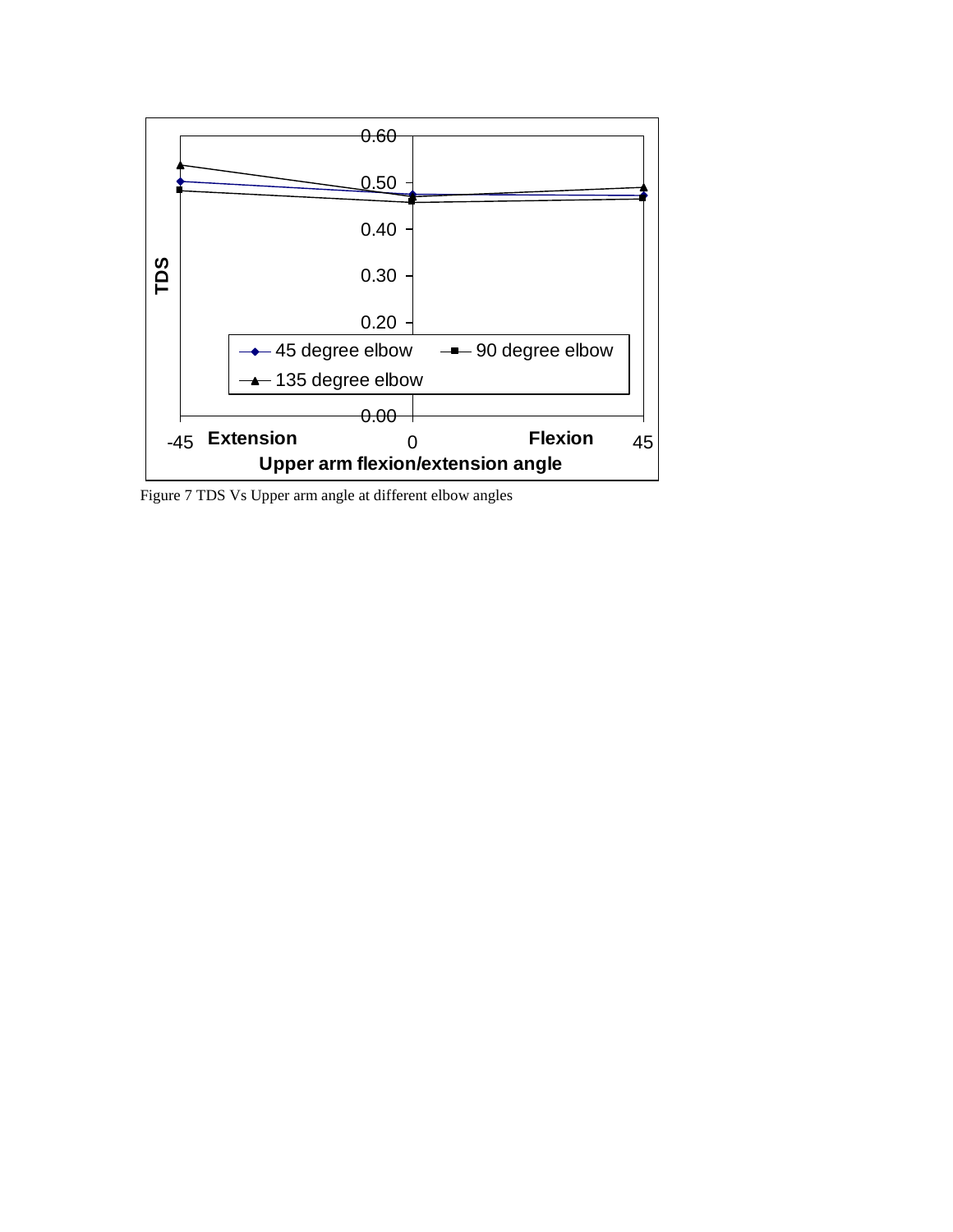

Figure 7 TDS Vs Upper arm angle at different elbow angles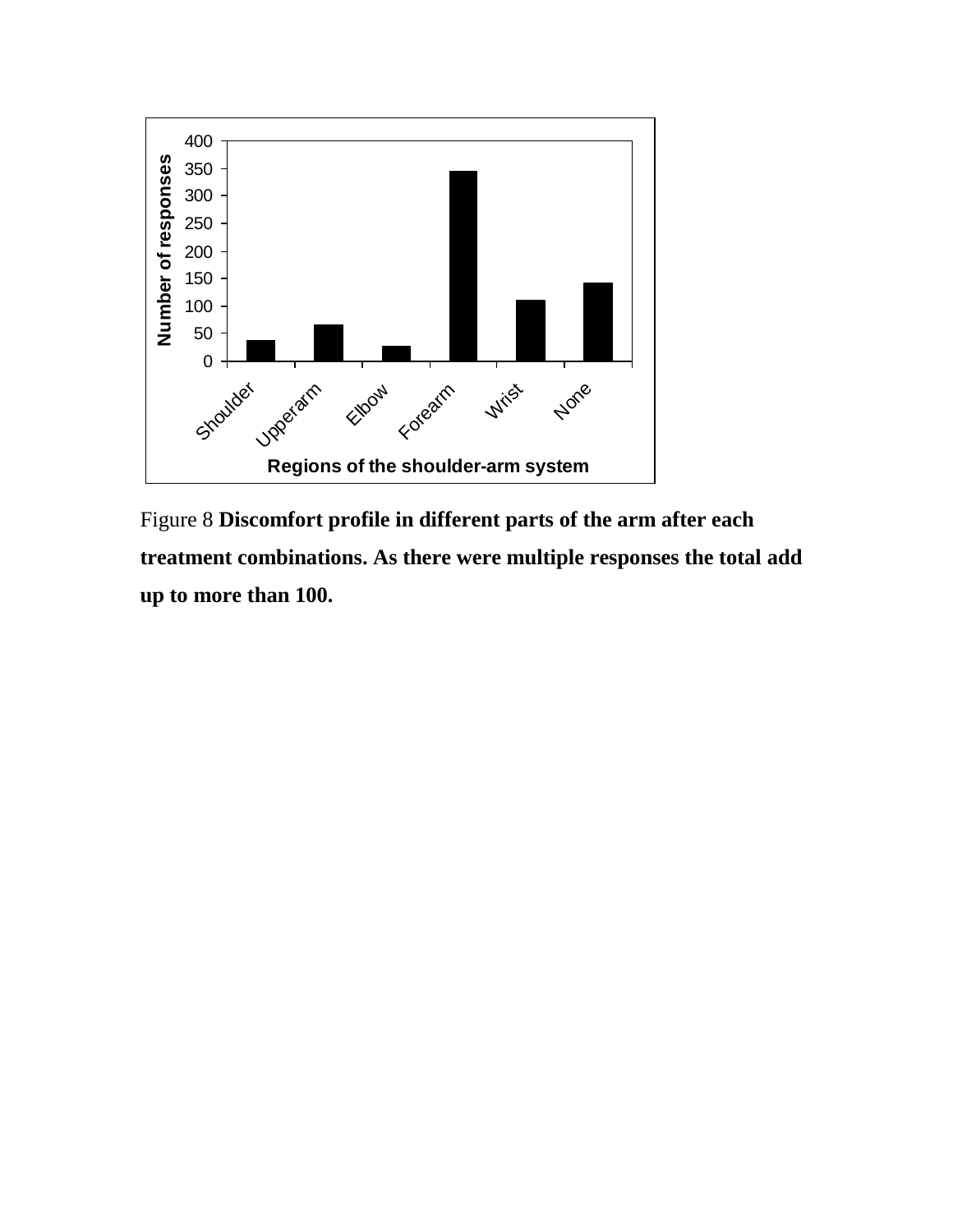

Figure 8 **Discomfort profile in different parts of the arm after each treatment combinations. As there were multiple responses the total add up to more than 100.**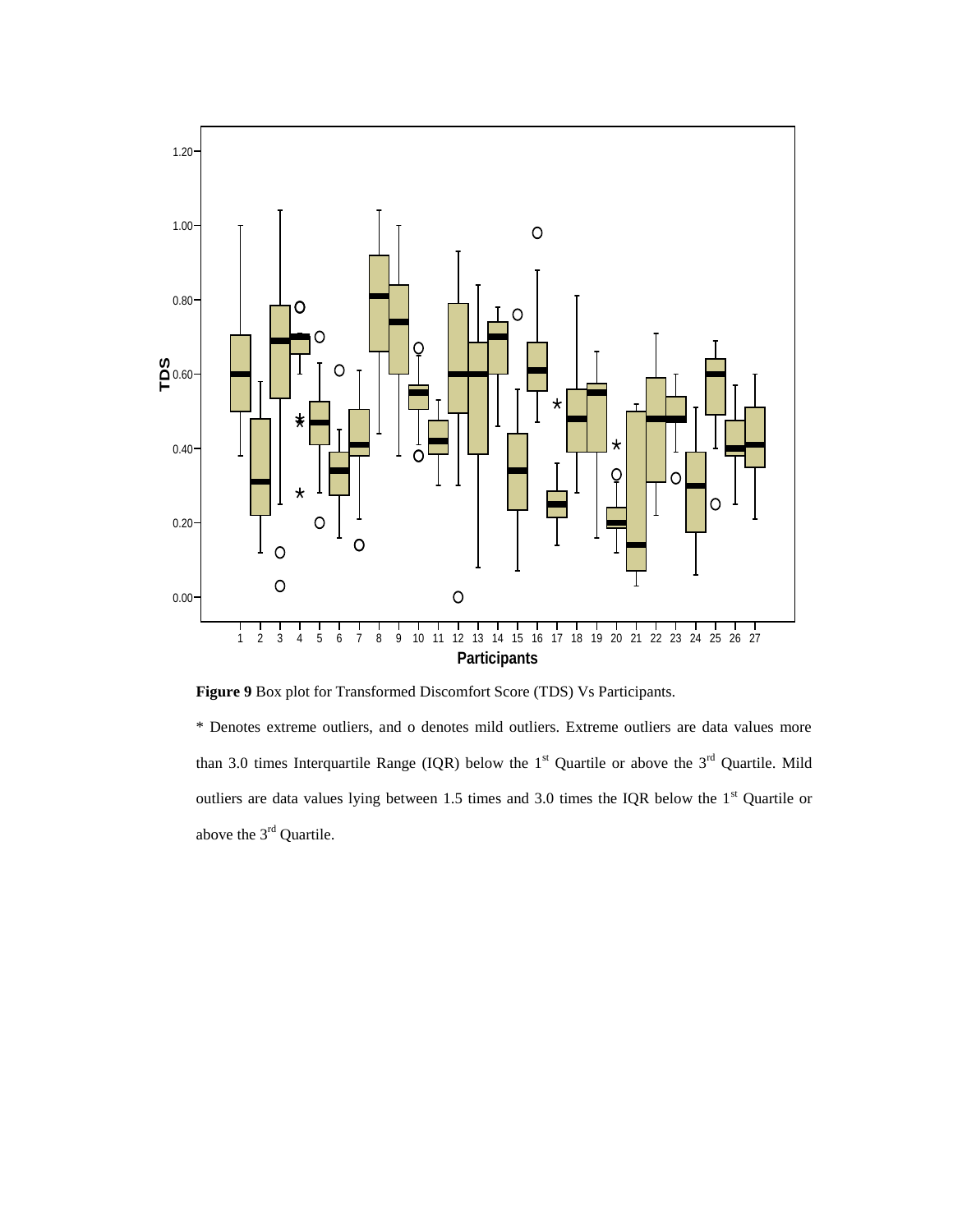

**Figure 9** Box plot for Transformed Discomfort Score (TDS) Vs Participants.

\* Denotes extreme outliers, and o denotes mild outliers. Extreme outliers are data values more than 3.0 times Interquartile Range (IQR) below the  $1<sup>st</sup>$  Quartile or above the  $3<sup>rd</sup>$  Quartile. Mild outliers are data values lying between 1.5 times and 3.0 times the IQR below the  $1<sup>st</sup>$  Quartile or above the 3<sup>rd</sup> Quartile.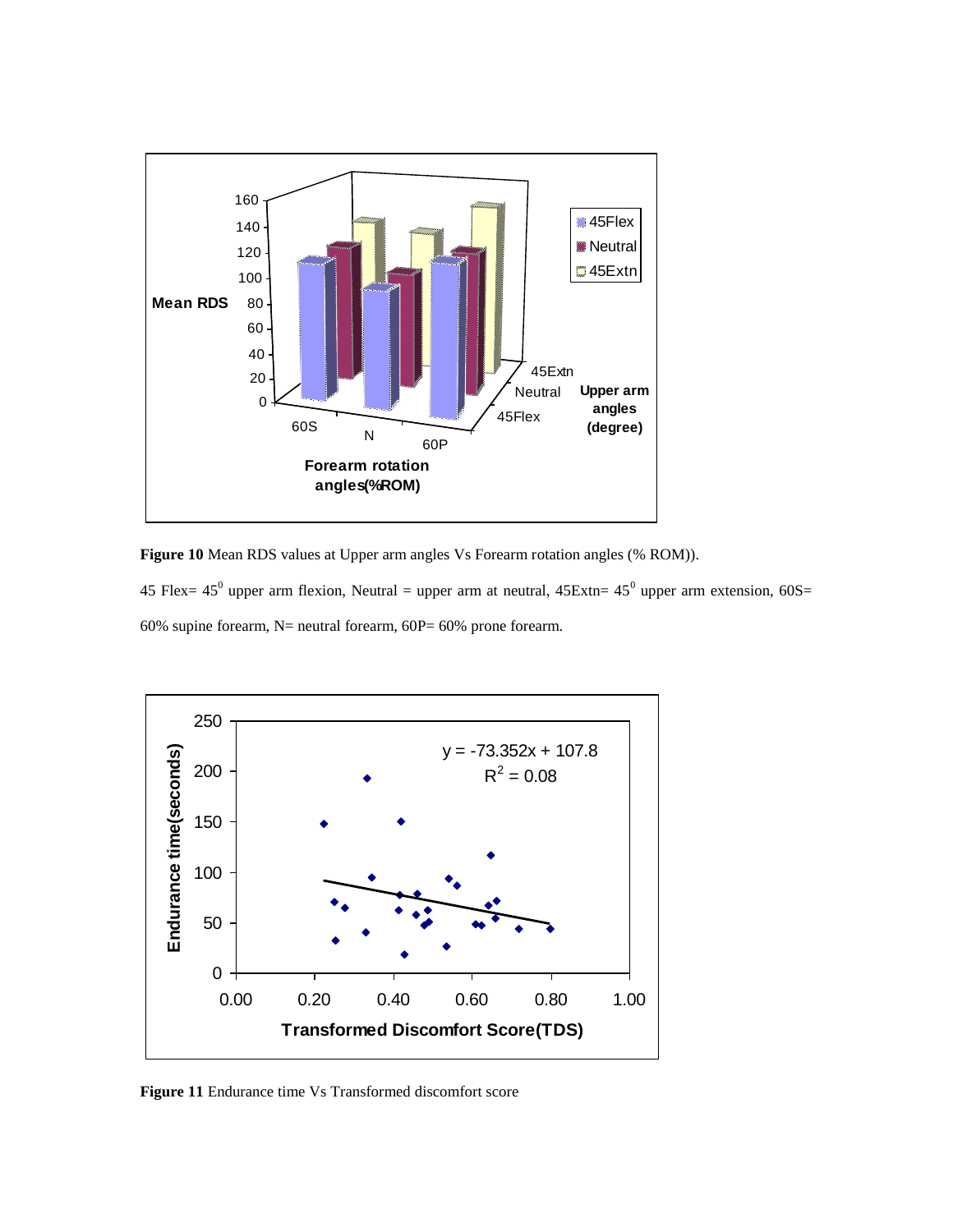

**Figure 10** Mean RDS values at Upper arm angles Vs Forearm rotation angles (% ROM)).

45 Flex= 45<sup>0</sup> upper arm flexion, Neutral = upper arm at neutral,  $45Extn = 45<sup>0</sup>$  upper arm extension,  $60S =$ 60% supine forearm,  $N=$  neutral forearm, 60P= 60% prone forearm.



**Figure 11** Endurance time Vs Transformed discomfort score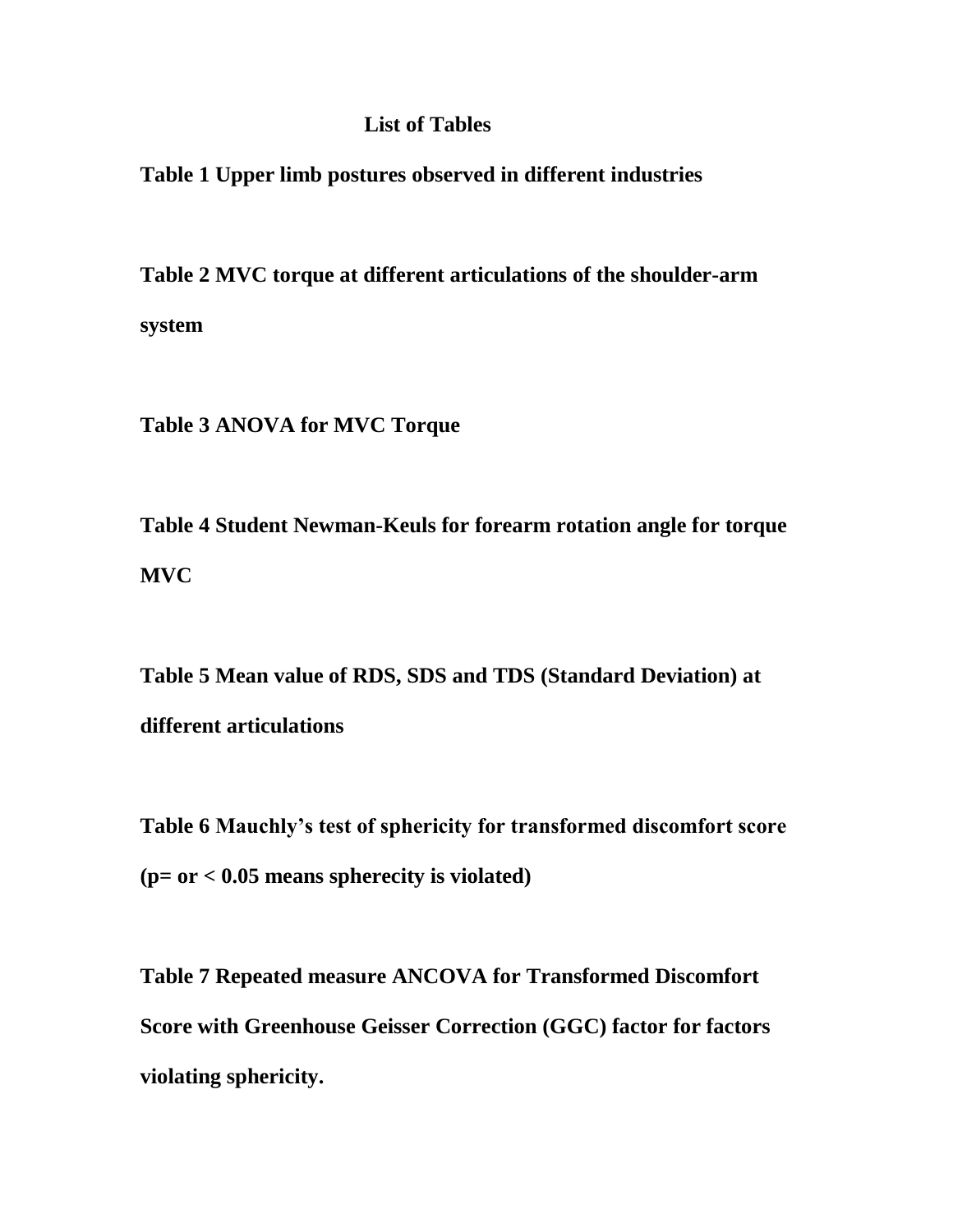# **List of Tables**

**Table 1 Upper limb postures observed in different industries**

**Table 2 MVC torque at different articulations of the shoulder-arm system**

**Table 3 ANOVA for MVC Torque**

**Table 4 Student Newman-Keuls for forearm rotation angle for torque MVC** 

**Table 5 Mean value of RDS, SDS and TDS (Standard Deviation) at different articulations**

**Table 6 Mauchly's test of sphericity for transformed discomfort score (p= or < 0.05 means spherecity is violated)** 

**Table 7 Repeated measure ANCOVA for Transformed Discomfort Score with Greenhouse Geisser Correction (GGC) factor for factors violating sphericity.**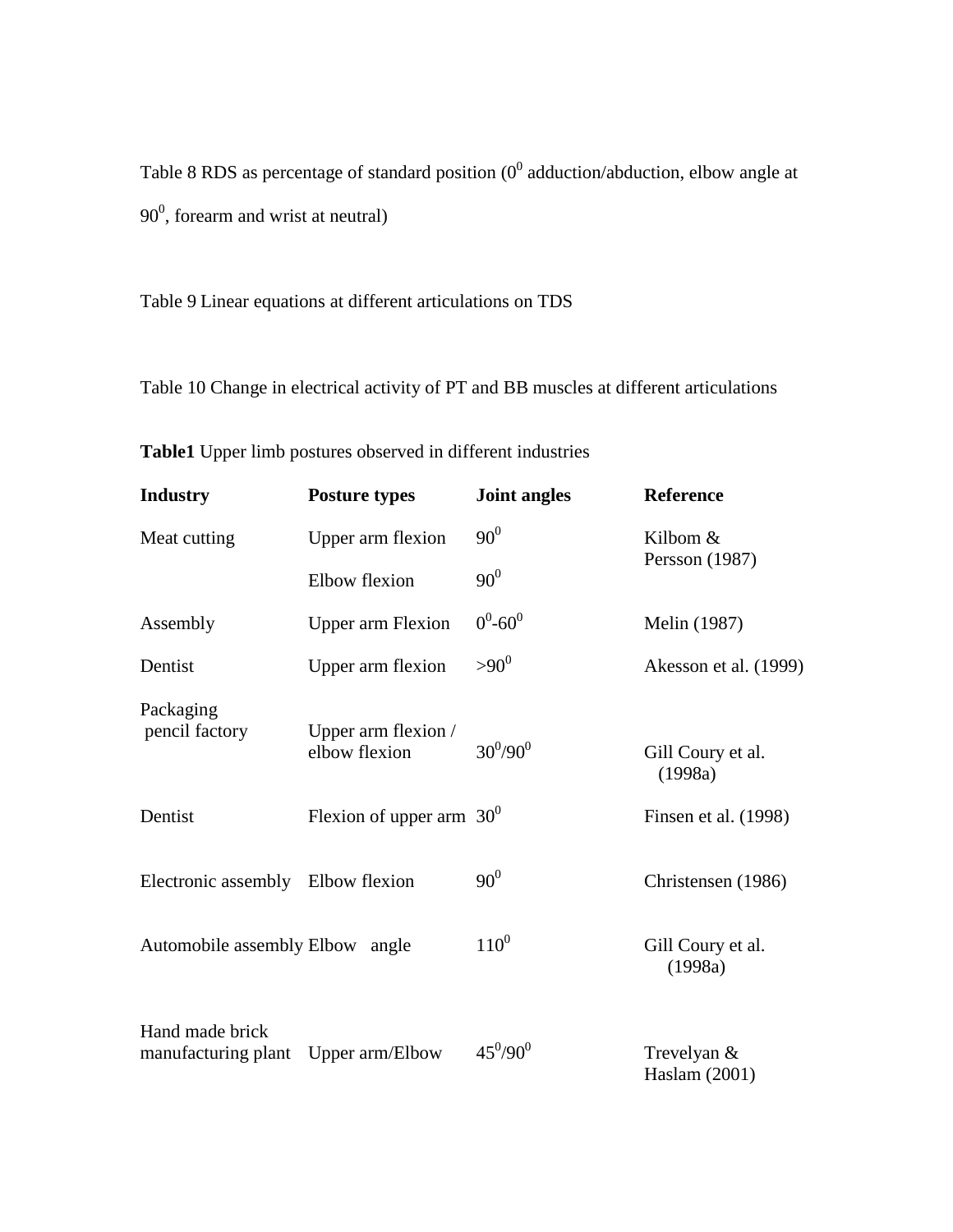Table 8 RDS as percentage of standard position  $(0^0$  adduction/abduction, elbow angle at  $90^0$ , forearm and wrist at neutral)

Table 9 Linear equations at different articulations on TDS

Table 10 Change in electrical activity of PT and BB muscles at different articulations

| <b>Industry</b>                        | <b>Posture types</b>                 | <b>Joint angles</b> | <b>Reference</b>             |
|----------------------------------------|--------------------------------------|---------------------|------------------------------|
| Meat cutting                           | Upper arm flexion                    | $90^{0}$            | Kilbom &                     |
|                                        | Elbow flexion                        | $90^0$              | Persson (1987)               |
| Assembly                               | <b>Upper arm Flexion</b>             | $0^0$ -60 $^0$      | Melin (1987)                 |
| Dentist                                | Upper arm flexion                    | $> 90^0$            | Akesson et al. (1999)        |
| Packaging<br>pencil factory            | Upper arm flexion /<br>elbow flexion | $30^{0}/90^{0}$     | Gill Coury et al.<br>(1998a) |
| Dentist                                | Flexion of upper arm $30^0$          |                     | Finsen et al. (1998)         |
| Electronic assembly Elbow flexion      |                                      | $90^0$              | Christensen (1986)           |
| Automobile assembly Elbow              | angle                                | $110^{0}$           | Gill Coury et al.<br>(1998a) |
| Hand made brick<br>manufacturing plant | Upper arm/Elbow                      | $45^0/90^0$         | Trevelyan &<br>Haslam (2001) |

**Table1** Upper limb postures observed in different industries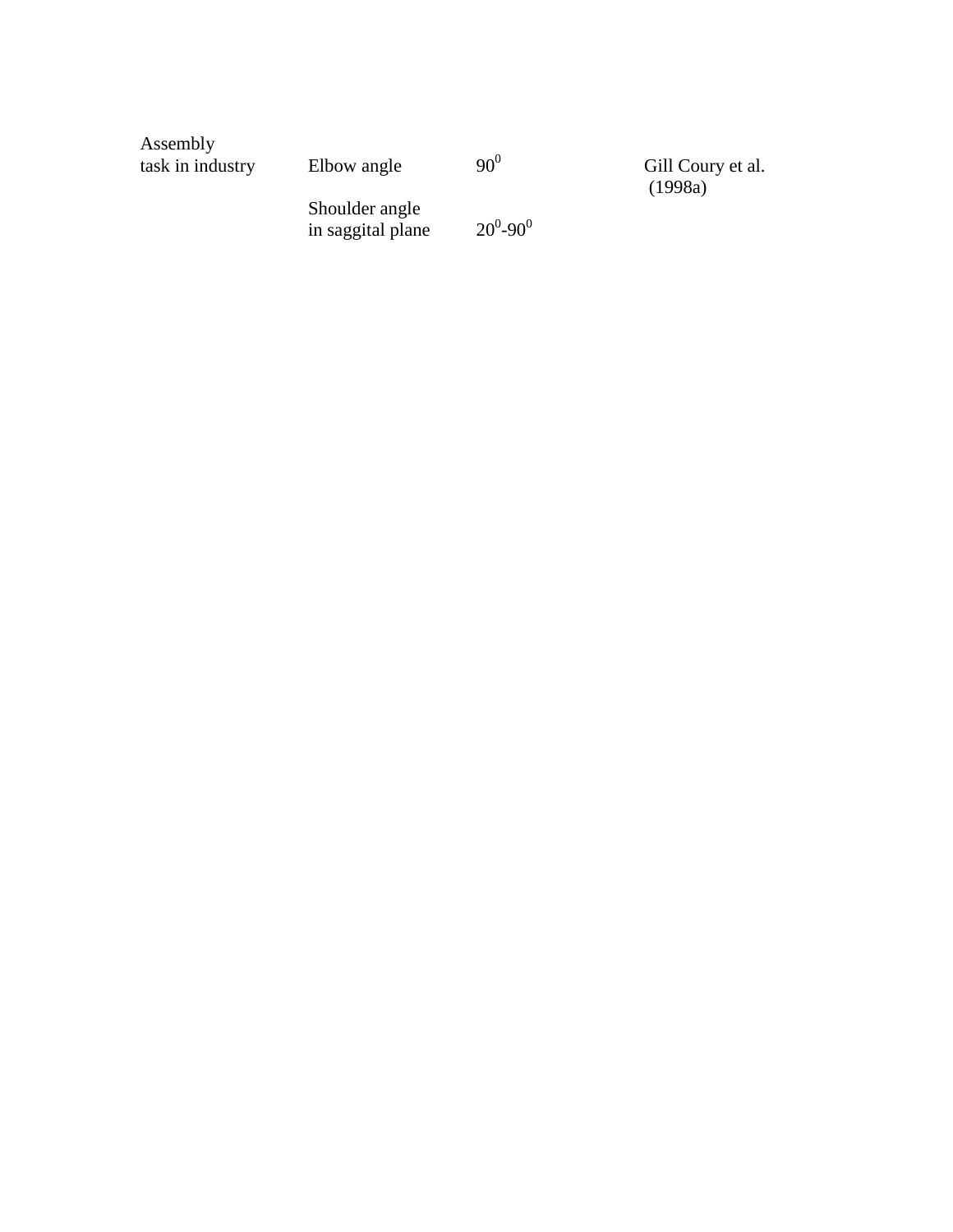| Assembly<br>task in industry | Elbow angle                         | $90^{0}$      | Gill Coury et al.<br>(1998a) |
|------------------------------|-------------------------------------|---------------|------------------------------|
|                              | Shoulder angle<br>in saggital plane | $20^0 - 90^0$ |                              |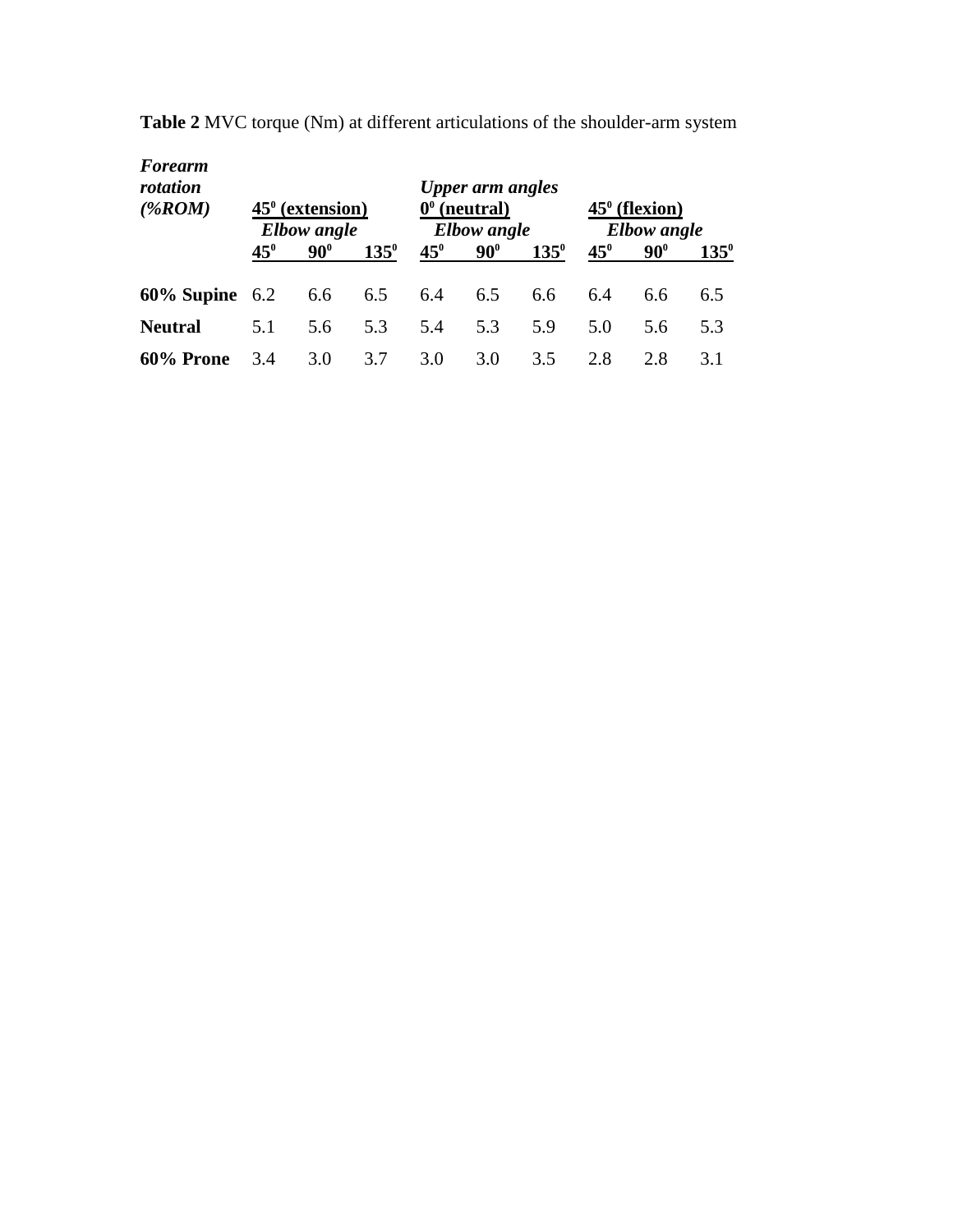| <b>Forearm</b><br>rotation<br>$(\%ROM)$ | $45^{\circ}$ (extension)<br><b>Elbow</b> angle |            |               | $\mathbf{0}^{\mathbf{0}}$ | <b>Upper arm angles</b><br>(neutral)<br><b>Elbow</b> angle |               |              | $45^{\circ}$ (flexion)<br><b>Elbow</b> angle |               |
|-----------------------------------------|------------------------------------------------|------------|---------------|---------------------------|------------------------------------------------------------|---------------|--------------|----------------------------------------------|---------------|
|                                         | $45^{\circ}$                                   | $90^\circ$ | $135^{\circ}$ | $45^{\circ}$              | $90^\circ$                                                 | $135^{\circ}$ | $45^{\circ}$ | $90^\circ$                                   | $135^{\circ}$ |
| $60\%$ Supine $6.2$                     |                                                | 6.6        | 6.5           | 6.4                       | 6.5                                                        | 6.6           | 6.4          | 6.6                                          | 6.5           |
| <b>Neutral</b>                          | 5.1                                            | 5.6        | 5.3           | 5.4                       | 5.3                                                        | 5.9           | 5.0          | 5.6                                          | 5.3           |
| 60% Prone                               | 3.4                                            | 3.0        | 3.7           | 3.0                       | 3.0                                                        | 3.5           | 2.8          | 2.8                                          | 3.1           |

**Table 2** MVC torque (Nm) at different articulations of the shoulder-arm system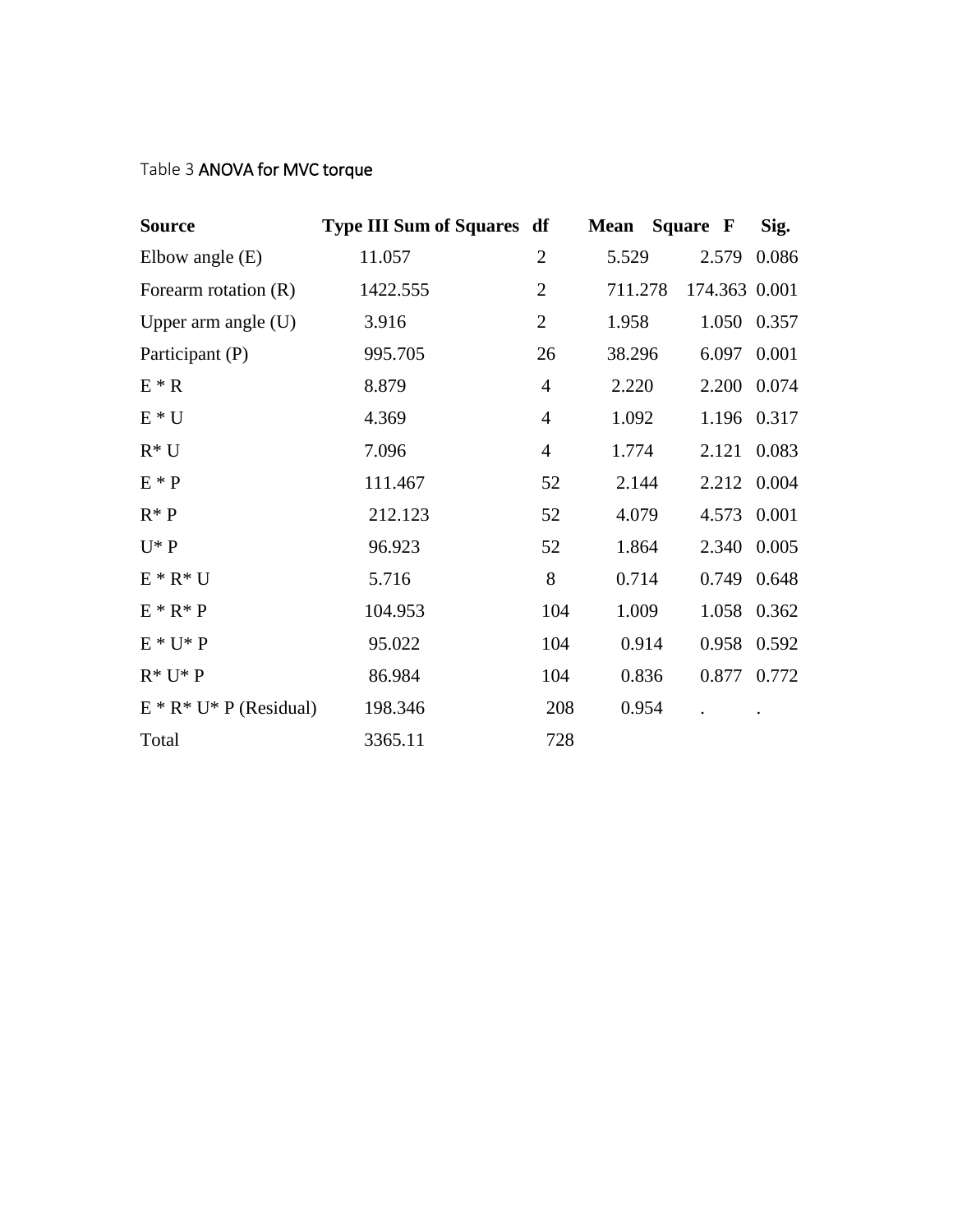# Table 3 ANOVA for MVC torque

| <b>Source</b>              | <b>Type III Sum of Squares df</b> |                | <b>Mean</b> Square F |               | Sig.  |
|----------------------------|-----------------------------------|----------------|----------------------|---------------|-------|
| Elbow angle $(E)$          | 11.057                            | $\overline{2}$ | 5.529                | 2.579         | 0.086 |
| Forearm rotation $(R)$     | 1422.555                          | $\overline{2}$ | 711.278              | 174.363 0.001 |       |
| Upper arm angle $(U)$      | 3.916                             | $\overline{2}$ | 1.958                | 1.050 0.357   |       |
| Participant (P)            | 995.705                           | 26             | 38.296               | 6.097 0.001   |       |
| $E * R$                    | 8.879                             | $\overline{4}$ | 2.220                | 2.200 0.074   |       |
| $E * U$                    | 4.369                             | $\overline{4}$ | 1.092                | 1.196 0.317   |       |
| $R^*U$                     | 7.096                             | $\overline{4}$ | 1.774                | 2.121         | 0.083 |
| $E * P$                    | 111.467                           | 52             | 2.144                | 2.212 0.004   |       |
| $R^* P$                    | 212.123                           | 52             | 4.079                | 4.573 0.001   |       |
| $U^* P$                    | 96.923                            | 52             | 1.864                | 2.340         | 0.005 |
| $E * R * U$                | 5.716                             | 8              | 0.714                | 0.749 0.648   |       |
| $E * R * P$                | 104.953                           | 104            | 1.009                | 1.058 0.362   |       |
| $E * U * P$                | 95.022                            | 104            | 0.914                | 0.958 0.592   |       |
| $R^* U^* P$                | 86.984                            | 104            | 0.836                | 0.877 0.772   |       |
| $E * R * U * P$ (Residual) | 198.346                           | 208            | 0.954                |               |       |
| Total                      | 3365.11                           | 728            |                      |               |       |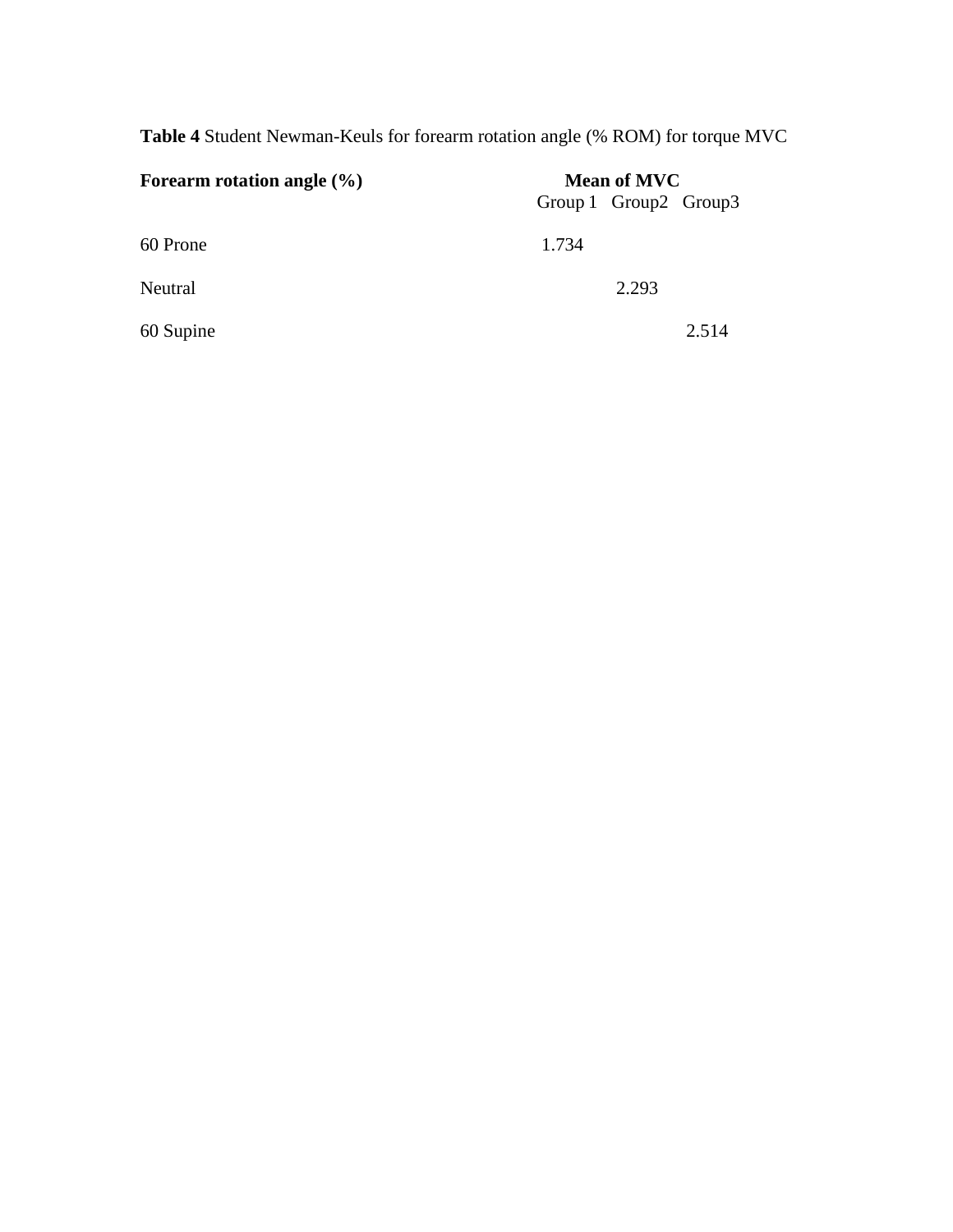**Table 4** Student Newman-Keuls for forearm rotation angle (% ROM) for torque MVC

| Forearm rotation angle $(\% )$ | <b>Mean of MVC</b>      |  |  |  |
|--------------------------------|-------------------------|--|--|--|
|                                | Group 1 Group 2 Group 3 |  |  |  |
| 60 Prone                       | 1.734                   |  |  |  |
| Neutral                        | 2.293                   |  |  |  |
| 60 Supine                      | 2.514                   |  |  |  |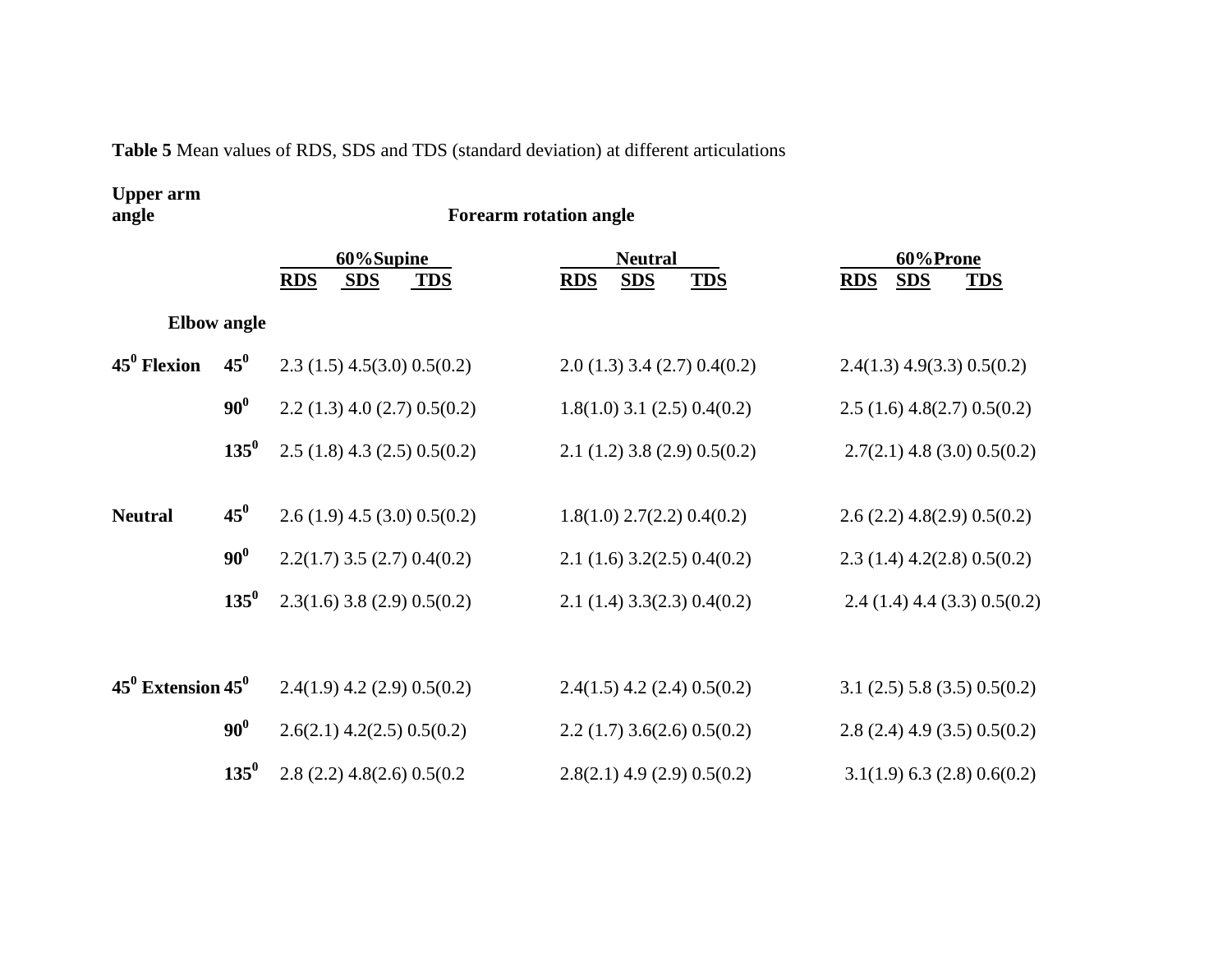**Table 5** Mean values of RDS, SDS and TDS (standard deviation) at different articulations

# **Upper arm**

**angle Forearm rotation angle** 

|                         |                    | 60%Supine<br><b>RDS</b><br><b>TDS</b><br><b>SDS</b> | <b>Neutral</b><br><b>TDS</b><br><b>SDS</b><br><b>RDS</b> | 60%Prone<br><b>RDS</b><br><b>SDS</b><br><b>TDS</b> |
|-------------------------|--------------------|-----------------------------------------------------|----------------------------------------------------------|----------------------------------------------------|
|                         | <b>Elbow</b> angle |                                                     |                                                          |                                                    |
| $45^0$ Flexion          | $45^0$             | $2.3(1.5)$ 4.5(3.0) 0.5(0.2)                        | $2.0(1.3)$ 3.4 (2.7) 0.4(0.2)                            | $2.4(1.3)$ 4.9(3.3) 0.5(0.2)                       |
|                         | $90^0$             | $2.2(1.3)$ 4.0 (2.7) 0.5(0.2)                       | $1.8(1.0)$ 3.1 (2.5) 0.4(0.2)                            | $2.5(1.6)$ 4.8(2.7) 0.5(0.2)                       |
|                         | $135^0$            | $2.5(1.8)$ 4.3 (2.5) 0.5(0.2)                       | $2.1(1.2)$ 3.8 (2.9) 0.5(0.2)                            | $2.7(2.1)$ 4.8 (3.0) 0.5(0.2)                      |
| <b>Neutral</b>          | $45^{0}$           | $2.6(1.9)$ 4.5 (3.0) 0.5(0.2)                       | $1.8(1.0)$ 2.7(2.2) 0.4(0.2)                             | $2.6(2.2)$ 4.8(2.9) 0.5(0.2)                       |
|                         | $90^0$             | $2.2(1.7)$ 3.5 (2.7) 0.4(0.2)                       | 2.1(1.6)3.2(2.5)0.4(0.2)                                 | $2.3(1.4)$ 4.2(2.8) 0.5(0.2)                       |
|                         | $135^0$            | $2.3(1.6)$ 3.8 (2.9) 0.5(0.2)                       | $2.1$ (1.4) 3.3(2.3) 0.4(0.2)                            | $2.4(1.4)$ 4.4 (3.3) 0.5(0.2)                      |
|                         |                    |                                                     |                                                          |                                                    |
| $45^0$ Extension $45^0$ |                    | $2.4(1.9)$ 4.2 (2.9) 0.5(0.2)                       | $2.4(1.5)$ 4.2 (2.4) 0.5(0.2)                            | $3.1$ (2.5) 5.8 (3.5) 0.5(0.2)                     |
|                         | $90^0$             | $2.6(2.1)$ 4.2(2.5) 0.5(0.2)                        | 2.2(1.7)3.6(2.6)0.5(0.2)                                 | $2.8(2.4)$ 4.9 (3.5) 0.5(0.2)                      |
|                         | $135^0$            | $2.8(2.2)$ 4.8(2.6) 0.5(0.2                         | $2.8(2.1)$ 4.9 (2.9) 0.5(0.2)                            | $3.1(1.9)$ 6.3 (2.8) 0.6(0.2)                      |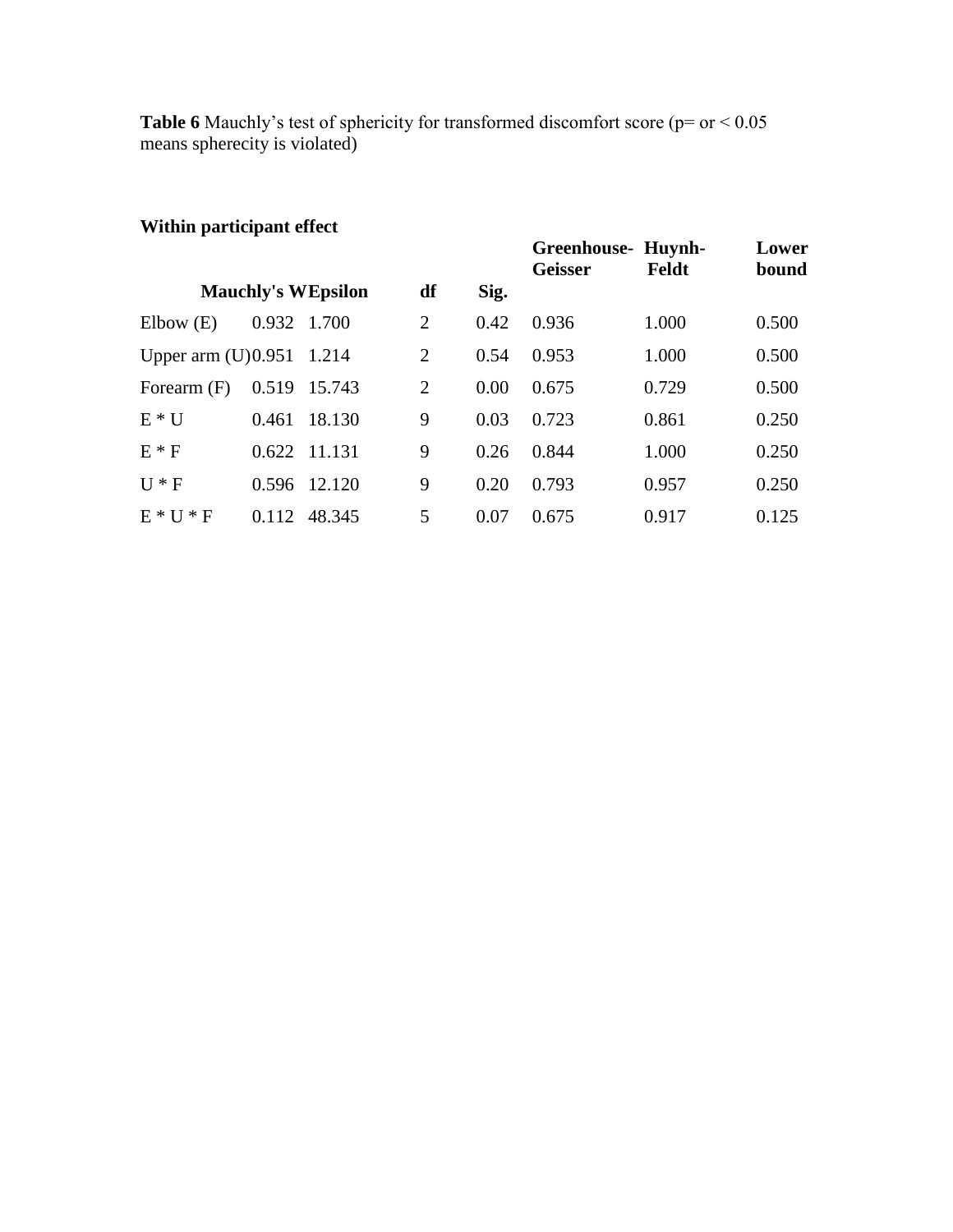**Table 6** Mauchly's test of sphericity for transformed discomfort score (p= or < 0.05 means spherecity is violated)

# **Within participant effect**

| waann par acipant circet |       |                           |                |      |                                      |       |                |
|--------------------------|-------|---------------------------|----------------|------|--------------------------------------|-------|----------------|
|                          |       |                           |                |      | Greenhouse- Huynh-<br><b>Geisser</b> | Feldt | Lower<br>bound |
|                          |       | <b>Mauchly's WEpsilon</b> | df             | Sig. |                                      |       |                |
| Elbow(E)                 | 0.932 | 1.700                     | 2              | 0.42 | 0.936                                | 1.000 | 0.500          |
| Upper arm $(U)0.951$     |       | 1.214                     | $\overline{2}$ | 0.54 | 0.953                                | 1.000 | 0.500          |
| Forearm $(F)$            | 0.519 | 15.743                    | $\overline{2}$ | 0.00 | 0.675                                | 0.729 | 0.500          |
| $E * U$                  | 0.461 | 18.130                    | 9              | 0.03 | 0.723                                | 0.861 | 0.250          |
| $E * F$                  |       | 0.622 11.131              | 9              | 0.26 | 0.844                                | 1.000 | 0.250          |
| $U * F$                  | 0.596 | 12.120                    | 9              | 0.20 | 0.793                                | 0.957 | 0.250          |
| $E*U*F$                  | 0.112 | 48.345                    | 5              | 0.07 | 0.675                                | 0.917 | 0.125          |
|                          |       |                           |                |      |                                      |       |                |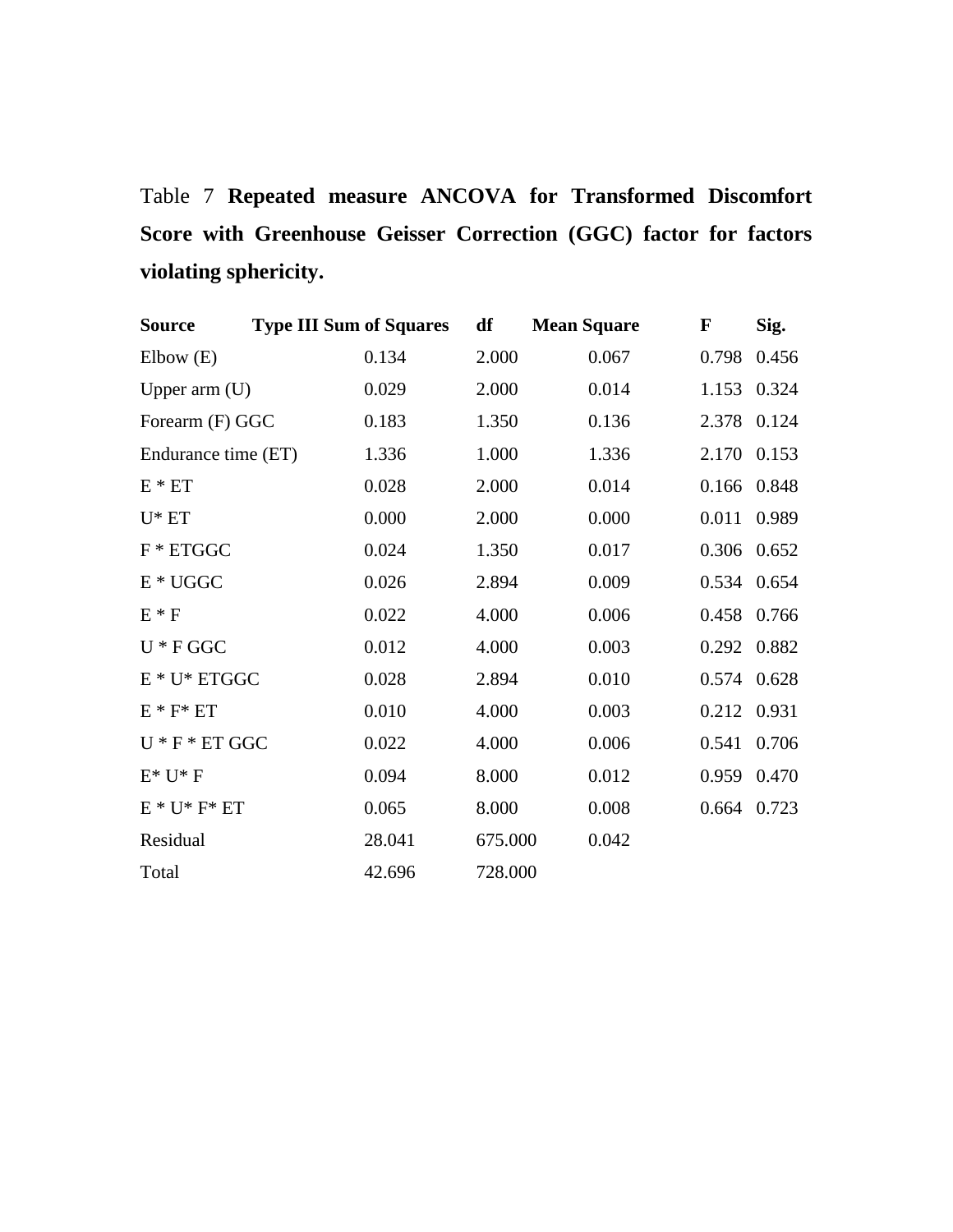Table 7 **Repeated measure ANCOVA for Transformed Discomfort Score with Greenhouse Geisser Correction (GGC) factor for factors violating sphericity.**

| <b>Source</b>              | <b>Type III Sum of Squares</b> |        | df      | <b>Mean Square</b> | $\mathbf{F}$ | Sig.  |
|----------------------------|--------------------------------|--------|---------|--------------------|--------------|-------|
| Elbow(E)                   |                                | 0.134  | 2.000   | 0.067              | 0.798        | 0.456 |
| Upper $arm(U)$             |                                | 0.029  | 2.000   | 0.014              | 1.153 0.324  |       |
| Forearm (F) GGC            |                                | 0.183  | 1.350   | 0.136              | 2.378 0.124  |       |
| Endurance time (ET)        |                                | 1.336  | 1.000   | 1.336              | 2.170        | 0.153 |
| $E * ET$                   |                                | 0.028  | 2.000   | 0.014              | 0.166        | 0.848 |
| $U^*$ ET                   |                                | 0.000  | 2.000   | 0.000              | 0.011        | 0.989 |
| $F * ETGGC$                |                                | 0.024  | 1.350   | 0.017              | 0.306 0.652  |       |
| $\mathbf{E}*\mathbf{UGGC}$ |                                | 0.026  | 2.894   | 0.009              | 0.534 0.654  |       |
| $E * F$                    |                                | 0.022  | 4.000   | 0.006              | 0.458        | 0.766 |
| $U * F G G C$              |                                | 0.012  | 4.000   | 0.003              | 0.292 0.882  |       |
| $E * U * ETGGC$            |                                | 0.028  | 2.894   | 0.010              | 0.574 0.628  |       |
| $E * F * ET$               |                                | 0.010  | 4.000   | 0.003              | 0.212 0.931  |       |
| $U * F * ET GGC$           |                                | 0.022  | 4.000   | 0.006              | 0.541        | 0.706 |
| $E^* U^* F$                |                                | 0.094  | 8.000   | 0.012              | 0.959 0.470  |       |
| $E * U * F * ET$           |                                | 0.065  | 8.000   | 0.008              | 0.664 0.723  |       |
| Residual                   |                                | 28.041 | 675.000 | 0.042              |              |       |
| Total                      |                                | 42.696 | 728.000 |                    |              |       |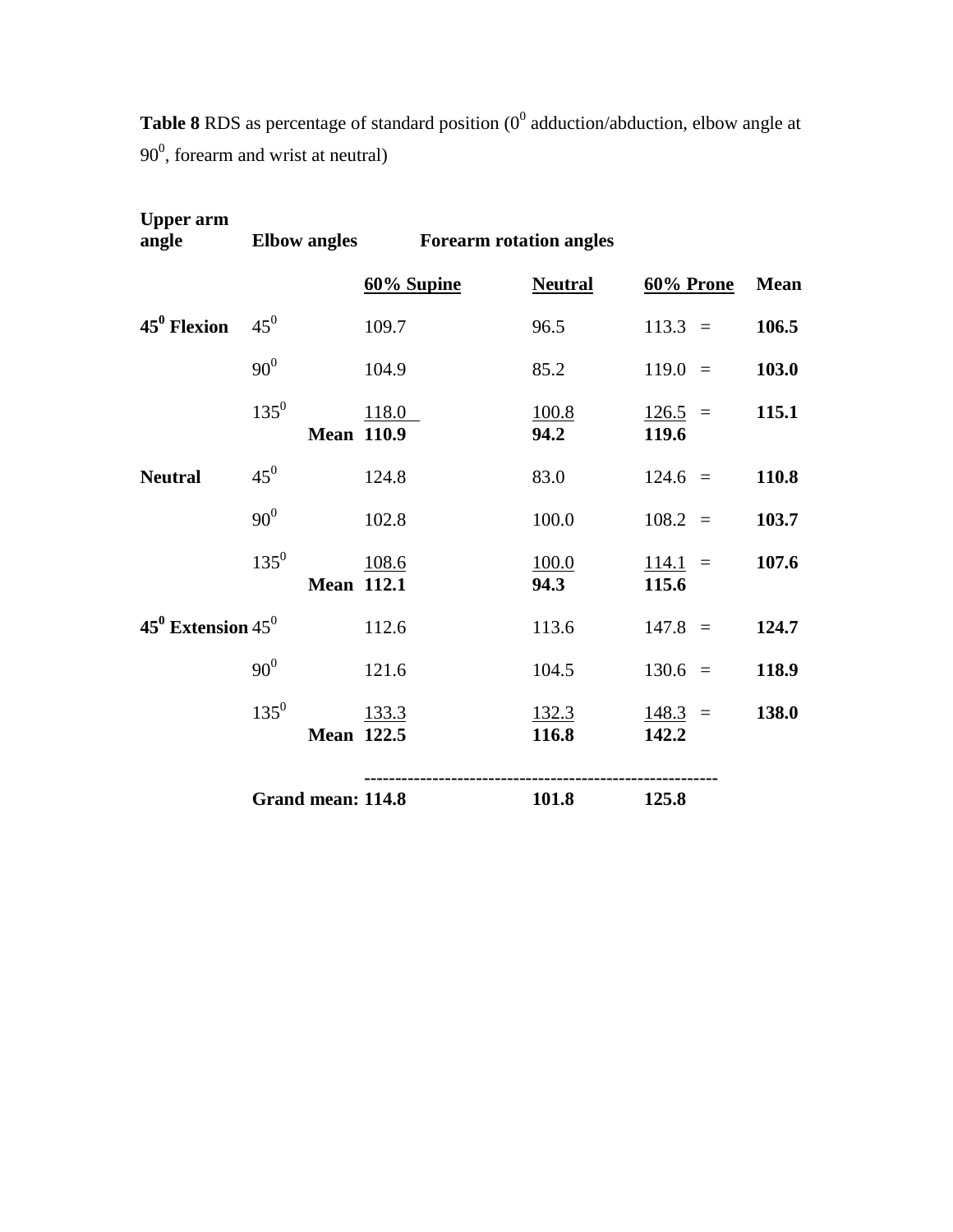| <b>Table 8</b> RDS as percentage of standard position ( $0^0$ adduction/abduction, elbow angle at |  |
|---------------------------------------------------------------------------------------------------|--|
| $90^0$ , forearm and wrist at neutral)                                                            |  |

| <b>Upper arm</b><br>angle |                                | Elbow angles Forearm rotation angles |                       |                              |       |
|---------------------------|--------------------------------|--------------------------------------|-----------------------|------------------------------|-------|
|                           |                                | 60% Supine                           | <b>Neutral</b>        | 60% Prone                    | Mean  |
| $45^0$ Flexion            | $45^0$                         | 109.7                                | 96.5                  | $113.3 =$                    | 106.5 |
|                           | $90^0$                         | 104.9                                | 85.2                  | $119.0 =$                    | 103.0 |
|                           | $135^{0}$<br><b>Mean 110.9</b> | 118.0                                | <u>100.8</u><br>94.2  | $\frac{126.5}{ }$ =<br>119.6 | 115.1 |
| <b>Neutral</b>            | $45^0$                         | 124.8                                | 83.0                  | $124.6 =$                    | 110.8 |
|                           | $90^0$                         | 102.8                                | 100.0                 | $108.2 =$                    | 103.7 |
|                           | $135^{0}$<br><b>Mean 112.1</b> | 108.6                                | 100.0<br>94.3         | $114.1 =$<br>115.6           | 107.6 |
| 45 $^0$ Extension 45 $^0$ |                                | 112.6                                | 113.6                 | $147.8 =$                    | 124.7 |
|                           | 90 <sup>0</sup>                | 121.6                                | 104.5                 | $130.6 =$                    | 118.9 |
|                           | $135^{0}$<br><b>Mean 122.5</b> | 133.3                                | <u>132.3</u><br>116.8 | $\frac{148.3}{ }$ =<br>142.2 | 138.0 |
|                           | Grand mean: 114.8              |                                      | 101.8                 | 125.8                        |       |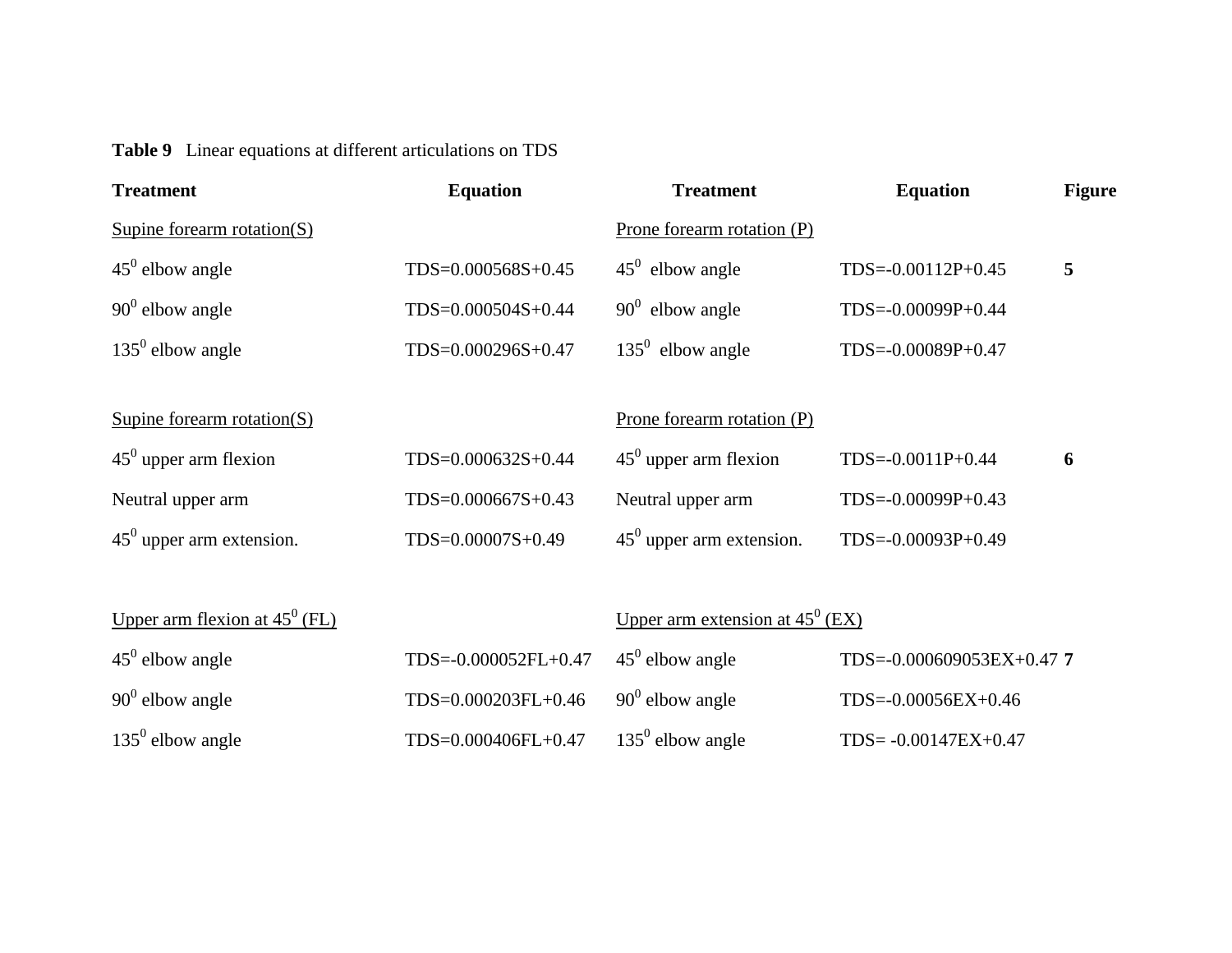**Table 9** Linear equations at different articulations on TDS

| <b>Treatment</b>                                         | <b>Equation</b>      | <b>Treatment</b>                                  | <b>Equation</b>           | <b>Figure</b> |
|----------------------------------------------------------|----------------------|---------------------------------------------------|---------------------------|---------------|
| Supine forearm rotation $(S)$                            |                      | Prone forearm rotation $(P)$                      |                           |               |
| $45^{\circ}$ elbow angle                                 | TDS=0.000568S+0.45   | $45^{\circ}$ elbow angle                          | $TDS = -0.00112P + 0.45$  | 5             |
| $90^0$ elbow angle                                       | TDS=0.000504S+0.44   | $90^0$ elbow angle                                | $TDS = -0.00099P + 0.44$  |               |
| $135^0$ elbow angle                                      | TDS=0.000296S+0.47   | $135^0$ elbow angle                               | $TDS = -0.00089P + 0.47$  |               |
|                                                          |                      |                                                   |                           |               |
| Supine forearm rotation $(S)$                            |                      | Prone forearm rotation $(P)$                      |                           |               |
| $45^{\circ}$ upper arm flexion                           | TDS=0.000632S+0.44   | $45^{\circ}$ upper arm flexion                    | $TDS = -0.0011P + 0.44$   | 6             |
| Neutral upper arm                                        | TDS=0.000667S+0.43   | Neutral upper arm                                 | $TDS = -0.00099P + 0.43$  |               |
| $45^{\circ}$ upper arm extension.                        | TDS=0.00007S+0.49    | $45^{\circ}$ upper arm extension.                 | $TDS = -0.00093P + 0.49$  |               |
|                                                          |                      |                                                   |                           |               |
| <u>Upper arm flexion at <math>45^{\circ}</math> (FL)</u> |                      | <u>Upper arm extension at 45<sup>0</sup> (EX)</u> |                           |               |
| $45^{\circ}$ elbow angle                                 | TDS=-0.000052FL+0.47 | $45^{\circ}$ elbow angle                          | TDS=-0.000609053EX+0.47 7 |               |
| $90^0$ elbow angle                                       | TDS=0.000203FL+0.46  | $90^0$ elbow angle                                | TDS=-0.00056EX+0.46       |               |
| $135^{\circ}$ elbow angle                                | TDS=0.000406FL+0.47  | $135^0$ elbow angle                               | TDS= -0.00147EX+0.47      |               |